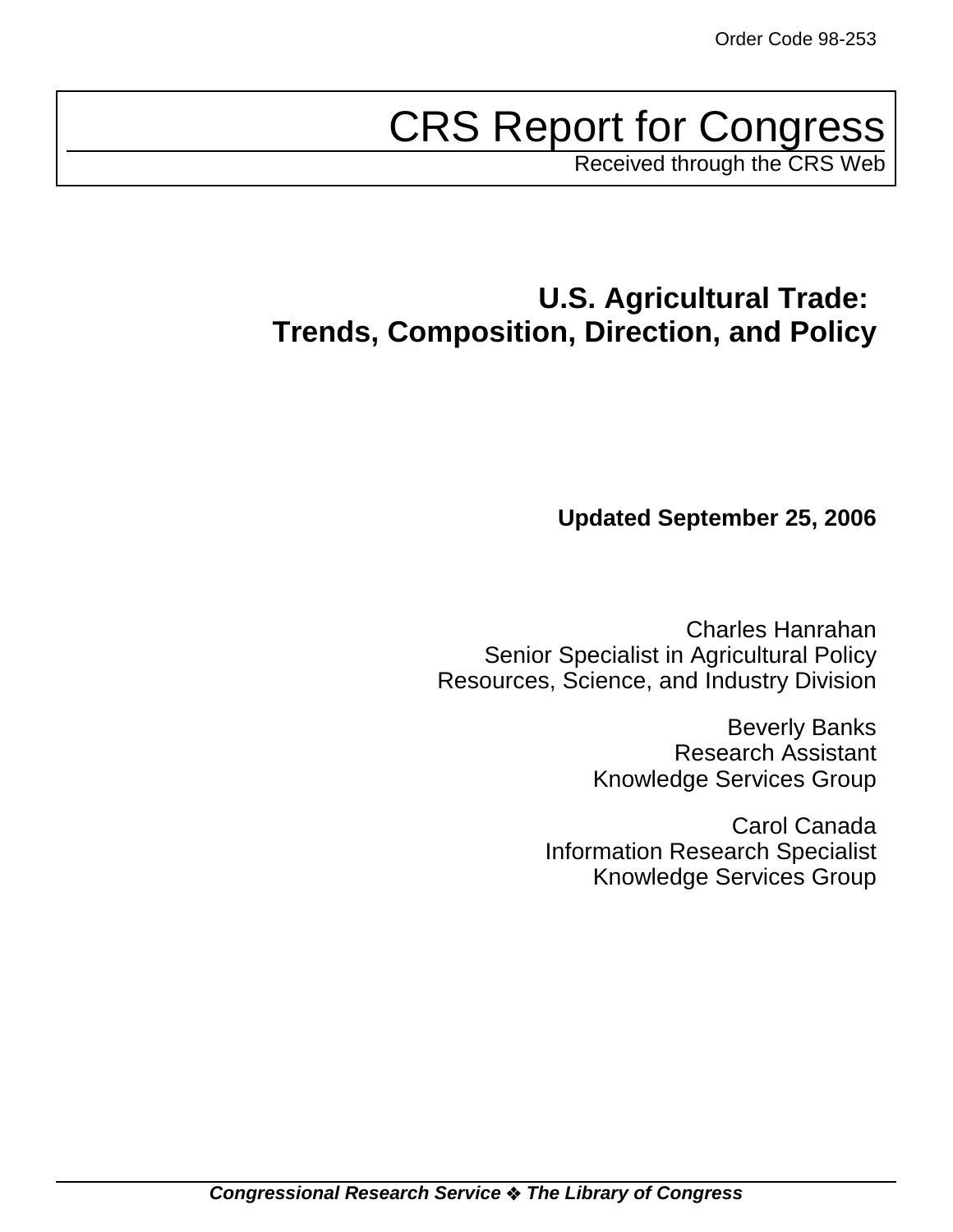# CRS Report for Congress

Received through the CRS Web

# **U.S. Agricultural Trade: Trends, Composition, Direction, and Policy**

# **Updated September 25, 2006**

Charles Hanrahan Senior Specialist in Agricultural Policy Resources, Science, and Industry Division

> Beverly Banks Research Assistant Knowledge Services Group

Carol Canada Information Research Specialist Knowledge Services Group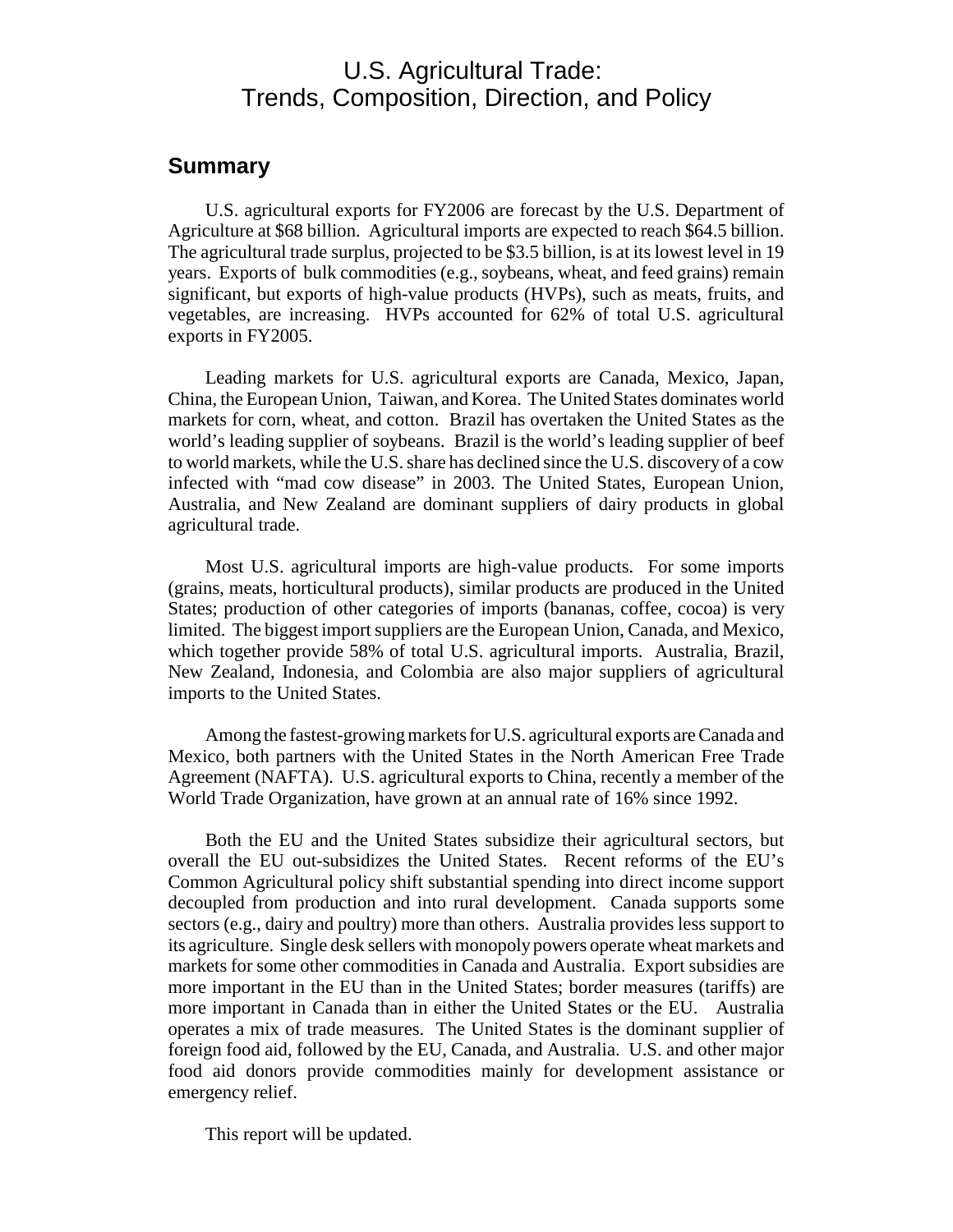# U.S. Agricultural Trade: Trends, Composition, Direction, and Policy

## **Summary**

U.S. agricultural exports for FY2006 are forecast by the U.S. Department of Agriculture at \$68 billion. Agricultural imports are expected to reach \$64.5 billion. The agricultural trade surplus, projected to be \$3.5 billion, is at its lowest level in 19 years. Exports of bulk commodities (e.g., soybeans, wheat, and feed grains) remain significant, but exports of high-value products (HVPs), such as meats, fruits, and vegetables, are increasing. HVPs accounted for 62% of total U.S. agricultural exports in FY2005.

Leading markets for U.S. agricultural exports are Canada, Mexico, Japan, China, the European Union, Taiwan, and Korea. The United States dominates world markets for corn, wheat, and cotton. Brazil has overtaken the United States as the world's leading supplier of soybeans. Brazil is the world's leading supplier of beef to world markets, while the U.S. share has declined since the U.S. discovery of a cow infected with "mad cow disease" in 2003. The United States, European Union, Australia, and New Zealand are dominant suppliers of dairy products in global agricultural trade.

Most U.S. agricultural imports are high-value products. For some imports (grains, meats, horticultural products), similar products are produced in the United States; production of other categories of imports (bananas, coffee, cocoa) is very limited. The biggest import suppliers are the European Union, Canada, and Mexico, which together provide 58% of total U.S. agricultural imports. Australia, Brazil, New Zealand, Indonesia, and Colombia are also major suppliers of agricultural imports to the United States.

Among the fastest-growing markets for U.S. agricultural exports are Canada and Mexico, both partners with the United States in the North American Free Trade Agreement (NAFTA). U.S. agricultural exports to China, recently a member of the World Trade Organization, have grown at an annual rate of 16% since 1992.

Both the EU and the United States subsidize their agricultural sectors, but overall the EU out-subsidizes the United States. Recent reforms of the EU's Common Agricultural policy shift substantial spending into direct income support decoupled from production and into rural development. Canada supports some sectors (e.g., dairy and poultry) more than others. Australia provides less support to its agriculture. Single desk sellers with monopoly powers operate wheat markets and markets for some other commodities in Canada and Australia. Export subsidies are more important in the EU than in the United States; border measures (tariffs) are more important in Canada than in either the United States or the EU. Australia operates a mix of trade measures. The United States is the dominant supplier of foreign food aid, followed by the EU, Canada, and Australia. U.S. and other major food aid donors provide commodities mainly for development assistance or emergency relief.

This report will be updated.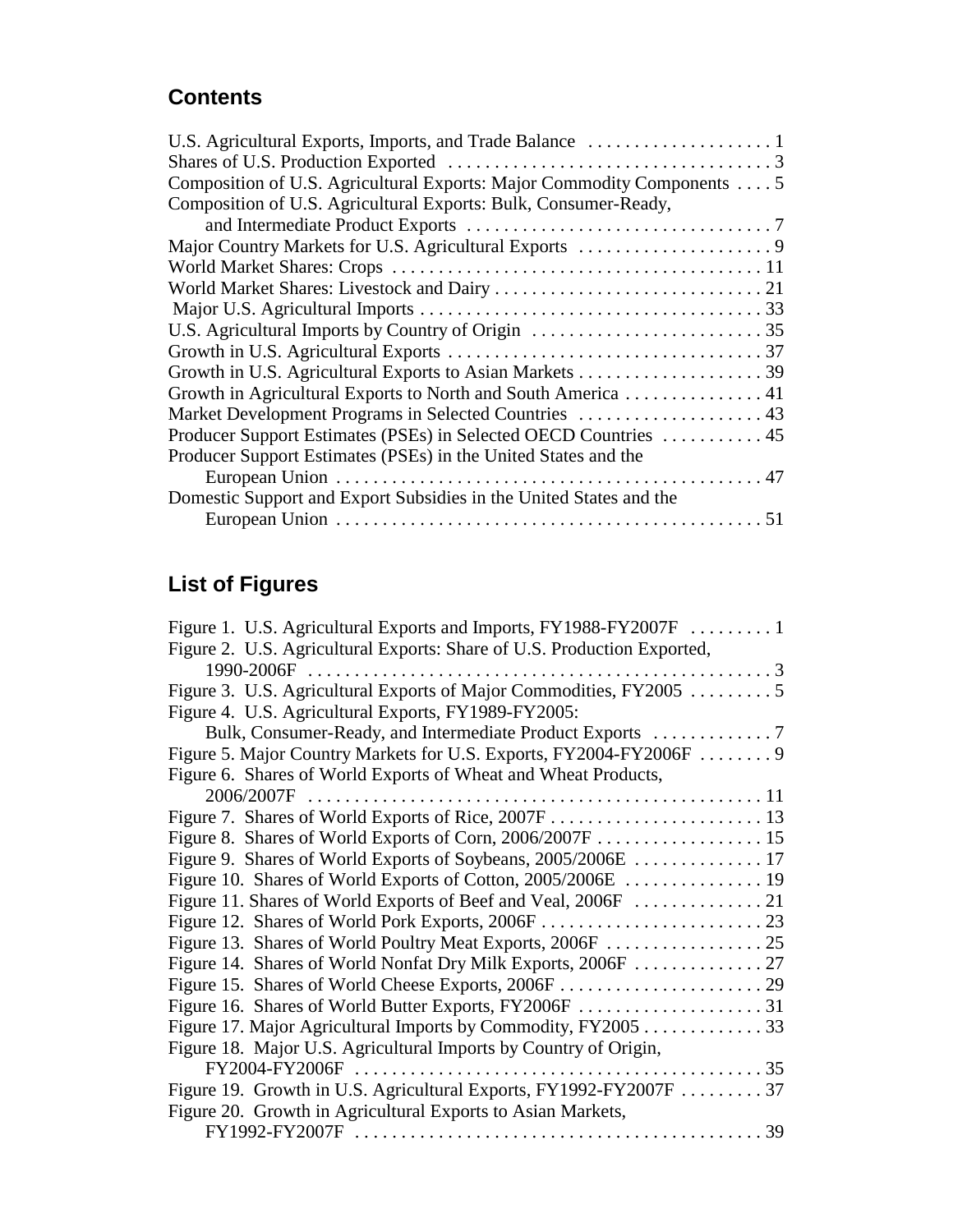# **Contents**

| Composition of U.S. Agricultural Exports: Major Commodity Components 5 |
|------------------------------------------------------------------------|
| Composition of U.S. Agricultural Exports: Bulk, Consumer-Ready,        |
|                                                                        |
|                                                                        |
|                                                                        |
|                                                                        |
|                                                                        |
|                                                                        |
|                                                                        |
|                                                                        |
| Growth in Agricultural Exports to North and South America 41           |
| Market Development Programs in Selected Countries  43                  |
|                                                                        |
| Producer Support Estimates (PSEs) in the United States and the         |
|                                                                        |
| Domestic Support and Export Subsidies in the United States and the     |
|                                                                        |

# **List of Figures**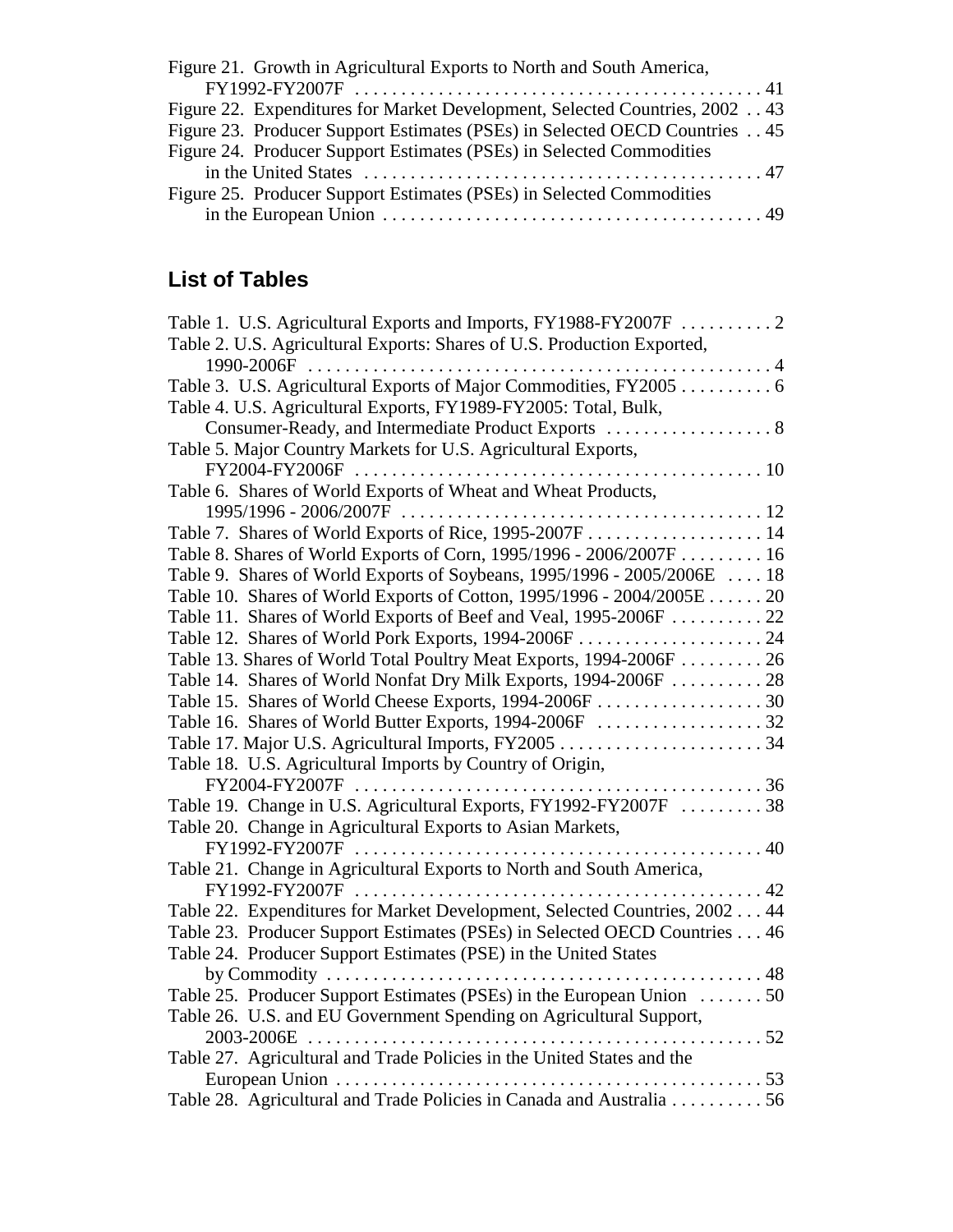| Figure 21. Growth in Agricultural Exports to North and South America,       |  |
|-----------------------------------------------------------------------------|--|
|                                                                             |  |
| Figure 22. Expenditures for Market Development, Selected Countries, 2002 43 |  |
| Figure 23. Producer Support Estimates (PSEs) in Selected OECD Countries 45  |  |
| Figure 24. Producer Support Estimates (PSEs) in Selected Commodities        |  |
|                                                                             |  |
| Figure 25. Producer Support Estimates (PSEs) in Selected Commodities        |  |
|                                                                             |  |

# **List of Tables**

| Table 1. U.S. Agricultural Exports and Imports, FY1988-FY2007F  2         |  |
|---------------------------------------------------------------------------|--|
| Table 2. U.S. Agricultural Exports: Shares of U.S. Production Exported,   |  |
| 1990-2006F                                                                |  |
| Table 3. U.S. Agricultural Exports of Major Commodities, FY2005 6         |  |
| Table 4. U.S. Agricultural Exports, FY1989-FY2005: Total, Bulk,           |  |
|                                                                           |  |
| Table 5. Major Country Markets for U.S. Agricultural Exports,             |  |
|                                                                           |  |
| Table 6. Shares of World Exports of Wheat and Wheat Products,             |  |
|                                                                           |  |
|                                                                           |  |
| Table 8. Shares of World Exports of Corn, 1995/1996 - 2006/2007F 16       |  |
| Table 9. Shares of World Exports of Soybeans, 1995/1996 - 2005/2006E  18  |  |
| Table 10. Shares of World Exports of Cotton, 1995/1996 - 2004/2005E 20    |  |
| Table 11. Shares of World Exports of Beef and Veal, 1995-2006F  22        |  |
|                                                                           |  |
| Table 13. Shares of World Total Poultry Meat Exports, 1994-2006F 26       |  |
| Table 14. Shares of World Nonfat Dry Milk Exports, 1994-2006F  28         |  |
|                                                                           |  |
|                                                                           |  |
|                                                                           |  |
| Table 18. U.S. Agricultural Imports by Country of Origin,                 |  |
|                                                                           |  |
| Table 19. Change in U.S. Agricultural Exports, FY1992-FY2007F 38          |  |
| Table 20. Change in Agricultural Exports to Asian Markets,                |  |
|                                                                           |  |
| Table 21. Change in Agricultural Exports to North and South America,      |  |
|                                                                           |  |
| Table 22. Expenditures for Market Development, Selected Countries, 200244 |  |
| Table 23. Producer Support Estimates (PSEs) in Selected OECD Countries 46 |  |
| Table 24. Producer Support Estimates (PSE) in the United States           |  |
|                                                                           |  |
| Table 25. Producer Support Estimates (PSEs) in the European Union 50      |  |
| Table 26. U.S. and EU Government Spending on Agricultural Support,        |  |
|                                                                           |  |
| Table 27. Agricultural and Trade Policies in the United States and the    |  |
|                                                                           |  |
| Table 28. Agricultural and Trade Policies in Canada and Australia 56      |  |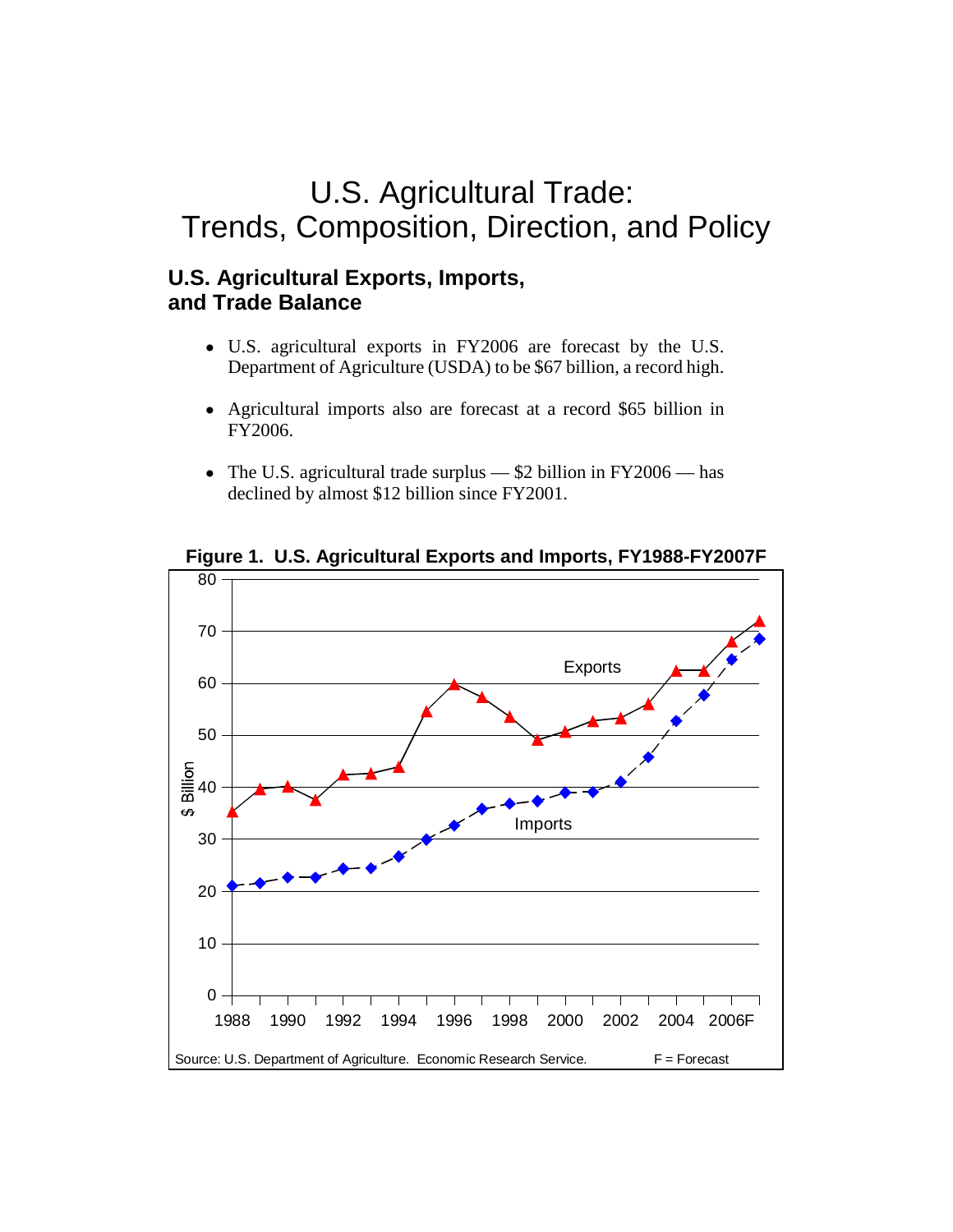# U.S. Agricultural Trade: Trends, Composition, Direction, and Policy

# **U.S. Agricultural Exports, Imports, and Trade Balance**

- U.S. agricultural exports in FY2006 are forecast by the U.S. Department of Agriculture (USDA) to be \$67 billion, a record high.
- ! Agricultural imports also are forecast at a record \$65 billion in FY2006.
- The U.S. agricultural trade surplus  $$2$  billion in FY2006 has declined by almost \$12 billion since FY2001.



**Figure 1. U.S. Agricultural Exports and Imports, FY1988-FY2007F**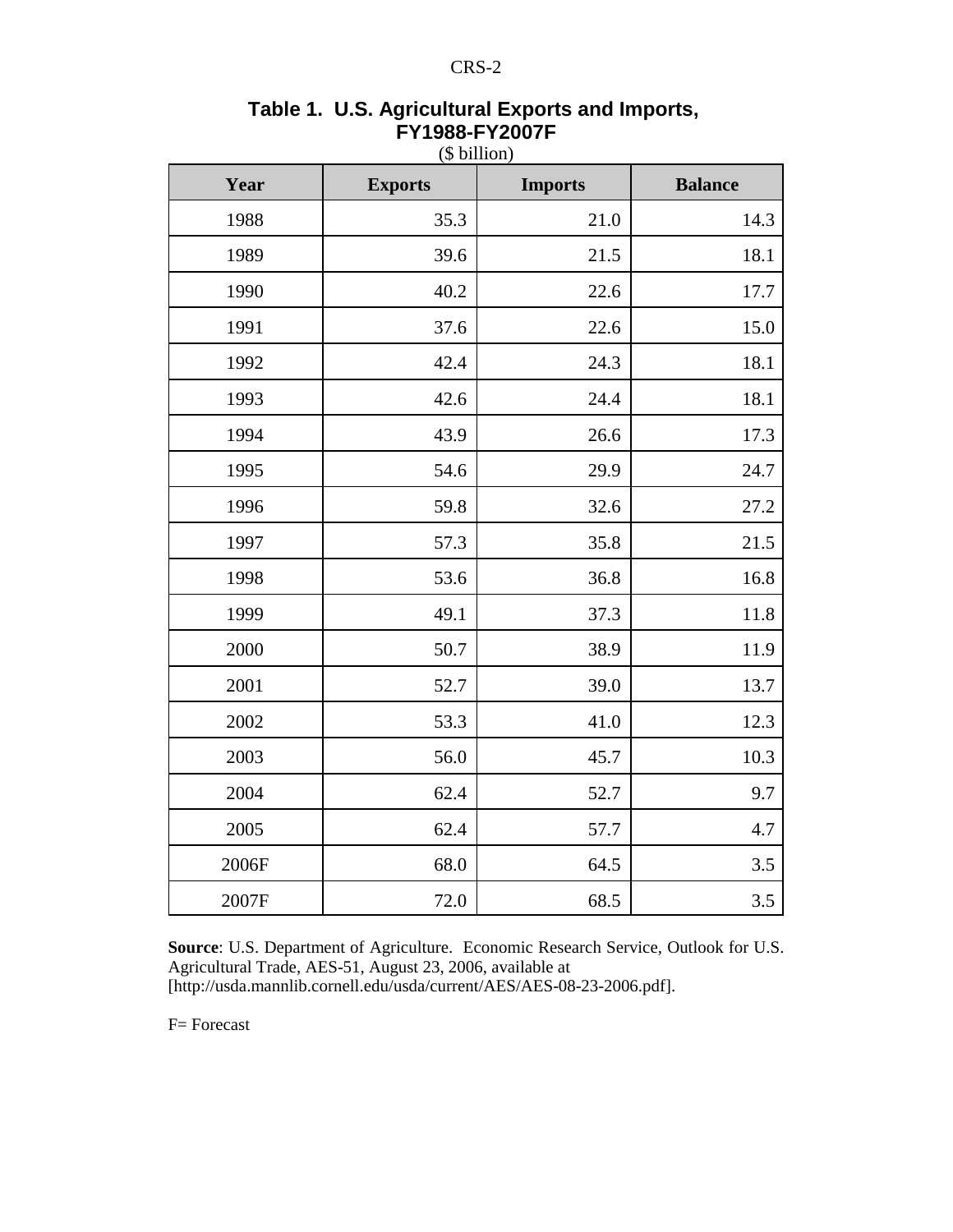| Year  | <b>Exports</b> | <b>Imports</b> | <b>Balance</b> |
|-------|----------------|----------------|----------------|
| 1988  | 35.3           | 21.0           | 14.3           |
| 1989  | 39.6           | 21.5           | 18.1           |
| 1990  | 40.2           | 22.6           | 17.7           |
| 1991  | 37.6           | 22.6           | 15.0           |
| 1992  | 42.4           | 24.3           | 18.1           |
| 1993  | 42.6           | 24.4           | 18.1           |
| 1994  | 43.9           | 26.6           | 17.3           |
| 1995  | 54.6           | 29.9           | 24.7           |
| 1996  | 59.8           | 32.6           | 27.2           |
| 1997  | 57.3           | 35.8           | 21.5           |
| 1998  | 53.6           | 36.8           | 16.8           |
| 1999  | 49.1           | 37.3           | 11.8           |
| 2000  | 50.7           | 38.9           | 11.9           |
| 2001  | 52.7           | 39.0           | 13.7           |
| 2002  | 53.3           | 41.0           | 12.3           |
| 2003  | 56.0           | 45.7           | 10.3           |
| 2004  | 62.4           | 52.7           | 9.7            |
| 2005  | 62.4           | 57.7           | 4.7            |
| 2006F | 68.0           | 64.5           | 3.5            |
| 2007F | 72.0           | 68.5           | 3.5            |

## **Table 1. U.S. Agricultural Exports and Imports, FY1988-FY2007F** (\$ billion)

**Source**: U.S. Department of Agriculture. Economic Research Service, Outlook for U.S. Agricultural Trade, AES-51, August 23, 2006, available at [http://usda.mannlib.cornell.edu/usda/current/AES/AES-08-23-2006.pdf].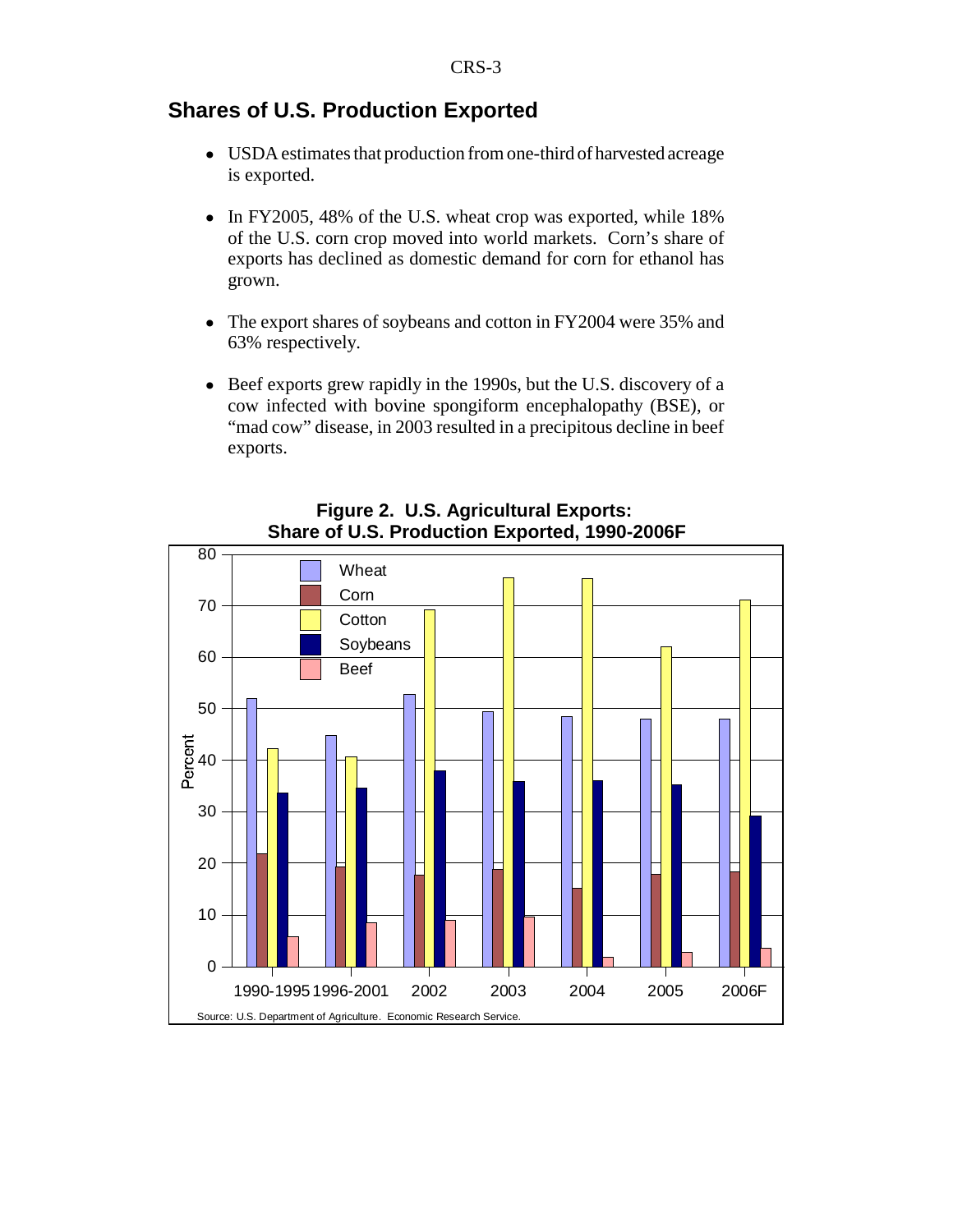## **Shares of U.S. Production Exported**

- ! USDA estimates that production from one-third of harvested acreage is exported.
- In FY2005, 48% of the U.S. wheat crop was exported, while 18% of the U.S. corn crop moved into world markets. Corn's share of exports has declined as domestic demand for corn for ethanol has grown.
- The export shares of soybeans and cotton in FY2004 were 35% and 63% respectively.
- Beef exports grew rapidly in the 1990s, but the U.S. discovery of a cow infected with bovine spongiform encephalopathy (BSE), or "mad cow" disease, in 2003 resulted in a precipitous decline in beef exports.



## **Figure 2. U.S. Agricultural Exports: Share of U.S. Production Exported, 1990-2006F**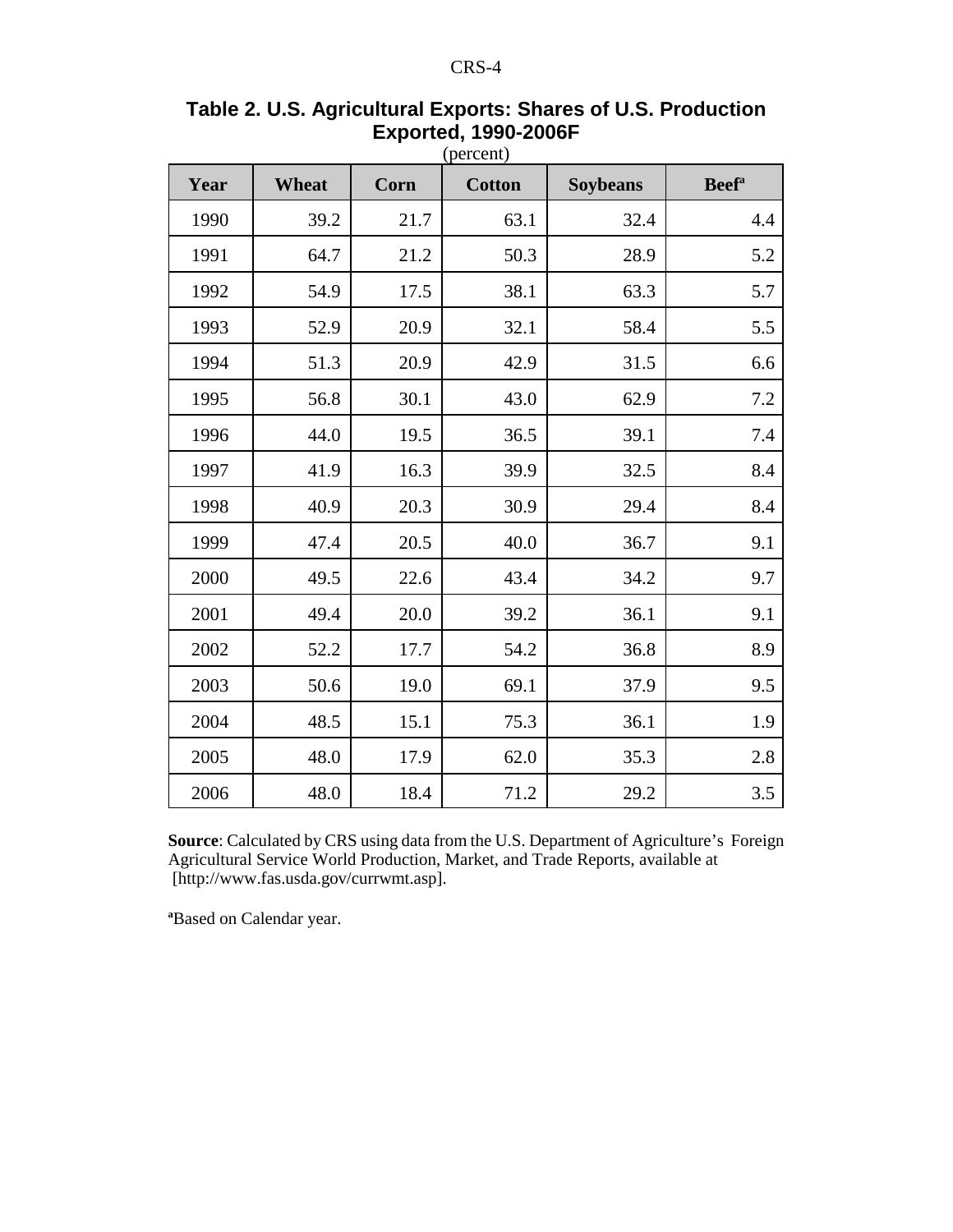| Year | Wheat | Corn | <b>Cotton</b> | <b>Soybeans</b> | <b>Beef</b> <sup>a</sup> |
|------|-------|------|---------------|-----------------|--------------------------|
| 1990 | 39.2  | 21.7 | 63.1          | 32.4            | 4.4                      |
| 1991 | 64.7  | 21.2 | 50.3          | 28.9            | 5.2                      |
| 1992 | 54.9  | 17.5 | 38.1          | 63.3            | 5.7                      |
| 1993 | 52.9  | 20.9 | 32.1          | 58.4            | 5.5                      |
| 1994 | 51.3  | 20.9 | 42.9          | 31.5            | 6.6                      |
| 1995 | 56.8  | 30.1 | 43.0          | 62.9            | $7.2\,$                  |
| 1996 | 44.0  | 19.5 | 36.5          | 39.1            | 7.4                      |
| 1997 | 41.9  | 16.3 | 39.9          | 32.5            | 8.4                      |
| 1998 | 40.9  | 20.3 | 30.9          | 29.4            | 8.4                      |
| 1999 | 47.4  | 20.5 | 40.0          | 36.7            | 9.1                      |
| 2000 | 49.5  | 22.6 | 43.4          | 34.2            | 9.7                      |
| 2001 | 49.4  | 20.0 | 39.2          | 36.1            | 9.1                      |
| 2002 | 52.2  | 17.7 | 54.2          | 36.8            | 8.9                      |
| 2003 | 50.6  | 19.0 | 69.1          | 37.9            | 9.5                      |
| 2004 | 48.5  | 15.1 | 75.3          | 36.1            | 1.9                      |
| 2005 | 48.0  | 17.9 | 62.0          | 35.3            | 2.8                      |
| 2006 | 48.0  | 18.4 | 71.2          | 29.2            | 3.5                      |

# **Table 2. U.S. Agricultural Exports: Shares of U.S. Production Exported, 1990-2006F**

**Source**: Calculated by CRS using data from the U.S. Department of Agriculture's Foreign Agricultural Service World Production, Market, and Trade Reports, available at [http://www.fas.usda.gov/currwmt.asp].

**a** Based on Calendar year.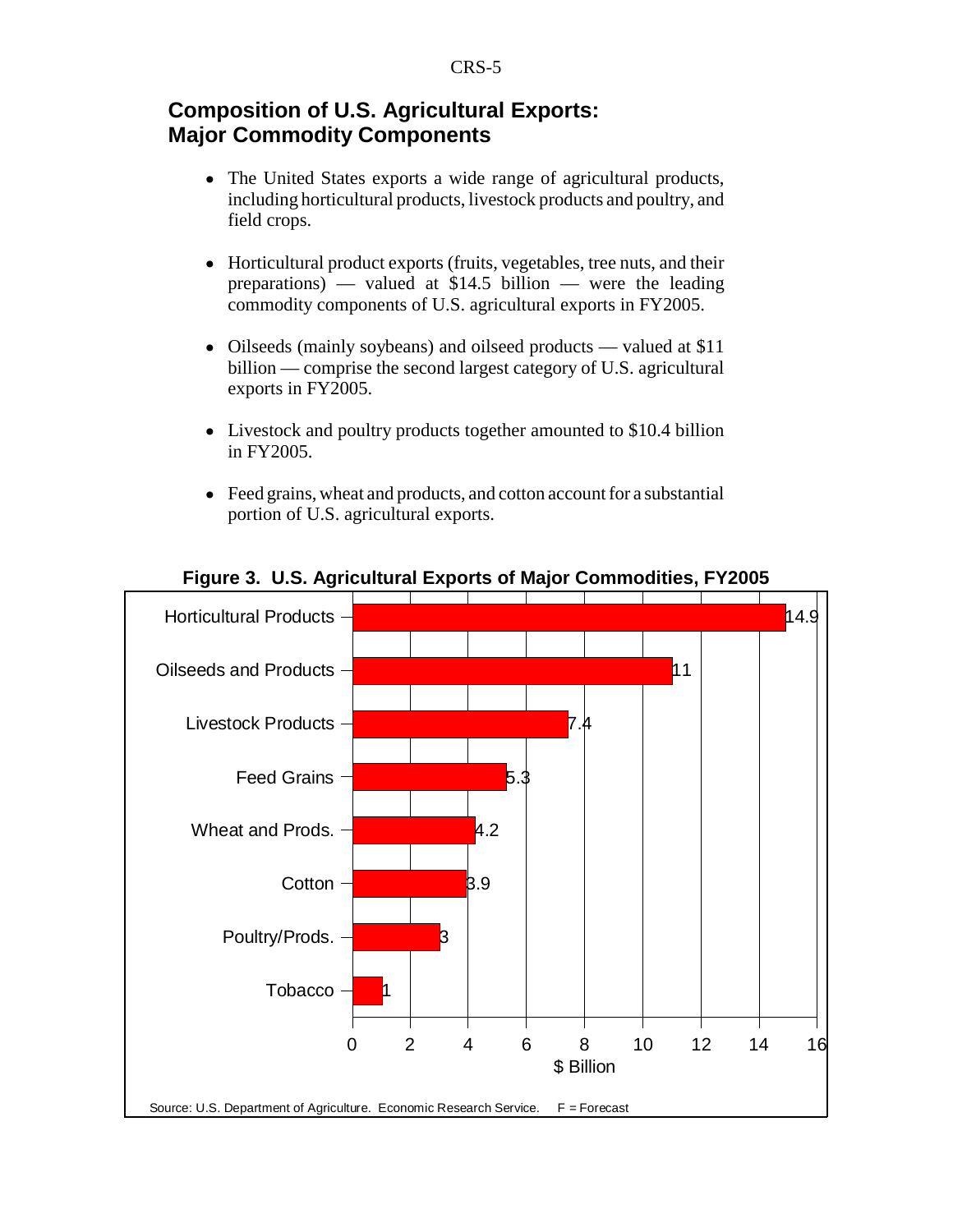# **Composition of U.S. Agricultural Exports: Major Commodity Components**

- The United States exports a wide range of agricultural products, including horticultural products, livestock products and poultry, and field crops.
- ! Horticultural product exports (fruits, vegetables, tree nuts, and their preparations) — valued at \$14.5 billion — were the leading commodity components of U.S. agricultural exports in FY2005.
- Oilseeds (mainly soybeans) and oilseed products valued at \$11 billion — comprise the second largest category of U.S. agricultural exports in FY2005.
- Livestock and poultry products together amounted to \$10.4 billion in FY2005.
- Feed grains, wheat and products, and cotton account for a substantial portion of U.S. agricultural exports.



**Figure 3. U.S. Agricultural Exports of Major Commodities, FY2005**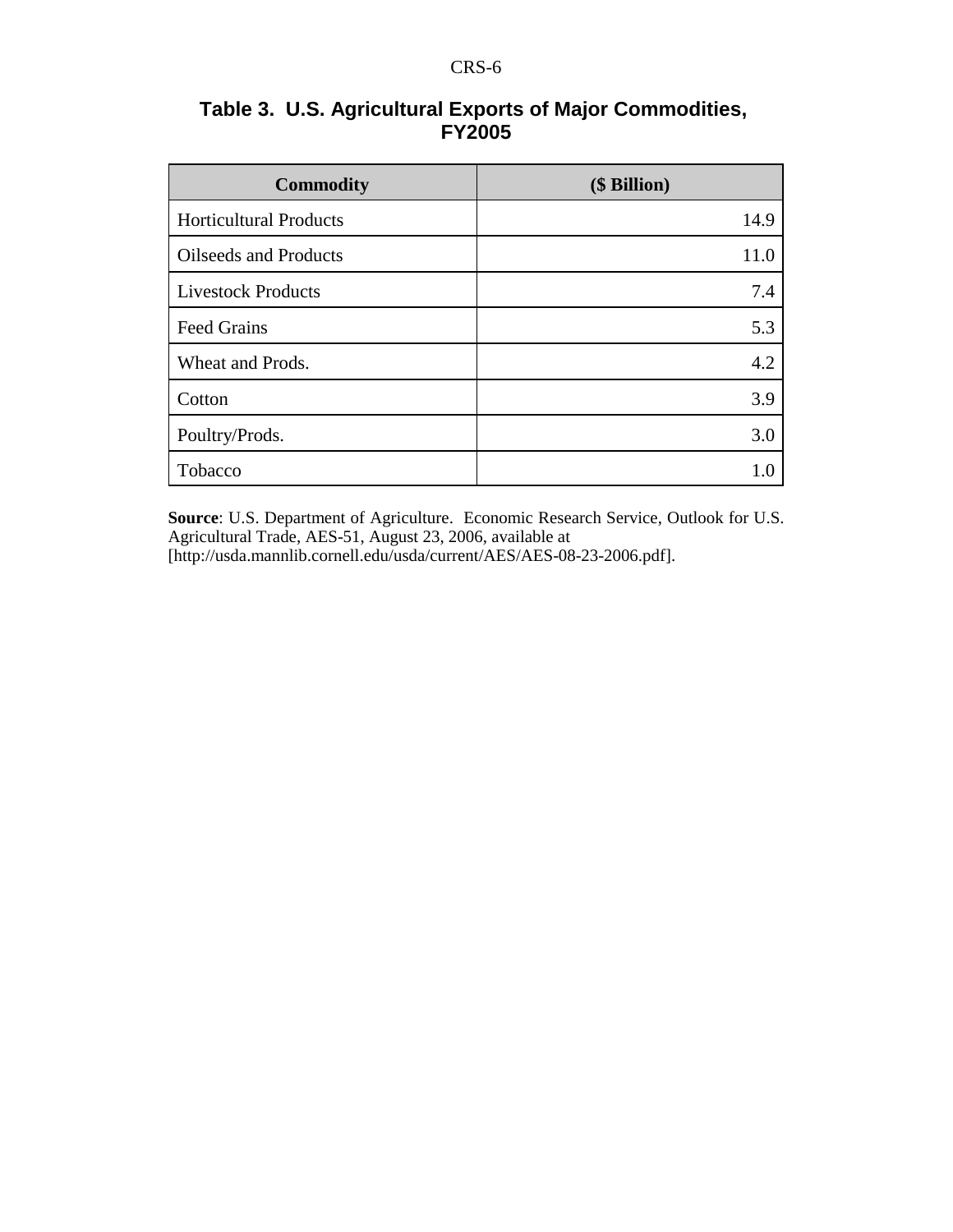| Table 3. U.S. Agricultural Exports of Major Commodities, |
|----------------------------------------------------------|
| <b>FY2005</b>                                            |

| <b>Commodity</b>              | (\$ Billion) |
|-------------------------------|--------------|
| <b>Horticultural Products</b> | 14.9         |
| <b>Oilseeds and Products</b>  | 11.0         |
| <b>Livestock Products</b>     | 7.4          |
| <b>Feed Grains</b>            | 5.3          |
| Wheat and Prods.              | 4.2          |
| Cotton                        | 3.9          |
| Poultry/Prods.                | 3.0          |
| Tobacco                       |              |

**Source**: U.S. Department of Agriculture. Economic Research Service, Outlook for U.S. Agricultural Trade, AES-51, August 23, 2006, available at [http://usda.mannlib.cornell.edu/usda/current/AES/AES-08-23-2006.pdf].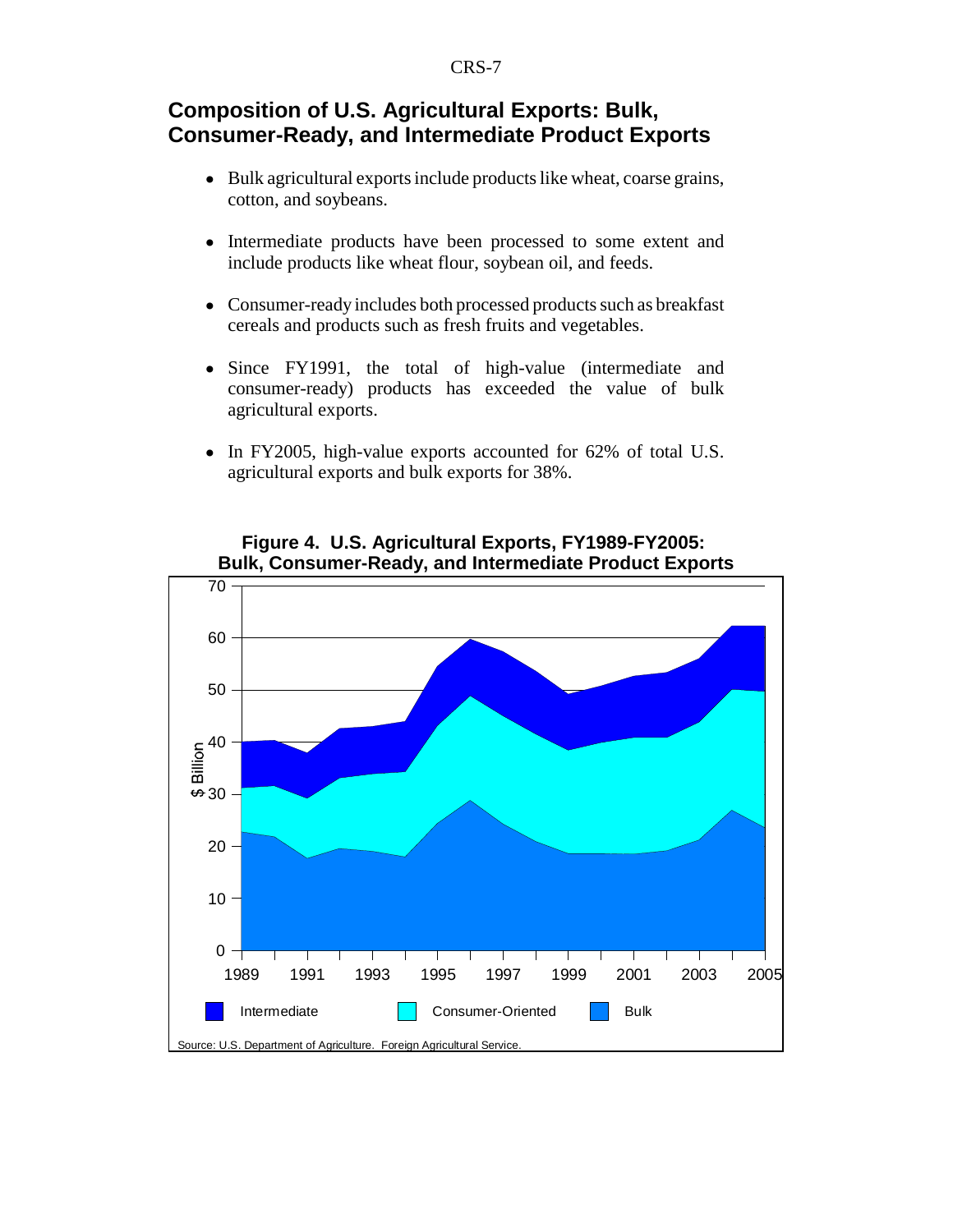# **Composition of U.S. Agricultural Exports: Bulk, Consumer-Ready, and Intermediate Product Exports**

- Bulk agricultural exports include products like wheat, coarse grains, cotton, and soybeans.
- Intermediate products have been processed to some extent and include products like wheat flour, soybean oil, and feeds.
- Consumer-ready includes both processed products such as breakfast cereals and products such as fresh fruits and vegetables.
- Since FY1991, the total of high-value (intermediate and consumer-ready) products has exceeded the value of bulk agricultural exports.
- In FY2005, high-value exports accounted for 62% of total U.S. agricultural exports and bulk exports for 38%.



## **Figure 4. U.S. Agricultural Exports, FY1989-FY2005: Bulk, Consumer-Ready, and Intermediate Product Exports**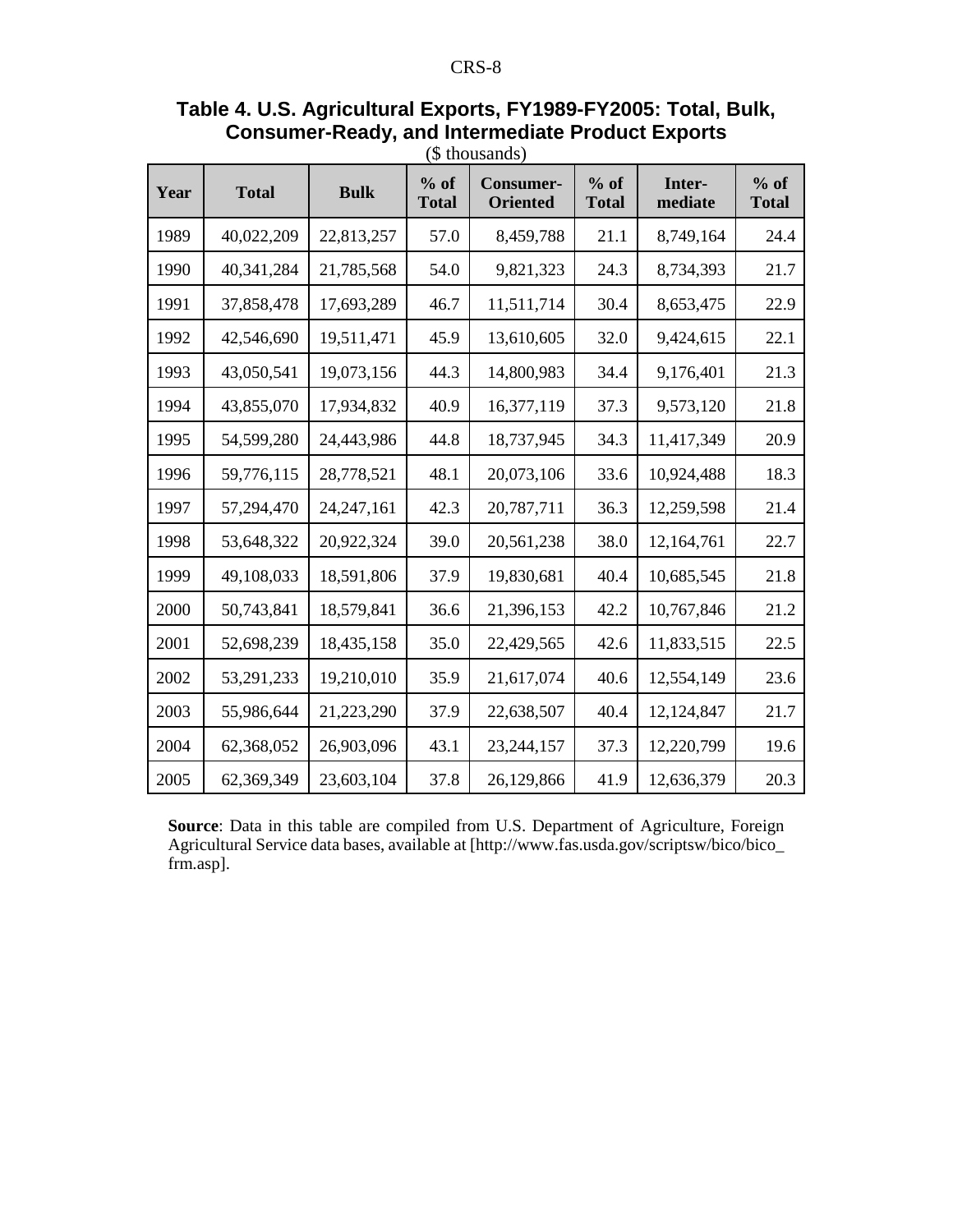|      |              |              | $-$                    |                                     |                        |                   |                        |
|------|--------------|--------------|------------------------|-------------------------------------|------------------------|-------------------|------------------------|
| Year | <b>Total</b> | <b>Bulk</b>  | $%$ of<br><b>Total</b> | <b>Consumer-</b><br><b>Oriented</b> | $%$ of<br><b>Total</b> | Inter-<br>mediate | $%$ of<br><b>Total</b> |
| 1989 | 40,022,209   | 22,813,257   | 57.0                   | 8,459,788                           | 21.1                   | 8,749,164         | 24.4                   |
| 1990 | 40,341,284   | 21,785,568   | 54.0                   | 9,821,323                           | 24.3                   | 8,734,393         | 21.7                   |
| 1991 | 37,858,478   | 17,693,289   | 46.7                   | 11,511,714                          | 30.4                   | 8,653,475         | 22.9                   |
| 1992 | 42,546,690   | 19,511,471   | 45.9                   | 13,610,605                          | 32.0                   | 9,424,615         | 22.1                   |
| 1993 | 43,050,541   | 19,073,156   | 44.3                   | 14,800,983                          | 34.4                   | 9,176,401         | 21.3                   |
| 1994 | 43,855,070   | 17,934,832   | 40.9                   | 16,377,119                          | 37.3                   | 9,573,120         | 21.8                   |
| 1995 | 54,599,280   | 24,443,986   | 44.8                   | 18,737,945                          | 34.3                   | 11,417,349        | 20.9                   |
| 1996 | 59,776,115   | 28,778,521   | 48.1                   | 20,073,106                          | 33.6                   | 10,924,488        | 18.3                   |
| 1997 | 57,294,470   | 24, 247, 161 | 42.3                   | 20,787,711                          | 36.3                   | 12,259,598        | 21.4                   |
| 1998 | 53,648,322   | 20,922,324   | 39.0                   | 20,561,238                          | 38.0                   | 12,164,761        | 22.7                   |
| 1999 | 49,108,033   | 18,591,806   | 37.9                   | 19,830,681                          | 40.4                   | 10,685,545        | 21.8                   |
| 2000 | 50,743,841   | 18,579,841   | 36.6                   | 21,396,153                          | 42.2                   | 10,767,846        | 21.2                   |
| 2001 | 52,698,239   | 18,435,158   | 35.0                   | 22,429,565                          | 42.6                   | 11,833,515        | 22.5                   |
| 2002 | 53,291,233   | 19,210,010   | 35.9                   | 21,617,074                          | 40.6                   | 12,554,149        | 23.6                   |
| 2003 | 55,986,644   | 21,223,290   | 37.9                   | 22,638,507                          | 40.4                   | 12,124,847        | 21.7                   |
| 2004 | 62,368,052   | 26,903,096   | 43.1                   | 23, 244, 157                        | 37.3                   | 12,220,799        | 19.6                   |
| 2005 | 62,369,349   | 23,603,104   | 37.8                   | 26,129,866                          | 41.9                   | 12,636,379        | 20.3                   |

## **Table 4. U.S. Agricultural Exports, FY1989-FY2005: Total, Bulk, Consumer-Ready, and Intermediate Product Exports** (\$ thousands)

**Source**: Data in this table are compiled from U.S. Department of Agriculture, Foreign Agricultural Service data bases, available at [http://www.fas.usda.gov/scriptsw/bico/bico\_ frm.asp].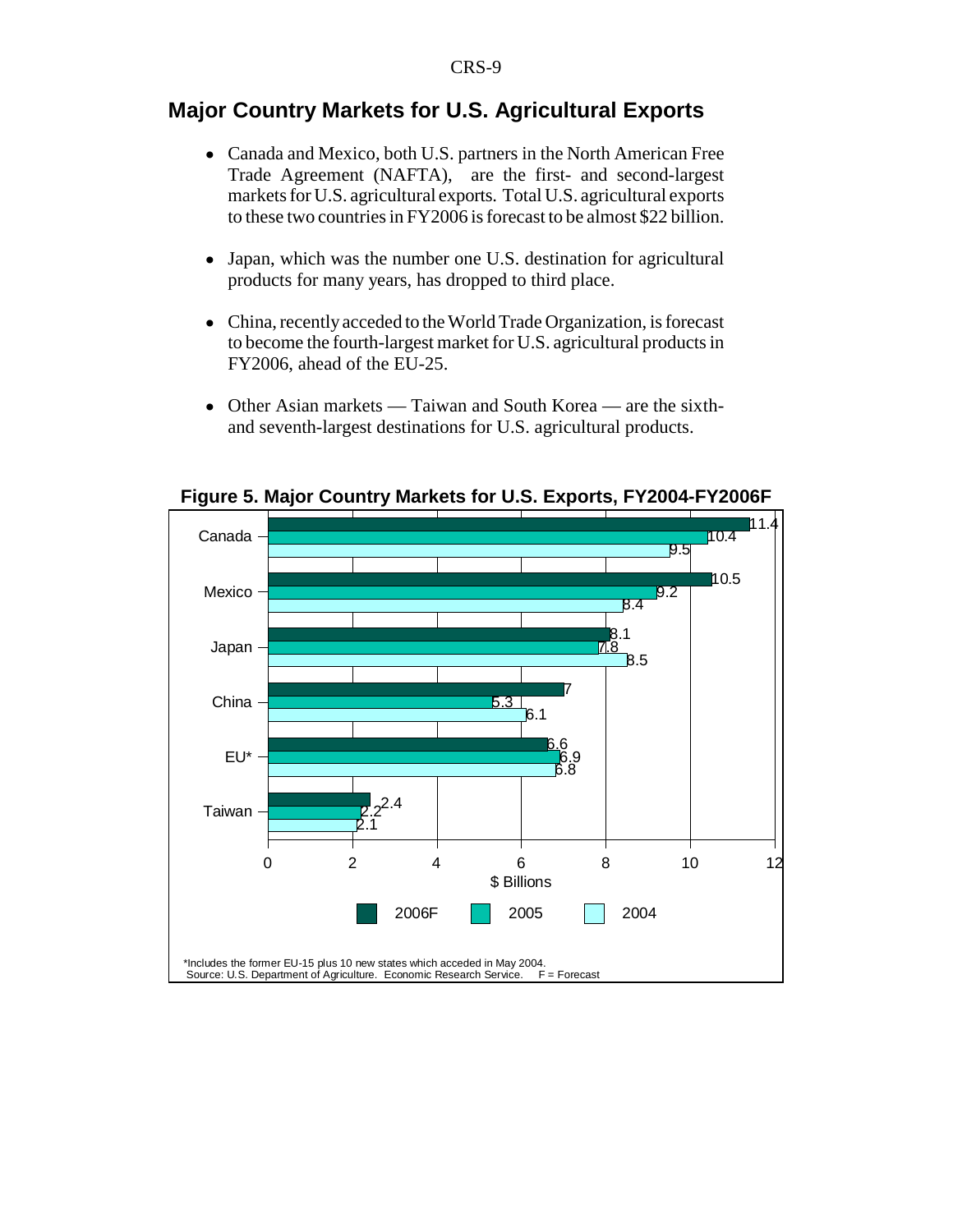## **Major Country Markets for U.S. Agricultural Exports**

- ! Canada and Mexico, both U.S. partners in the North American Free Trade Agreement (NAFTA), are the first- and second-largest markets for U.S. agricultural exports. Total U.S. agricultural exports to these two countries in FY2006 is forecast to be almost \$22 billion.
- Japan, which was the number one U.S. destination for agricultural products for many years, has dropped to third place.
- ! China, recently acceded to the World Trade Organization, is forecast to become the fourth-largest market for U.S. agricultural products in FY2006, ahead of the EU-25.
- Other Asian markets Taiwan and South Korea are the sixthand seventh-largest destinations for U.S. agricultural products.



**Figure 5. Major Country Markets for U.S. Exports, FY2004-FY2006F**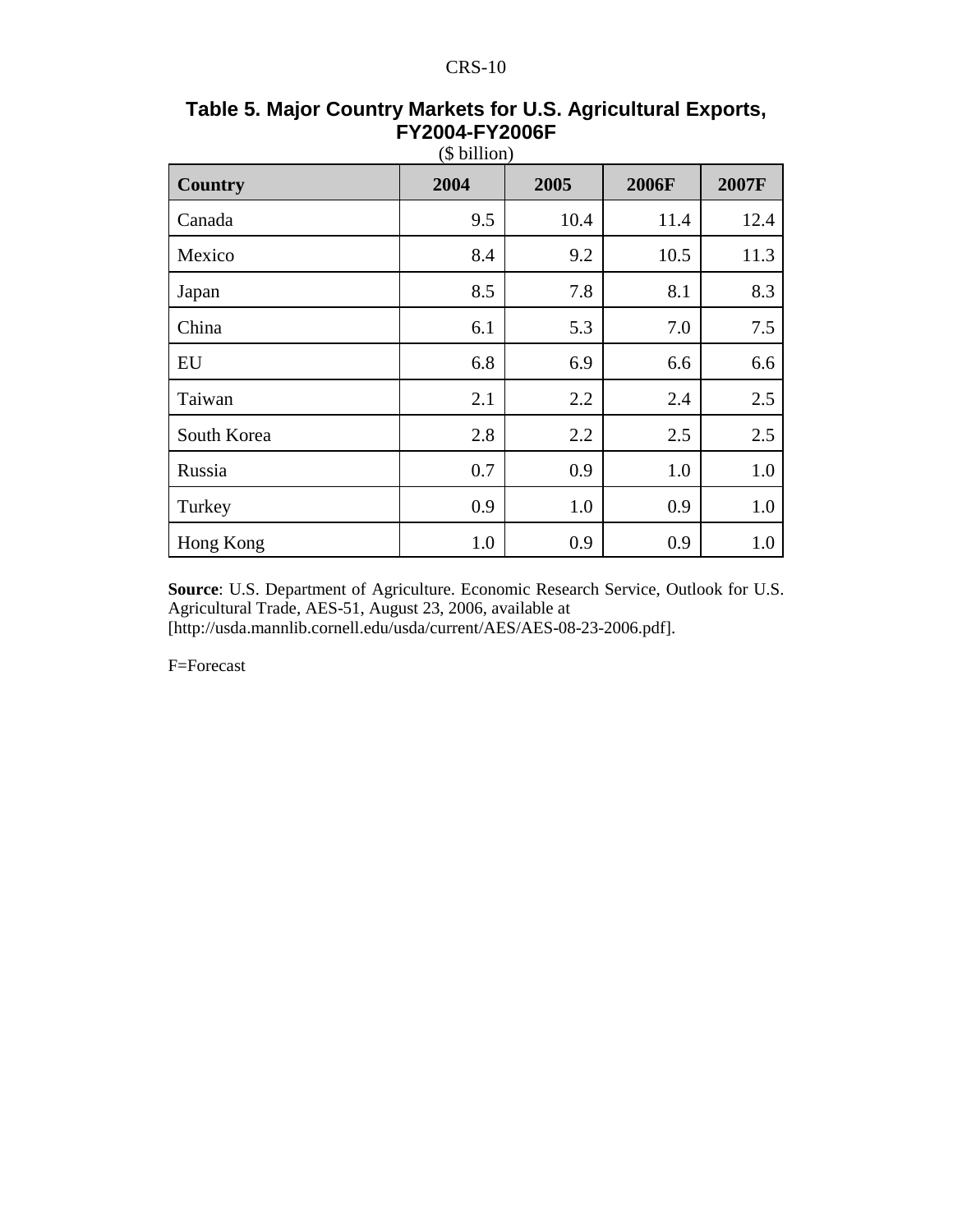| <b>Country</b> | 2004 | 2005 | 2006F | 2007F |
|----------------|------|------|-------|-------|
| Canada         | 9.5  | 10.4 | 11.4  | 12.4  |
| Mexico         | 8.4  | 9.2  | 10.5  | 11.3  |
| Japan          | 8.5  | 7.8  | 8.1   | 8.3   |
| China          | 6.1  | 5.3  | 7.0   | 7.5   |
| EU             | 6.8  | 6.9  | 6.6   | 6.6   |
| Taiwan         | 2.1  | 2.2  | 2.4   | 2.5   |
| South Korea    | 2.8  | 2.2  | 2.5   | 2.5   |
| Russia         | 0.7  | 0.9  | 1.0   | 1.0   |
| Turkey         | 0.9  | 1.0  | 0.9   | 1.0   |
| Hong Kong      | 1.0  | 0.9  | 0.9   | 1.0   |

#### **Table 5. Major Country Markets for U.S. Agricultural Exports, FY2004-FY2006F**  $(6, b:11)$

**Source**: U.S. Department of Agriculture. Economic Research Service, Outlook for U.S. Agricultural Trade, AES-51, August 23, 2006, available at [http://usda.mannlib.cornell.edu/usda/current/AES/AES-08-23-2006.pdf].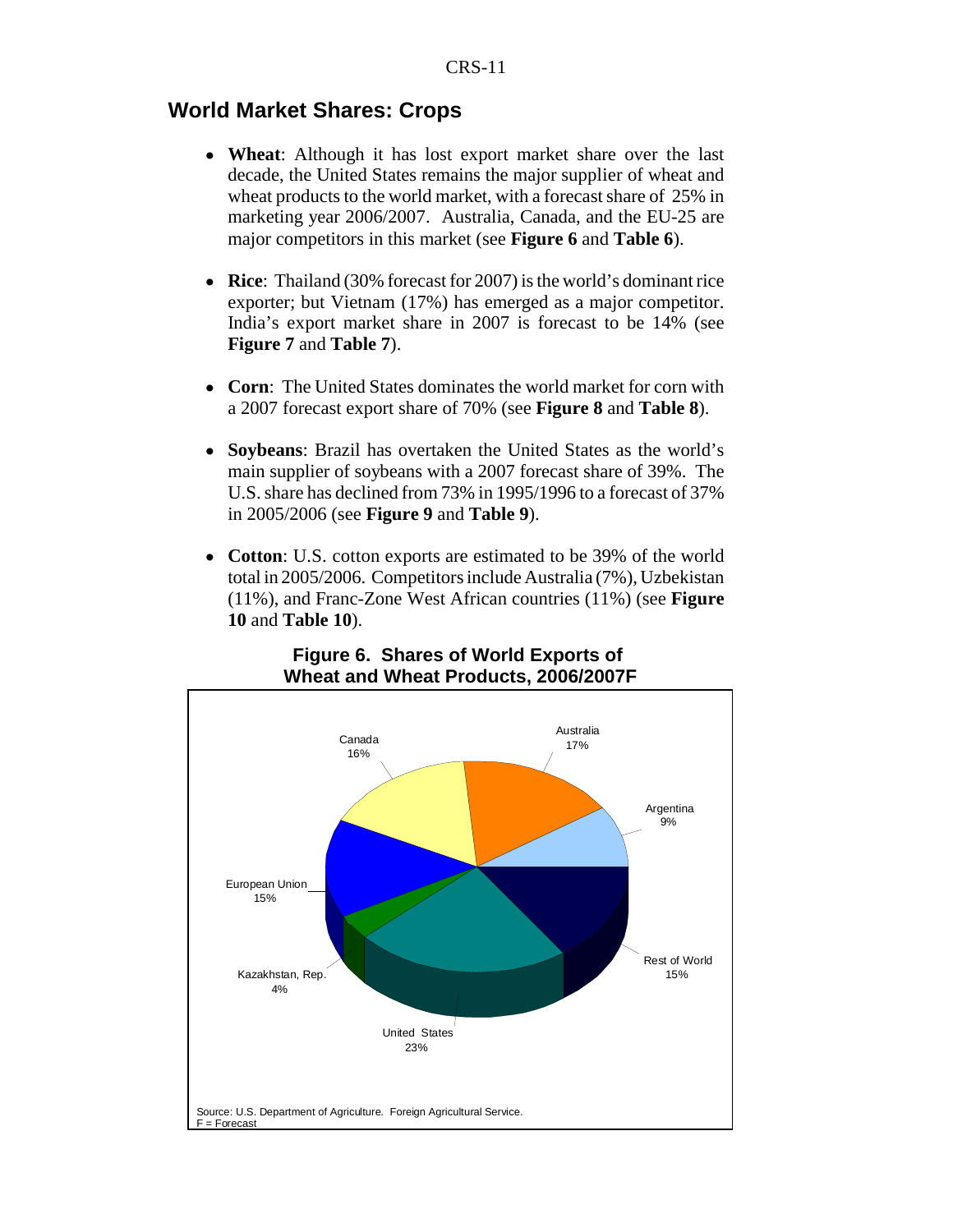## **World Market Shares: Crops**

- ! **Wheat**: Although it has lost export market share over the last decade, the United States remains the major supplier of wheat and wheat products to the world market, with a forecast share of 25% in marketing year 2006/2007. Australia, Canada, and the EU-25 are major competitors in this market (see **Figure 6** and **Table 6**).
- ! **Rice**: Thailand (30% forecast for 2007) is the world's dominant rice exporter; but Vietnam (17%) has emerged as a major competitor. India's export market share in 2007 is forecast to be 14% (see **Figure 7** and **Table 7**).
- ! **Corn**: The United States dominates the world market for corn with a 2007 forecast export share of 70% (see **Figure 8** and **Table 8**).
- ! **Soybeans**: Brazil has overtaken the United States as the world's main supplier of soybeans with a 2007 forecast share of 39%. The U.S. share has declined from 73% in 1995/1996 to a forecast of 37% in 2005/2006 (see **Figure 9** and **Table 9**).
- ! **Cotton**: U.S. cotton exports are estimated to be 39% of the world total in 2005/2006. Competitors include Australia (7%), Uzbekistan (11%), and Franc-Zone West African countries (11%) (see **Figure 10** and **Table 10**).



### **Figure 6. Shares of World Exports of Wheat and Wheat Products, 2006/2007F**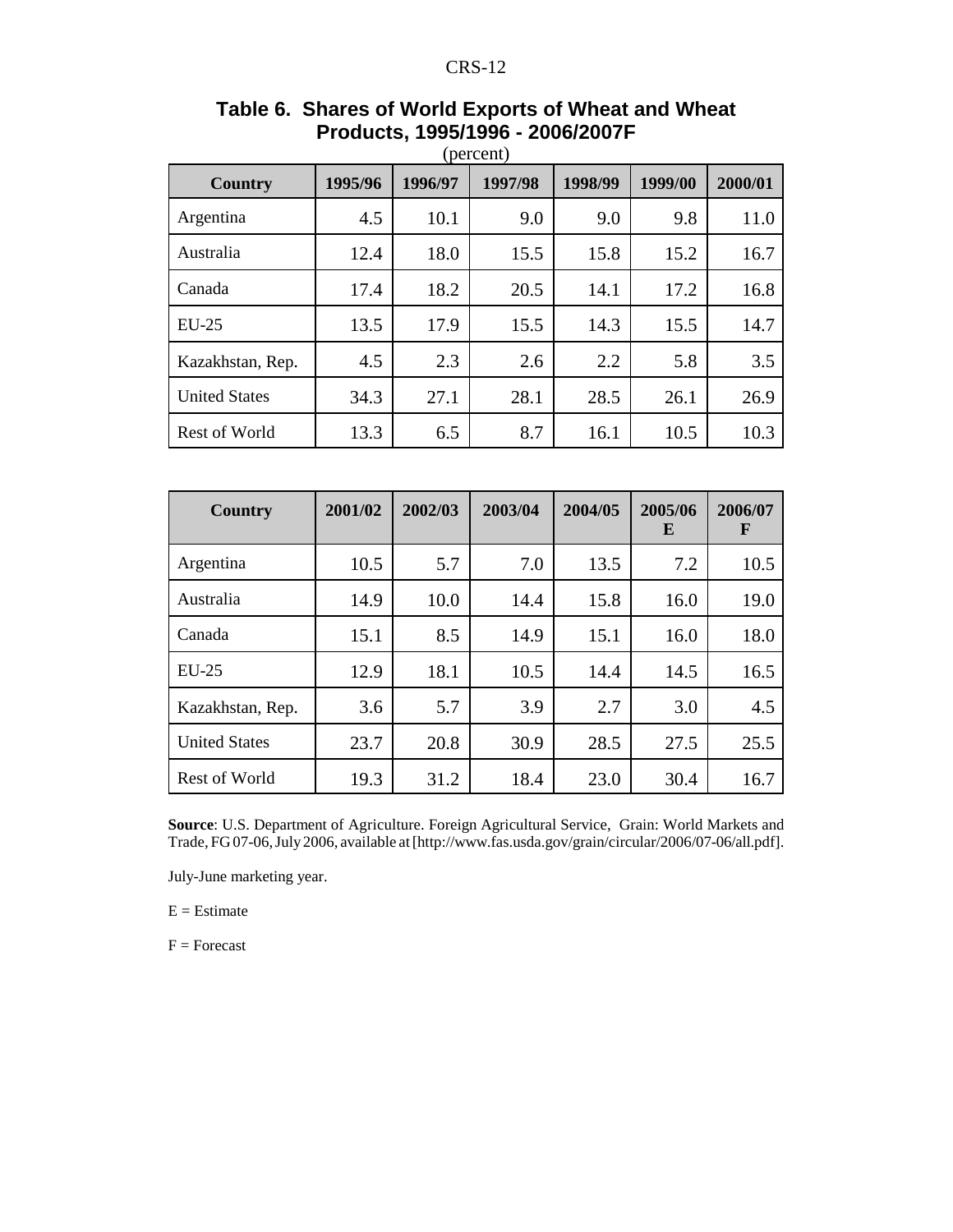| <b>Country</b>       | 1995/96 | 1996/97 | 1997/98 | 1998/99 | 1999/00 | 2000/01 |
|----------------------|---------|---------|---------|---------|---------|---------|
| Argentina            | 4.5     | 10.1    | 9.0     | 9.0     | 9.8     | 11.0    |
| Australia            | 12.4    | 18.0    | 15.5    | 15.8    | 15.2    | 16.7    |
| Canada               | 17.4    | 18.2    | 20.5    | 14.1    | 17.2    | 16.8    |
| $EU-25$              | 13.5    | 17.9    | 15.5    | 14.3    | 15.5    | 14.7    |
| Kazakhstan, Rep.     | 4.5     | 2.3     | 2.6     | 2.2     | 5.8     | 3.5     |
| <b>United States</b> | 34.3    | 27.1    | 28.1    | 28.5    | 26.1    | 26.9    |
| Rest of World        | 13.3    | 6.5     | 8.7     | 16.1    | 10.5    | 10.3    |

# **Table 6. Shares of World Exports of Wheat and Wheat Products, 1995/1996 - 2006/2007F**

| <b>Country</b>       | 2001/02 | 2002/03 | 2003/04 | 2004/05 | 2005/06<br>E | 2006/07<br>F |
|----------------------|---------|---------|---------|---------|--------------|--------------|
| Argentina            | 10.5    | 5.7     | 7.0     | 13.5    | 7.2          | 10.5         |
| Australia            | 14.9    | 10.0    | 14.4    | 15.8    | 16.0         | 19.0         |
| Canada               | 15.1    | 8.5     | 14.9    | 15.1    | 16.0         | 18.0         |
| $EU-25$              | 12.9    | 18.1    | 10.5    | 14.4    | 14.5         | 16.5         |
| Kazakhstan, Rep.     | 3.6     | 5.7     | 3.9     | 2.7     | 3.0          | 4.5          |
| <b>United States</b> | 23.7    | 20.8    | 30.9    | 28.5    | 27.5         | 25.5         |
| Rest of World        | 19.3    | 31.2    | 18.4    | 23.0    | 30.4         | 16.7         |

**Source**: U.S. Department of Agriculture. Foreign Agricultural Service, Grain: World Markets and Trade, FG 07-06, July 2006, available at [http://www.fas.usda.gov/grain/circular/2006/07-06/all.pdf].

July-June marketing year.

 $E =$  Estimate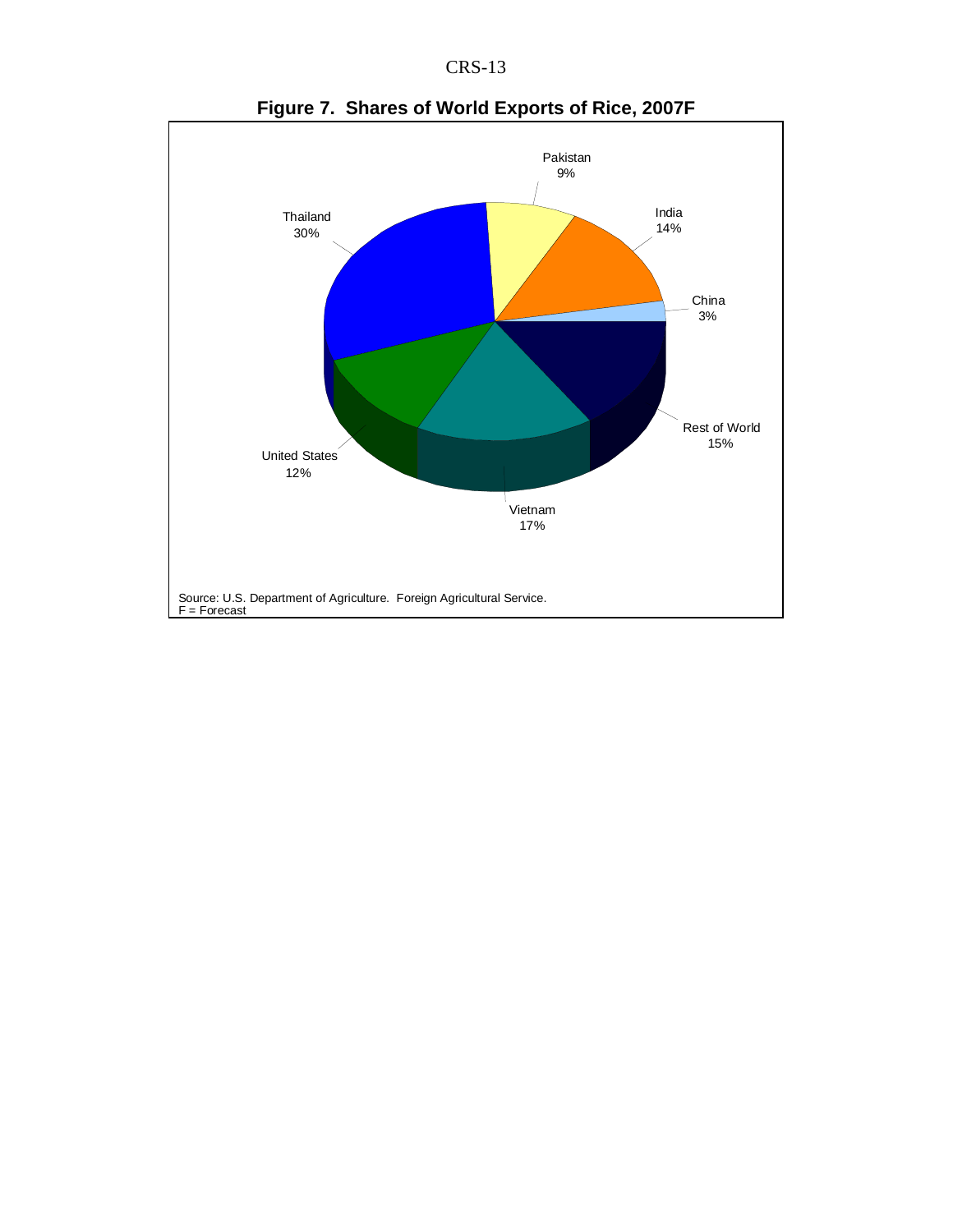CRS-13



**Figure 7. Shares of World Exports of Rice, 2007F**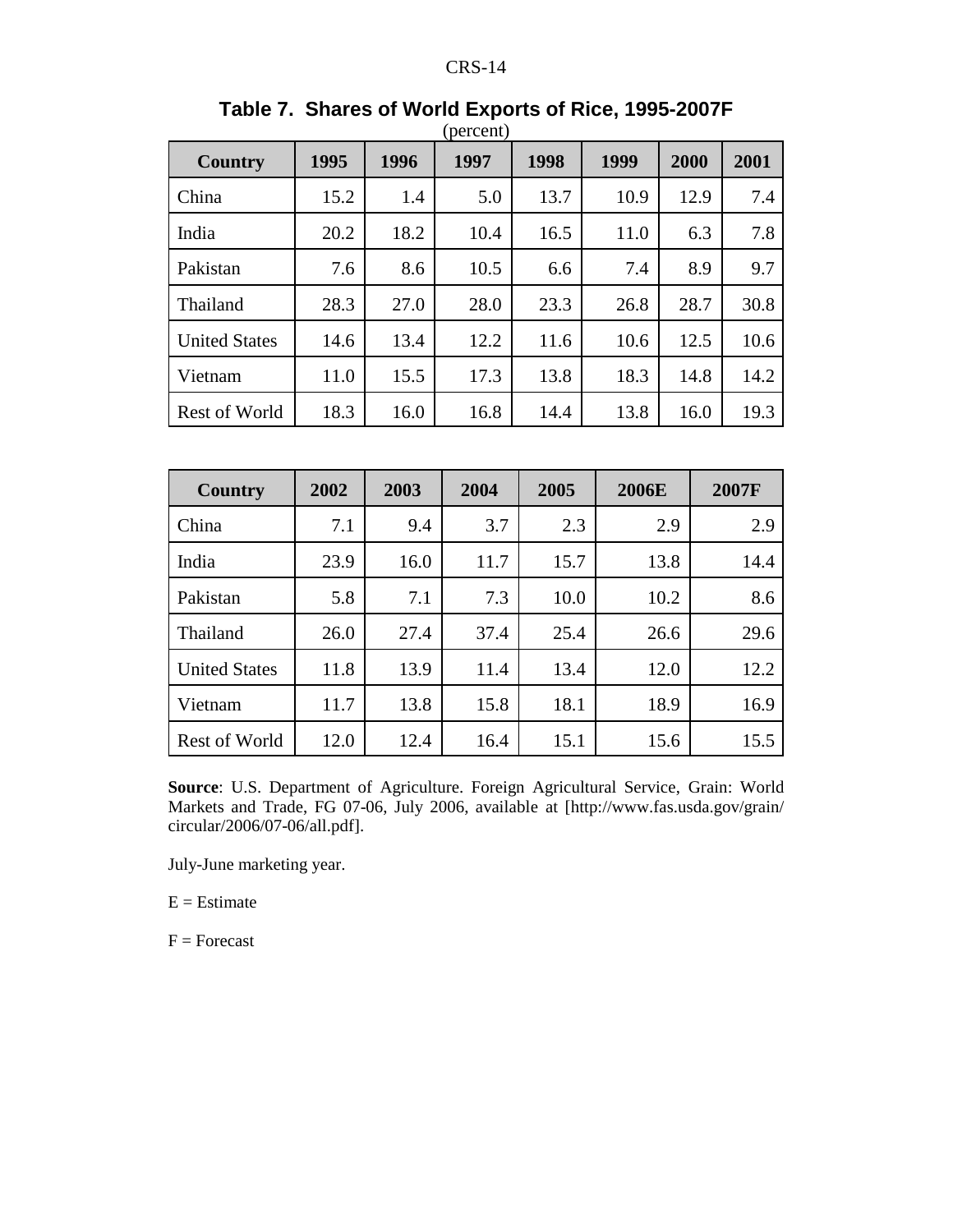| Country              | 1995 | 1996 | 1997 | 1998 | 1999 | 2000 | 2001 |
|----------------------|------|------|------|------|------|------|------|
| China                | 15.2 | 1.4  | 5.0  | 13.7 | 10.9 | 12.9 | 7.4  |
| India                | 20.2 | 18.2 | 10.4 | 16.5 | 11.0 | 6.3  | 7.8  |
| Pakistan             | 7.6  | 8.6  | 10.5 | 6.6  | 7.4  | 8.9  | 9.7  |
| Thailand             | 28.3 | 27.0 | 28.0 | 23.3 | 26.8 | 28.7 | 30.8 |
| <b>United States</b> | 14.6 | 13.4 | 12.2 | 11.6 | 10.6 | 12.5 | 10.6 |
| Vietnam              | 11.0 | 15.5 | 17.3 | 13.8 | 18.3 | 14.8 | 14.2 |
| <b>Rest of World</b> | 18.3 | 16.0 | 16.8 | 14.4 | 13.8 | 16.0 | 19.3 |

#### **Table 7. Shares of World Exports of Rice, 1995-2007F** (percent)

| <b>Country</b>       | 2002 | 2003 | 2004 | 2005 | <b>2006E</b> | 2007F |
|----------------------|------|------|------|------|--------------|-------|
| China                | 7.1  | 9.4  | 3.7  | 2.3  | 2.9          | 2.9   |
| India                | 23.9 | 16.0 | 11.7 | 15.7 | 13.8         | 14.4  |
| Pakistan             | 5.8  | 7.1  | 7.3  | 10.0 | 10.2         | 8.6   |
| Thailand             | 26.0 | 27.4 | 37.4 | 25.4 | 26.6         | 29.6  |
| <b>United States</b> | 11.8 | 13.9 | 11.4 | 13.4 | 12.0         | 12.2  |
| Vietnam              | 11.7 | 13.8 | 15.8 | 18.1 | 18.9         | 16.9  |
| <b>Rest of World</b> | 12.0 | 12.4 | 16.4 | 15.1 | 15.6         | 15.5  |

**Source**: U.S. Department of Agriculture. Foreign Agricultural Service, Grain: World Markets and Trade, FG 07-06, July 2006, available at [http://www.fas.usda.gov/grain/ circular/2006/07-06/all.pdf].

July-June marketing year.

 $E =$ Estimate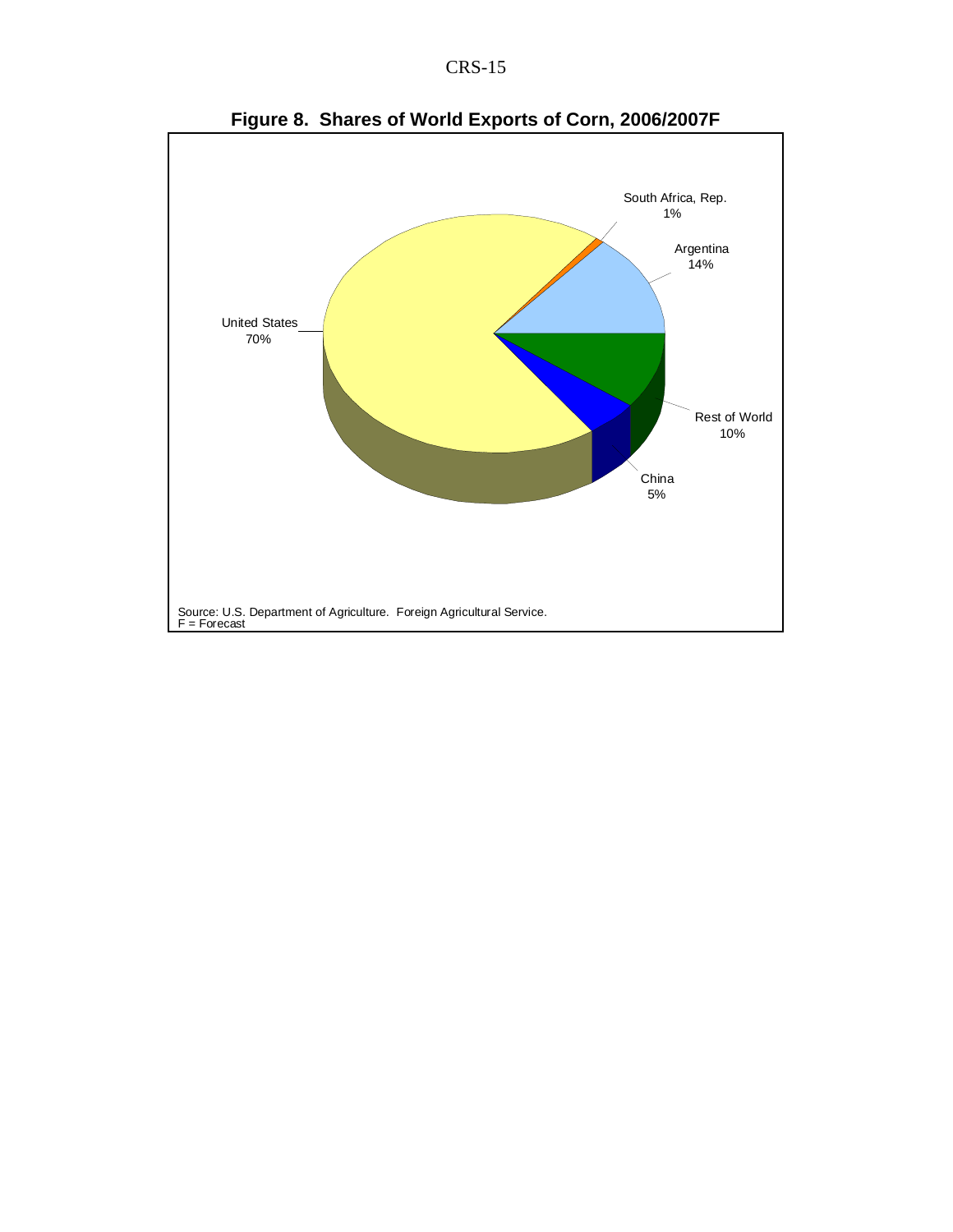



**Figure 8. Shares of World Exports of Corn, 2006/2007F**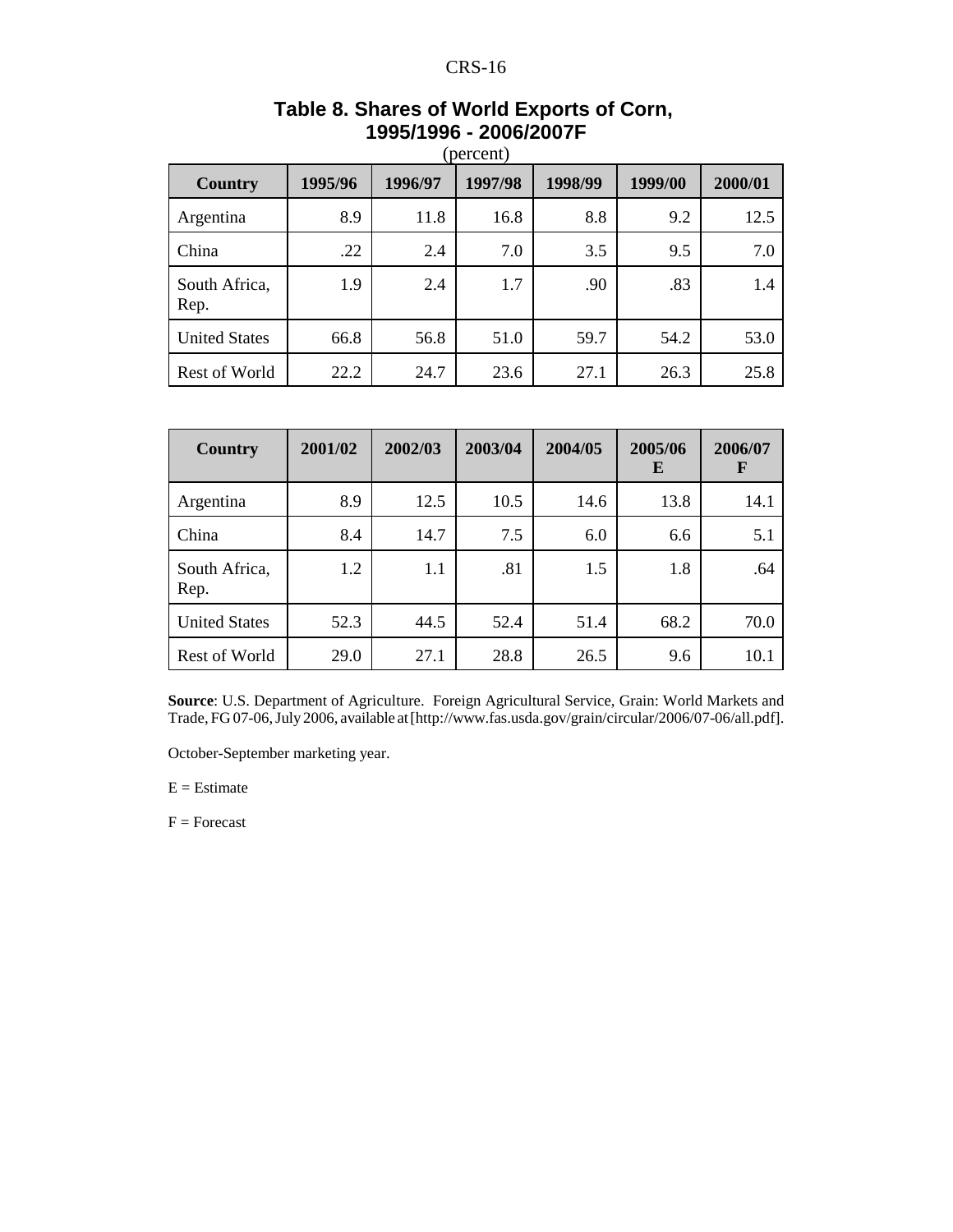| <b>Country</b>        | (percent)<br>1997/98<br>1995/96<br>1996/97<br>1998/99<br>1999/00<br>2000/01 |      |      |      |      |      |  |  |  |
|-----------------------|-----------------------------------------------------------------------------|------|------|------|------|------|--|--|--|
|                       |                                                                             |      |      |      |      |      |  |  |  |
| Argentina             | 8.9                                                                         | 11.8 | 16.8 | 8.8  | 9.2  | 12.5 |  |  |  |
| China                 | .22                                                                         | 2.4  | 7.0  | 3.5  | 9.5  | 7.0  |  |  |  |
| South Africa,<br>Rep. | 1.9                                                                         | 2.4  | 1.7  | .90  | .83  | 1.4  |  |  |  |
| <b>United States</b>  | 66.8                                                                        | 56.8 | 51.0 | 59.7 | 54.2 | 53.0 |  |  |  |
| Rest of World         | 22.2                                                                        | 24.7 | 23.6 | 27.1 | 26.3 | 25.8 |  |  |  |

# **Table 8. Shares of World Exports of Corn, 1995/1996 - 2006/2007F**

| Country               | 2001/02 | 2002/03 | 2003/04 | 2004/05 | 2005/06<br>E | 2006/07<br>F |
|-----------------------|---------|---------|---------|---------|--------------|--------------|
| Argentina             | 8.9     | 12.5    | 10.5    | 14.6    | 13.8         | 14.1         |
| China                 | 8.4     | 14.7    | 7.5     | 6.0     | 6.6          | 5.1          |
| South Africa,<br>Rep. | 1.2     | 1.1     | .81     | 1.5     | 1.8          | .64          |
| <b>United States</b>  | 52.3    | 44.5    | 52.4    | 51.4    | 68.2         | 70.0         |
| Rest of World         | 29.0    | 27.1    | 28.8    | 26.5    | 9.6          | 10.1         |

**Source**: U.S. Department of Agriculture. Foreign Agricultural Service, Grain: World Markets and Trade, FG 07-06, July 2006, available at [http://www.fas.usda.gov/grain/circular/2006/07-06/all.pdf].

October-September marketing year.

 $E =$ Estimate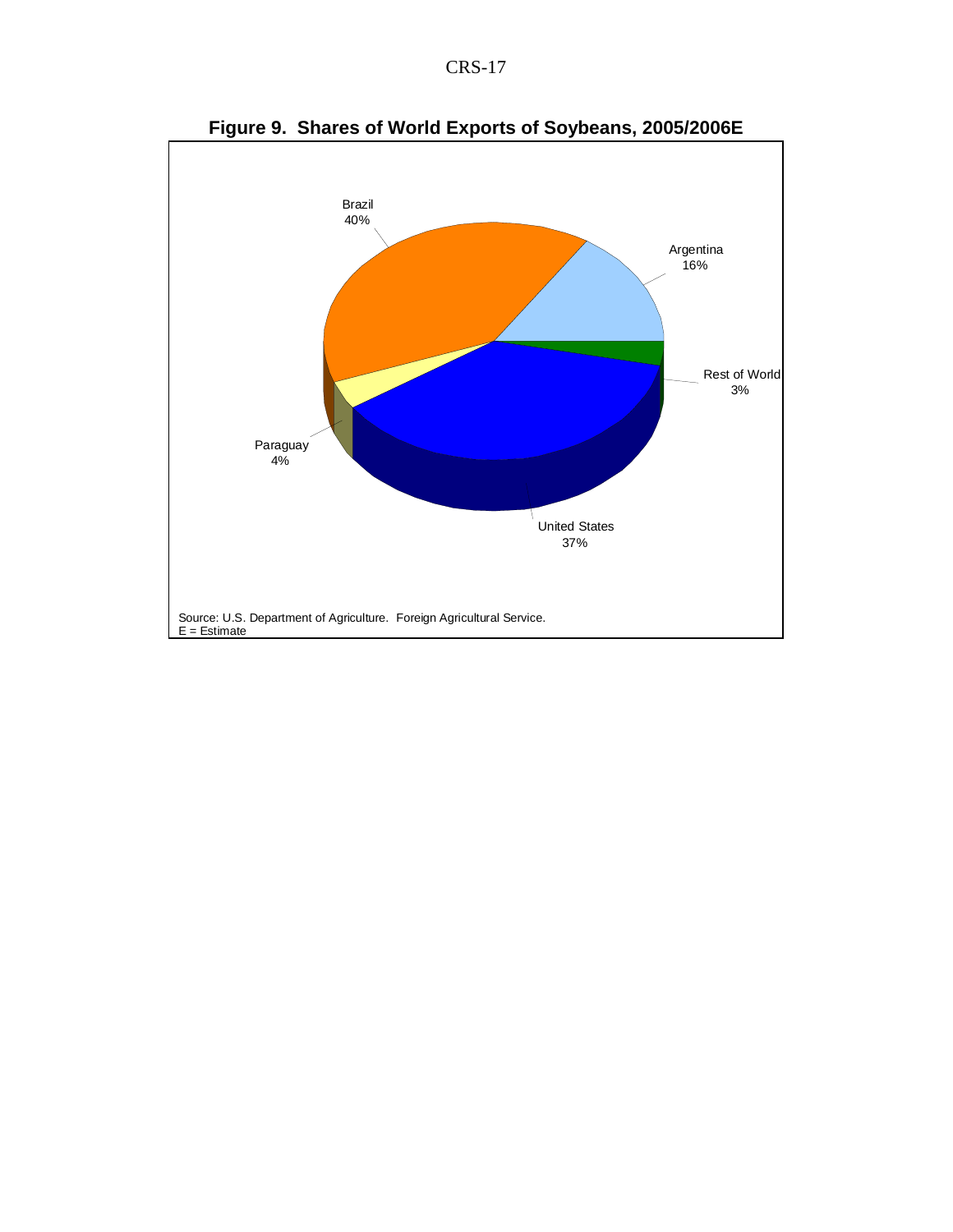|--|--|



**Figure 9. Shares of World Exports of Soybeans, 2005/2006E**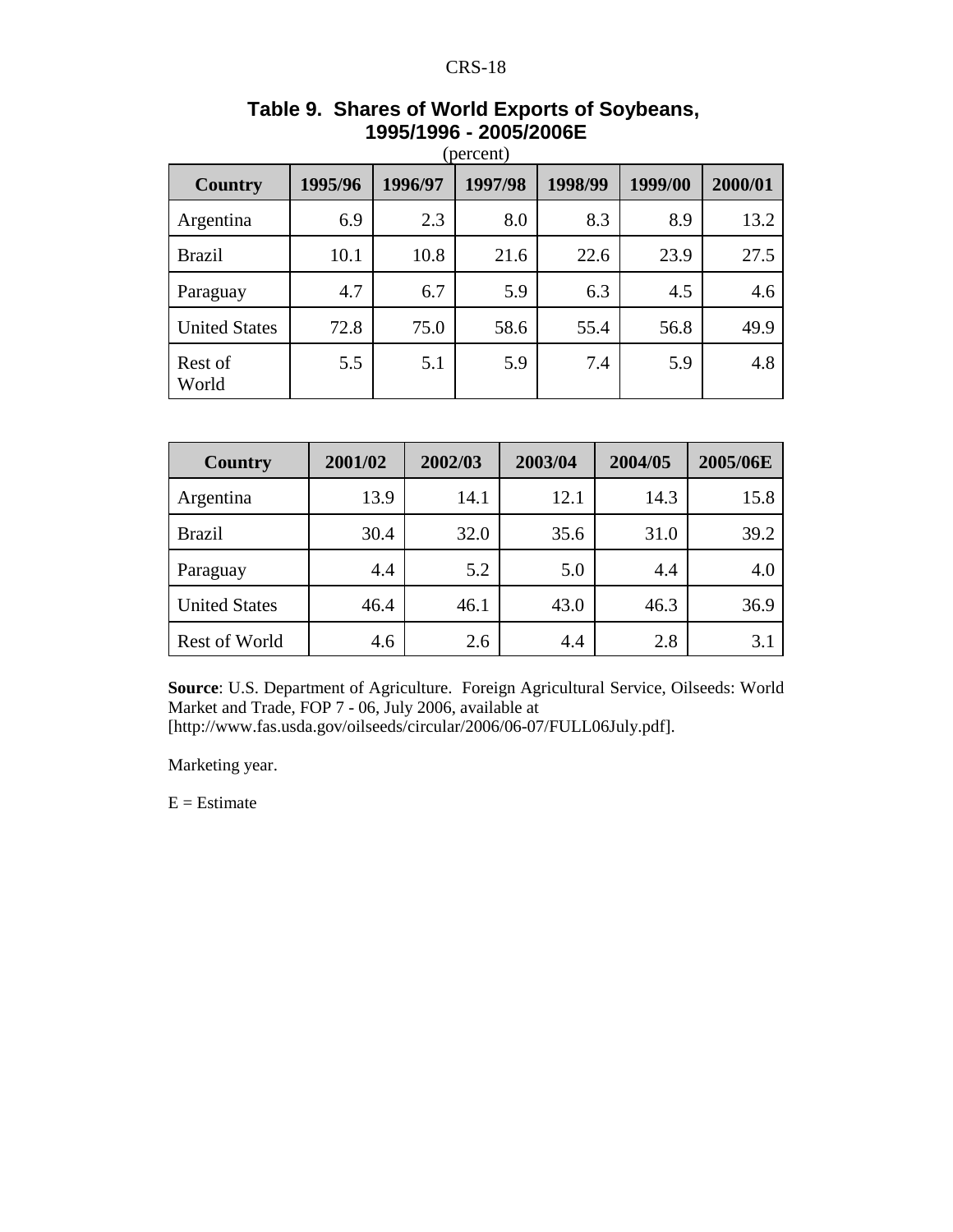| <b>Country</b>       | 1995/96 | 1996/97 | 1997/98 | 1998/99 | 1999/00 | 2000/01 |
|----------------------|---------|---------|---------|---------|---------|---------|
| Argentina            | 6.9     | 2.3     | 8.0     | 8.3     | 8.9     | 13.2    |
| <b>Brazil</b>        | 10.1    | 10.8    | 21.6    | 22.6    | 23.9    | 27.5    |
| Paraguay             | 4.7     | 6.7     | 5.9     | 6.3     | 4.5     | 4.6     |
| <b>United States</b> | 72.8    | 75.0    | 58.6    | 55.4    | 56.8    | 49.9    |
| Rest of<br>World     | 5.5     | 5.1     | 5.9     | 7.4     | 5.9     | 4.8     |

# **Table 9. Shares of World Exports of Soybeans, 1995/1996 - 2005/2006E**

| <b>Country</b>       | 2001/02 | 2002/03 | 2003/04 | 2004/05 | 2005/06E |
|----------------------|---------|---------|---------|---------|----------|
| Argentina            | 13.9    | 14.1    | 12.1    | 14.3    | 15.8     |
| <b>Brazil</b>        | 30.4    | 32.0    | 35.6    | 31.0    | 39.2     |
| Paraguay             | 4.4     | 5.2     | 5.0     | 4.4     | 4.0      |
| <b>United States</b> | 46.4    | 46.1    | 43.0    | 46.3    | 36.9     |
| <b>Rest of World</b> | 4.6     | 2.6     | 4.4     | 2.8     | 3.1      |

**Source**: U.S. Department of Agriculture. Foreign Agricultural Service, Oilseeds: World Market and Trade, FOP 7 - 06, July 2006, available at [http://www.fas.usda.gov/oilseeds/circular/2006/06-07/FULL06July.pdf].

Marketing year.

 $E =$ Estimate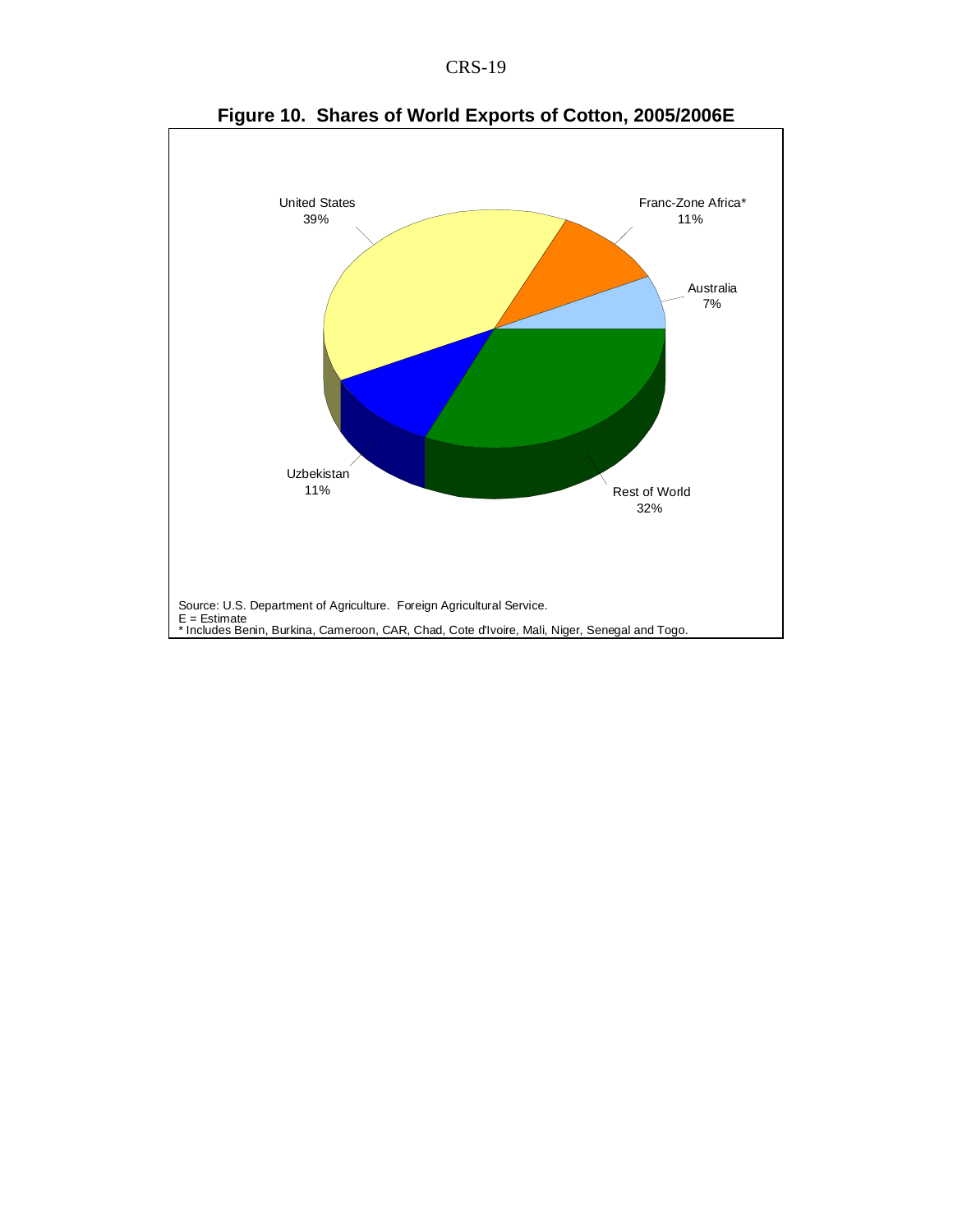



**Figure 10. Shares of World Exports of Cotton, 2005/2006E**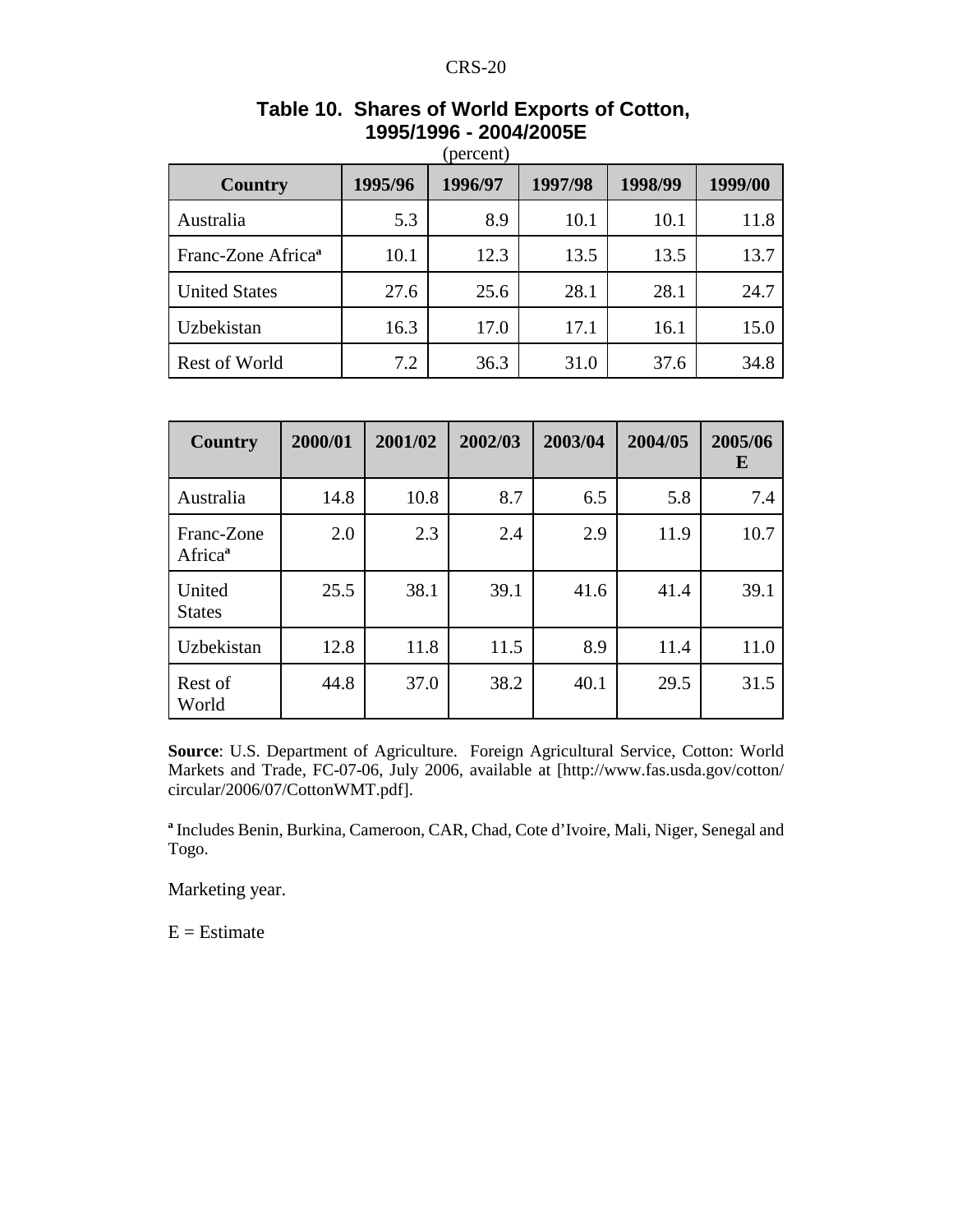| Country                        | 1995/96 | 1996/97 | 1997/98 | 1998/99 | 1999/00 |
|--------------------------------|---------|---------|---------|---------|---------|
| Australia                      | 5.3     | 8.9     | 10.1    | 10.1    | 11.8    |
| Franc-Zone Africa <sup>a</sup> | 10.1    | 12.3    | 13.5    | 13.5    | 13.7    |
| <b>United States</b>           | 27.6    | 25.6    | 28.1    | 28.1    | 24.7    |
| Uzbekistan                     | 16.3    | 17.0    | 17.1    | 16.1    | 15.0    |
| <b>Rest of World</b>           | 7.2     | 36.3    | 31.0    | 37.6    | 34.8    |

# **Table 10. Shares of World Exports of Cotton, 1995/1996 - 2004/2005E**

| Country                           | 2000/01 | 2001/02 | 2002/03 | 2003/04 | 2004/05 | 2005/06<br>E |
|-----------------------------------|---------|---------|---------|---------|---------|--------------|
| Australia                         | 14.8    | 10.8    | 8.7     | 6.5     | 5.8     | 7.4          |
| Franc-Zone<br>Africa <sup>a</sup> | 2.0     | 2.3     | 2.4     | 2.9     | 11.9    | 10.7         |
| United<br><b>States</b>           | 25.5    | 38.1    | 39.1    | 41.6    | 41.4    | 39.1         |
| Uzbekistan                        | 12.8    | 11.8    | 11.5    | 8.9     | 11.4    | 11.0         |
| Rest of<br>World                  | 44.8    | 37.0    | 38.2    | 40.1    | 29.5    | 31.5         |

**Source**: U.S. Department of Agriculture. Foreign Agricultural Service, Cotton: World Markets and Trade, FC-07-06, July 2006, available at [http://www.fas.usda.gov/cotton/ circular/2006/07/CottonWMT.pdf].

**a** Includes Benin, Burkina, Cameroon, CAR, Chad, Cote d'Ivoire, Mali, Niger, Senegal and Togo.

Marketing year.

 $E =$ Estimate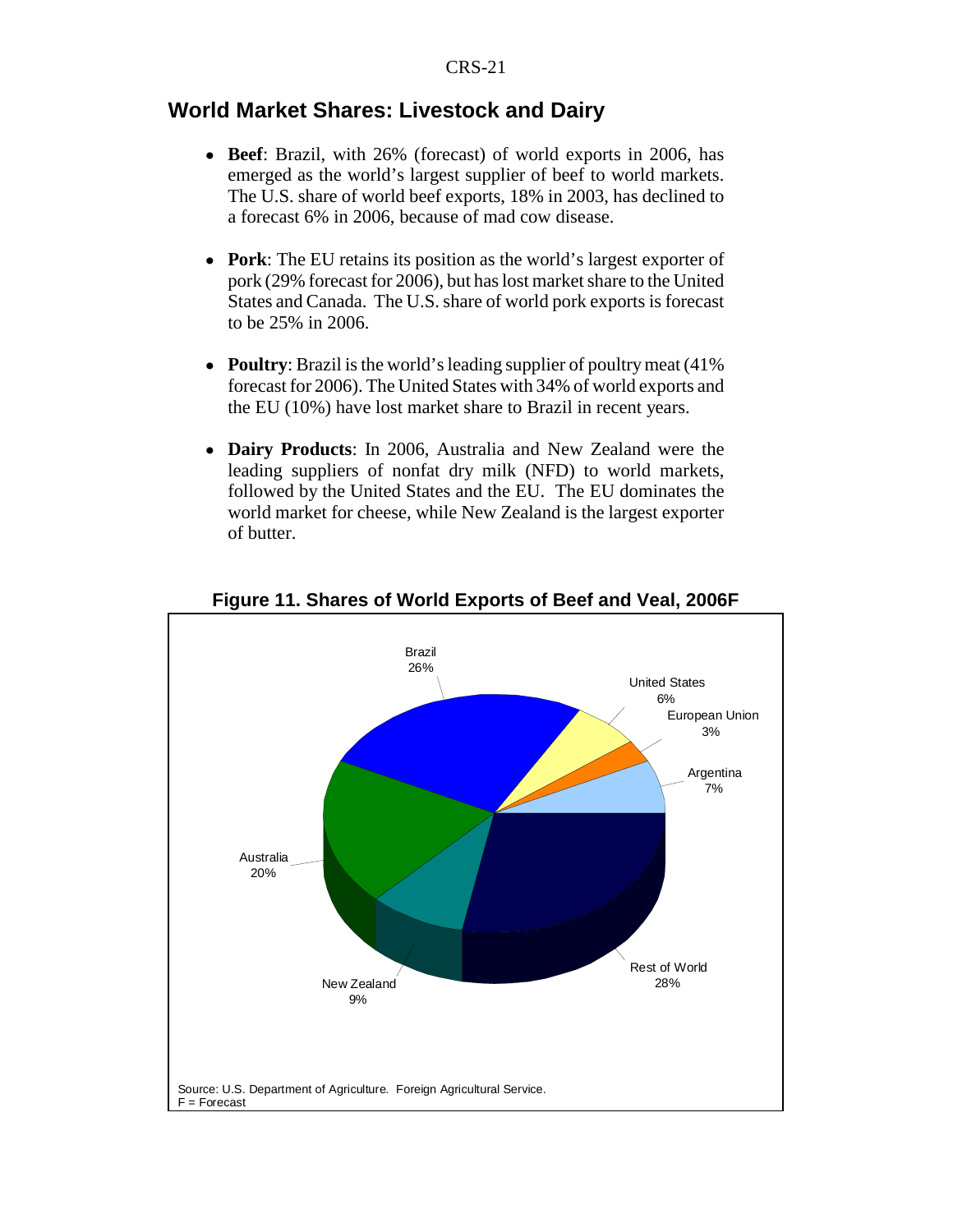## **World Market Shares: Livestock and Dairy**

- ! **Beef**: Brazil, with 26% (forecast) of world exports in 2006, has emerged as the world's largest supplier of beef to world markets. The U.S. share of world beef exports, 18% in 2003, has declined to a forecast 6% in 2006, because of mad cow disease.
- **Pork**: The EU retains its position as the world's largest exporter of pork (29% forecast for 2006), but has lost market share to the United States and Canada. The U.S. share of world pork exports is forecast to be 25% in 2006.
- **Poultry**: Brazil is the world's leading supplier of poultry meat (41%) forecast for 2006). The United States with 34% of world exports and the EU (10%) have lost market share to Brazil in recent years.
- ! **Dairy Products**: In 2006, Australia and New Zealand were the leading suppliers of nonfat dry milk (NFD) to world markets, followed by the United States and the EU. The EU dominates the world market for cheese, while New Zealand is the largest exporter of butter.



#### **Figure 11. Shares of World Exports of Beef and Veal, 2006F**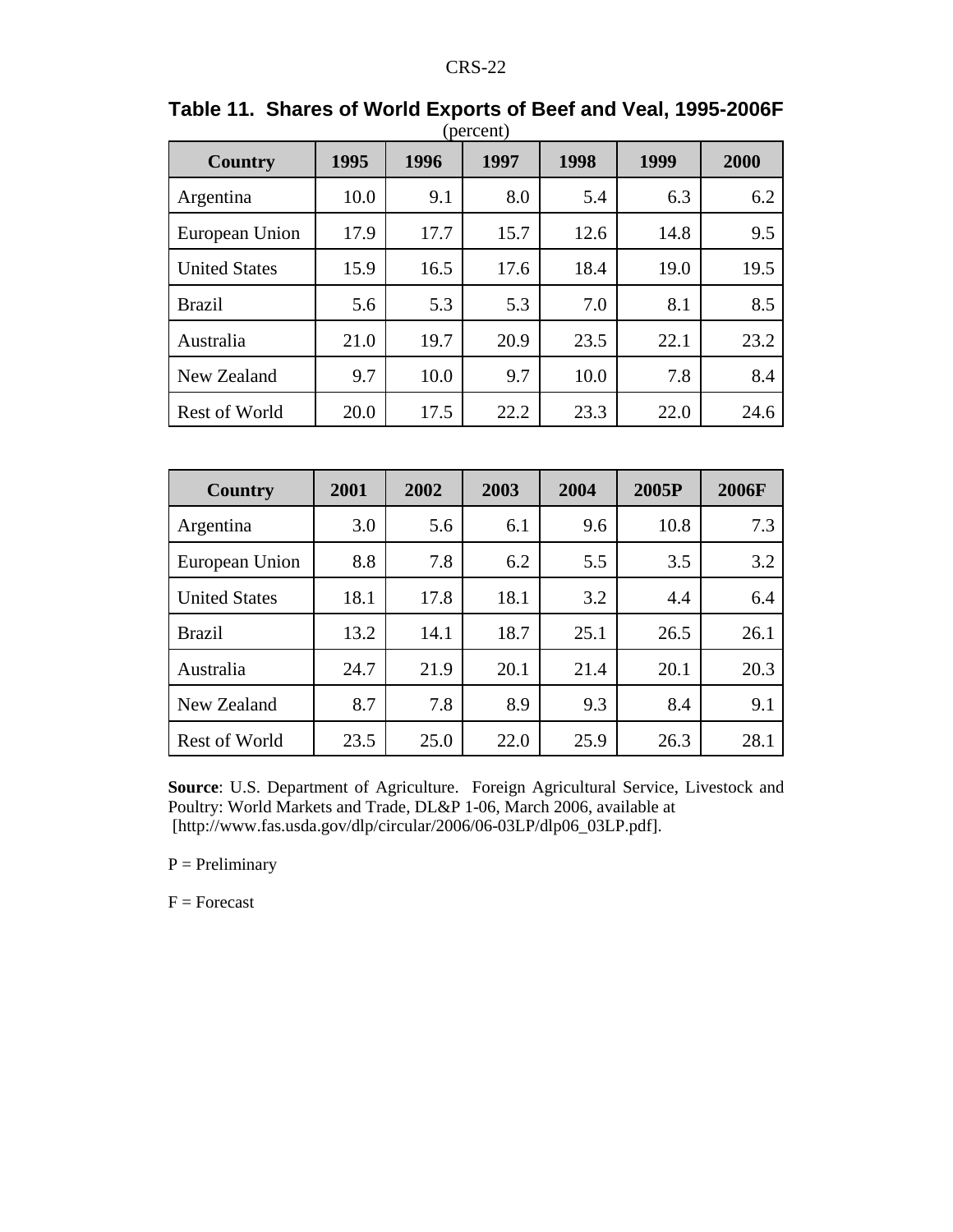| Country              | 1995 | 1996 | 1997 | 1998 | 1999 | 2000 |
|----------------------|------|------|------|------|------|------|
| Argentina            | 10.0 | 9.1  | 8.0  | 5.4  | 6.3  | 6.2  |
| European Union       | 17.9 | 17.7 | 15.7 | 12.6 | 14.8 | 9.5  |
| <b>United States</b> | 15.9 | 16.5 | 17.6 | 18.4 | 19.0 | 19.5 |
| <b>Brazil</b>        | 5.6  | 5.3  | 5.3  | 7.0  | 8.1  | 8.5  |
| Australia            | 21.0 | 19.7 | 20.9 | 23.5 | 22.1 | 23.2 |
| New Zealand          | 9.7  | 10.0 | 9.7  | 10.0 | 7.8  | 8.4  |
| <b>Rest of World</b> | 20.0 | 17.5 | 22.2 | 23.3 | 22.0 | 24.6 |

| Table 11. Shares of World Exports of Beef and Veal, 1995-2006F |           |  |
|----------------------------------------------------------------|-----------|--|
|                                                                | (percent) |  |

| <b>Country</b>       | 2001 | 2002 | 2003 | 2004 | 2005P | 2006F |
|----------------------|------|------|------|------|-------|-------|
| Argentina            | 3.0  | 5.6  | 6.1  | 9.6  | 10.8  | 7.3   |
| European Union       | 8.8  | 7.8  | 6.2  | 5.5  | 3.5   | 3.2   |
| <b>United States</b> | 18.1 | 17.8 | 18.1 | 3.2  | 4.4   | 6.4   |
| <b>Brazil</b>        | 13.2 | 14.1 | 18.7 | 25.1 | 26.5  | 26.1  |
| Australia            | 24.7 | 21.9 | 20.1 | 21.4 | 20.1  | 20.3  |
| New Zealand          | 8.7  | 7.8  | 8.9  | 9.3  | 8.4   | 9.1   |
| <b>Rest of World</b> | 23.5 | 25.0 | 22.0 | 25.9 | 26.3  | 28.1  |

**Source**: U.S. Department of Agriculture. Foreign Agricultural Service, Livestock and Poultry: World Markets and Trade, DL&P 1-06, March 2006, available at [http://www.fas.usda.gov/dlp/circular/2006/06-03LP/dlp06\_03LP.pdf].

 $P = Preliminary$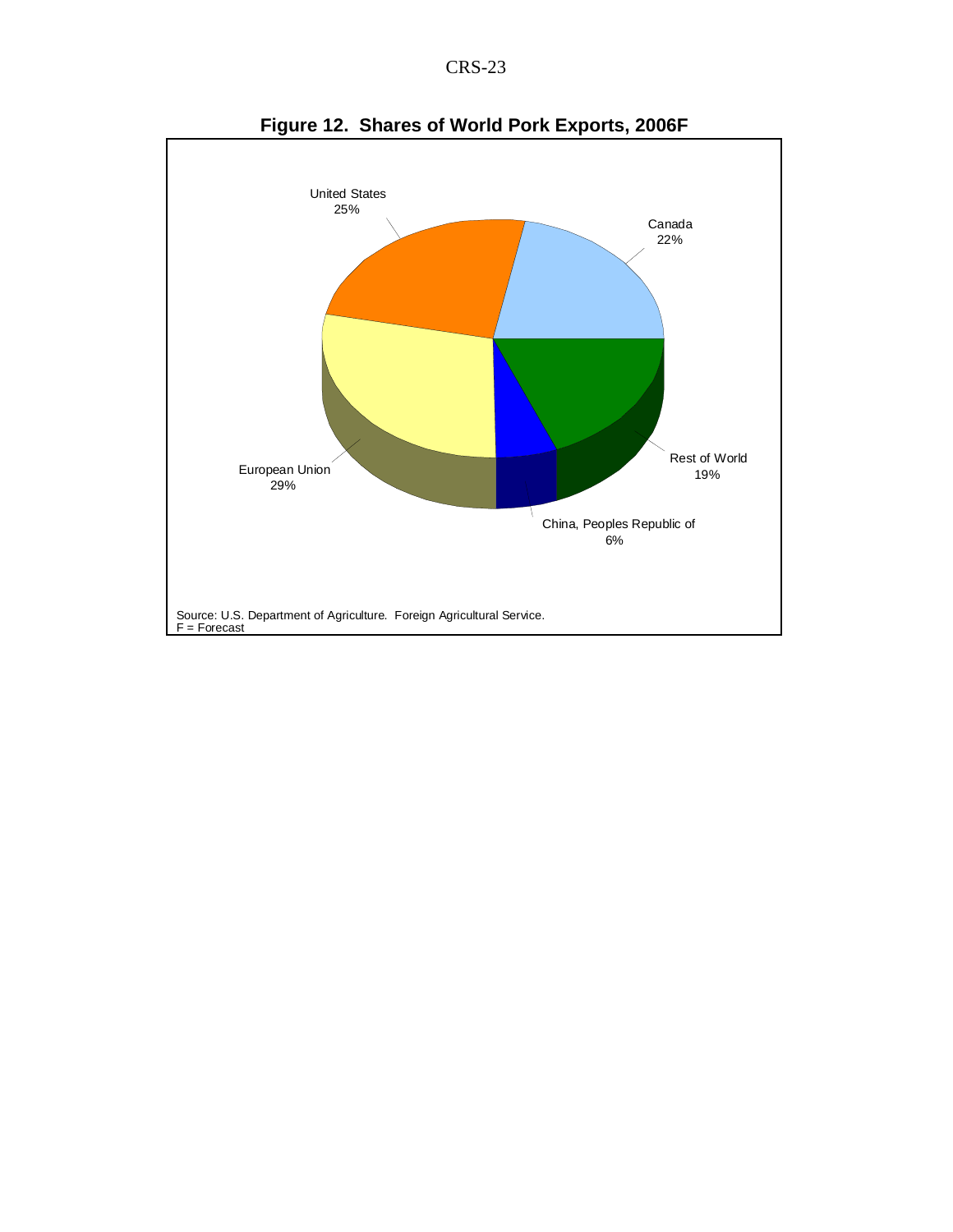CRS-23



**Figure 12. Shares of World Pork Exports, 2006F**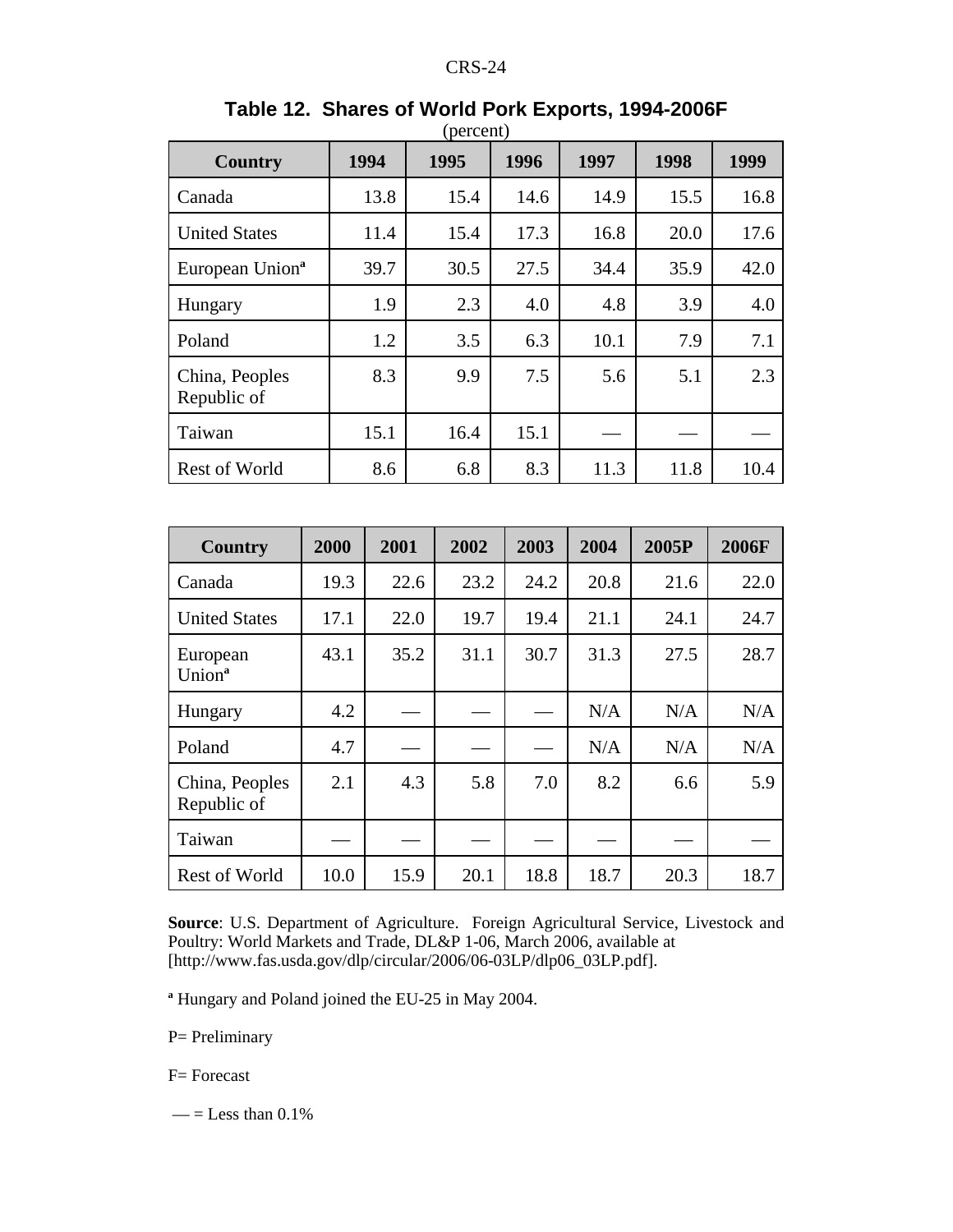| <b>Country</b>                | 1994 | 1995 | 1996 | 1997 | 1998 | 1999 |
|-------------------------------|------|------|------|------|------|------|
| Canada                        | 13.8 | 15.4 | 14.6 | 14.9 | 15.5 | 16.8 |
| <b>United States</b>          | 11.4 | 15.4 | 17.3 | 16.8 | 20.0 | 17.6 |
| European Union <sup>a</sup>   | 39.7 | 30.5 | 27.5 | 34.4 | 35.9 | 42.0 |
| Hungary                       | 1.9  | 2.3  | 4.0  | 4.8  | 3.9  | 4.0  |
| Poland                        | 1.2  | 3.5  | 6.3  | 10.1 | 7.9  | 7.1  |
| China, Peoples<br>Republic of | 8.3  | 9.9  | 7.5  | 5.6  | 5.1  | 2.3  |
| Taiwan                        | 15.1 | 16.4 | 15.1 |      |      |      |
| <b>Rest of World</b>          | 8.6  | 6.8  | 8.3  | 11.3 | 11.8 | 10.4 |

#### **Table 12. Shares of World Pork Exports, 1994-2006F**  $(narcant)$

| Country                        | 2000 | 2001 | 2002 | 2003 | 2004 | 2005P | 2006F |
|--------------------------------|------|------|------|------|------|-------|-------|
| Canada                         | 19.3 | 22.6 | 23.2 | 24.2 | 20.8 | 21.6  | 22.0  |
| <b>United States</b>           | 17.1 | 22.0 | 19.7 | 19.4 | 21.1 | 24.1  | 24.7  |
| European<br>Union <sup>a</sup> | 43.1 | 35.2 | 31.1 | 30.7 | 31.3 | 27.5  | 28.7  |
| Hungary                        | 4.2  |      |      |      | N/A  | N/A   | N/A   |
| Poland                         | 4.7  |      |      |      | N/A  | N/A   | N/A   |
| China, Peoples<br>Republic of  | 2.1  | 4.3  | 5.8  | 7.0  | 8.2  | 6.6   | 5.9   |
| Taiwan                         |      |      |      |      |      |       |       |
| <b>Rest of World</b>           | 10.0 | 15.9 | 20.1 | 18.8 | 18.7 | 20.3  | 18.7  |

**Source**: U.S. Department of Agriculture. Foreign Agricultural Service, Livestock and Poultry: World Markets and Trade, DL&P 1-06, March 2006, available at [http://www.fas.usda.gov/dlp/circular/2006/06-03LP/dlp06\_03LP.pdf].

**a** Hungary and Poland joined the EU-25 in May 2004.

P= Preliminary

F= Forecast

 $\qquad$  = Less than 0.1%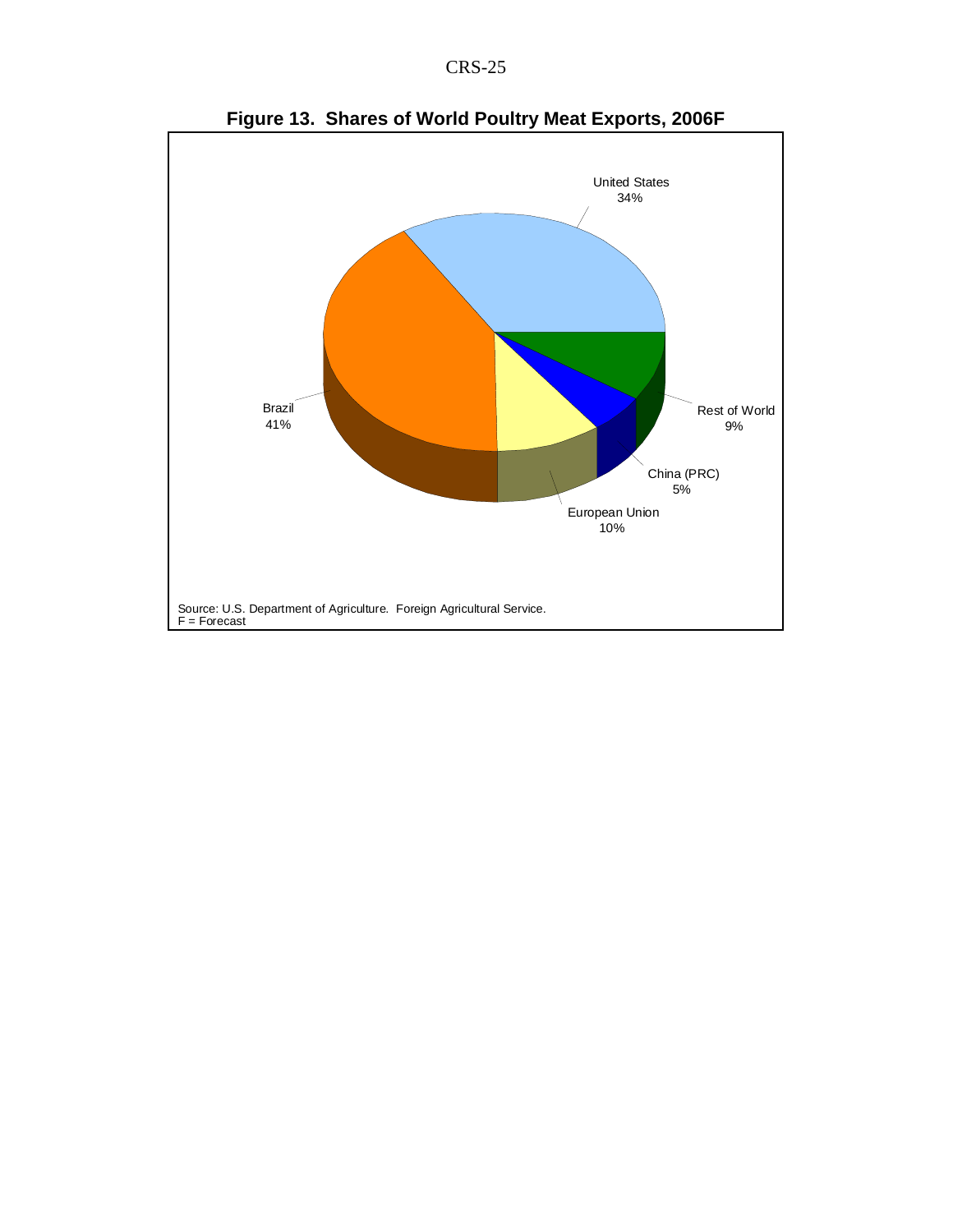



**Figure 13. Shares of World Poultry Meat Exports, 2006F**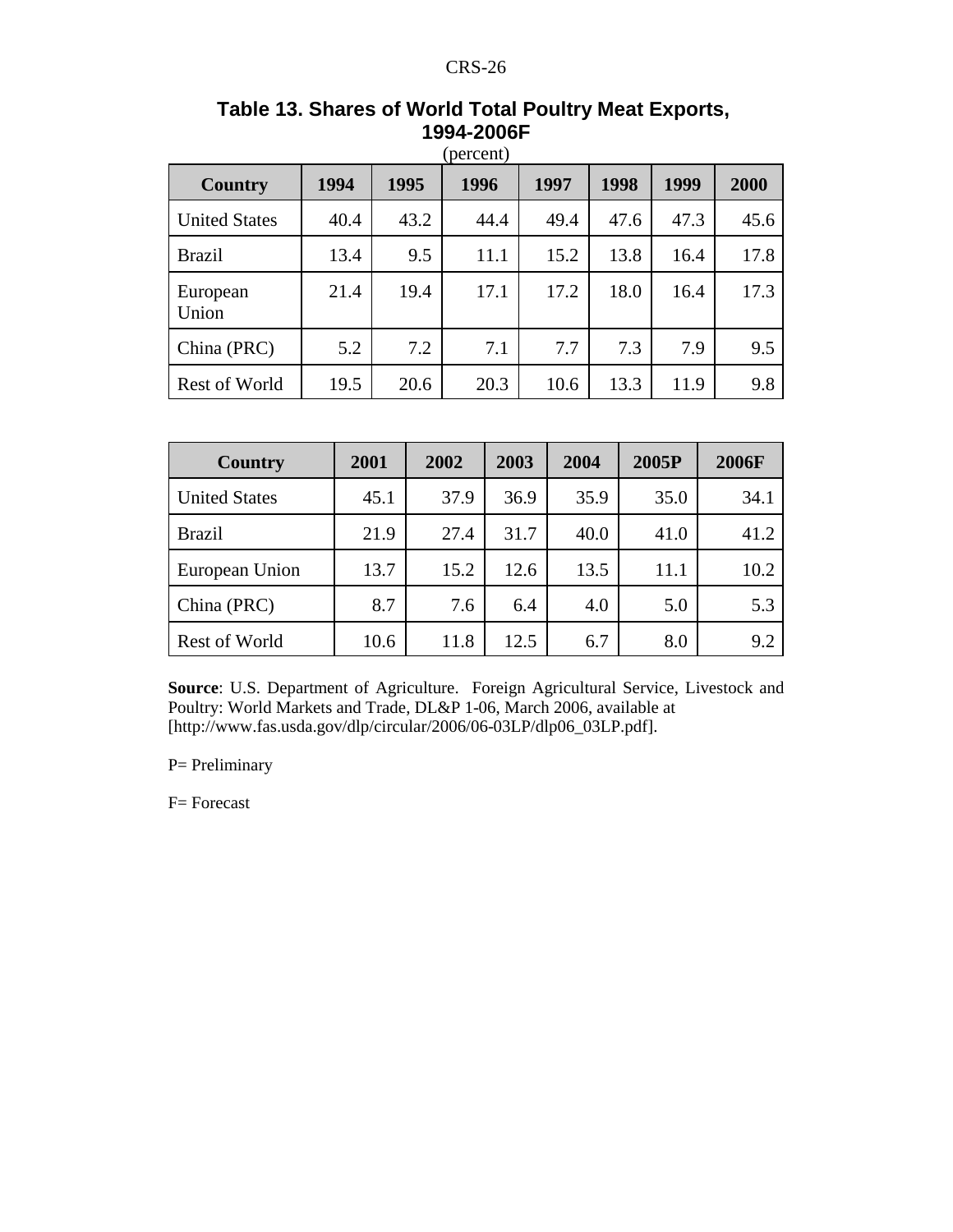| Country              | 1994 | 1995 | 1996 | 1997 | 1998 | 1999 | 2000 |
|----------------------|------|------|------|------|------|------|------|
| <b>United States</b> | 40.4 | 43.2 | 44.4 | 49.4 | 47.6 | 47.3 | 45.6 |
| <b>Brazil</b>        | 13.4 | 9.5  | 11.1 | 15.2 | 13.8 | 16.4 | 17.8 |
| European<br>Union    | 21.4 | 19.4 | 17.1 | 17.2 | 18.0 | 16.4 | 17.3 |
| China (PRC)          | 5.2  | 7.2  | 7.1  | 7.7  | 7.3  | 7.9  | 9.5  |
| <b>Rest of World</b> | 19.5 | 20.6 | 20.3 | 10.6 | 13.3 | 11.9 | 9.8  |

## **Table 13. Shares of World Total Poultry Meat Exports, 1994-2006F**

| <b>Country</b>       | 2001 | 2002 | 2003 | 2004 | 2005P | <b>2006F</b> |
|----------------------|------|------|------|------|-------|--------------|
| <b>United States</b> | 45.1 | 37.9 | 36.9 | 35.9 | 35.0  | 34.1         |
| <b>Brazil</b>        | 21.9 | 27.4 | 31.7 | 40.0 | 41.0  | 41.2         |
| European Union       | 13.7 | 15.2 | 12.6 | 13.5 | 11.1  | 10.2         |
| China (PRC)          | 8.7  | 7.6  | 6.4  | 4.0  | 5.0   | 5.3          |
| <b>Rest of World</b> | 10.6 | 11.8 | 12.5 | 6.7  | 8.0   | 9.2          |

**Source**: U.S. Department of Agriculture. Foreign Agricultural Service, Livestock and Poultry: World Markets and Trade, DL&P 1-06, March 2006, available at [http://www.fas.usda.gov/dlp/circular/2006/06-03LP/dlp06\_03LP.pdf].

P= Preliminary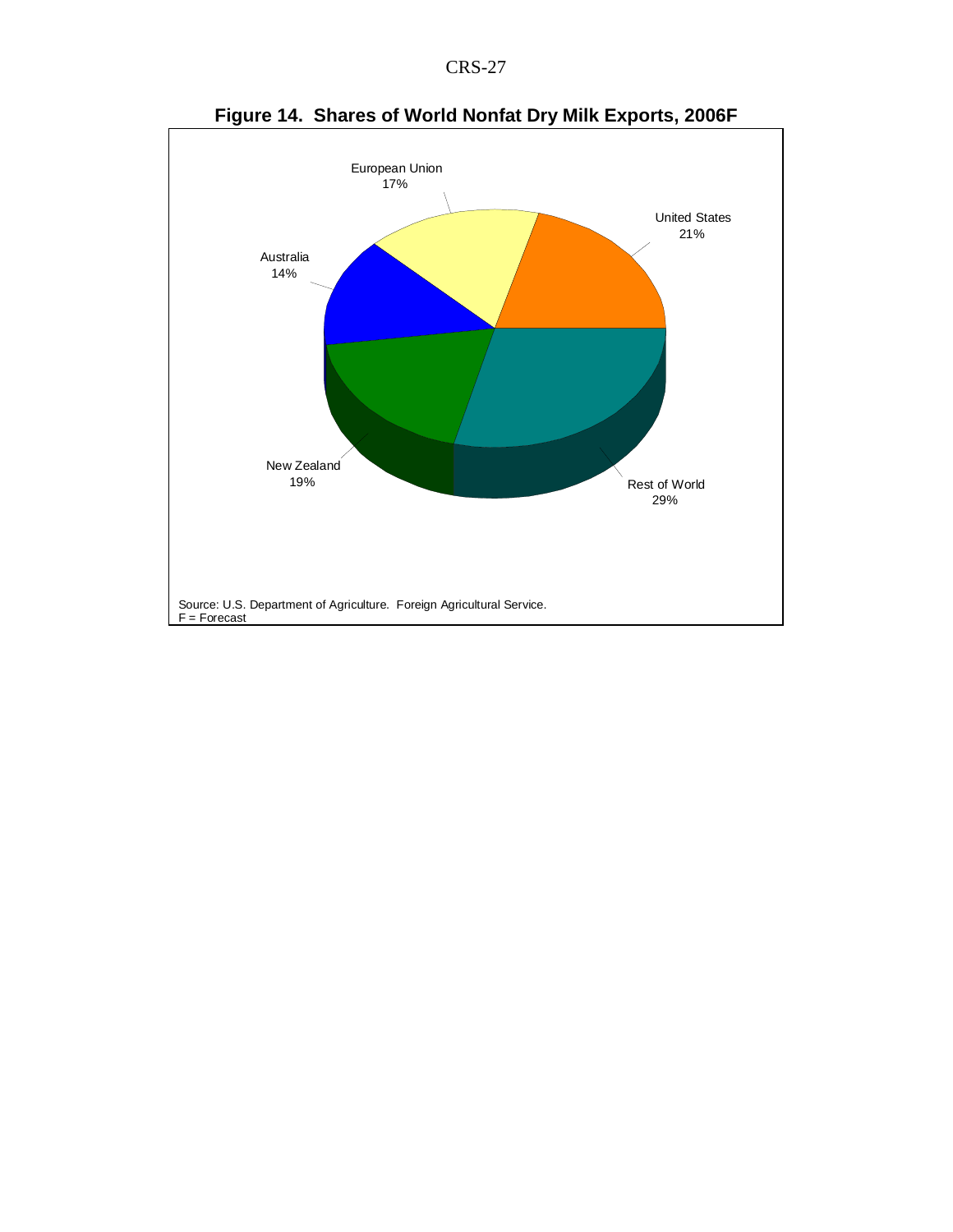



**Figure 14. Shares of World Nonfat Dry Milk Exports, 2006F**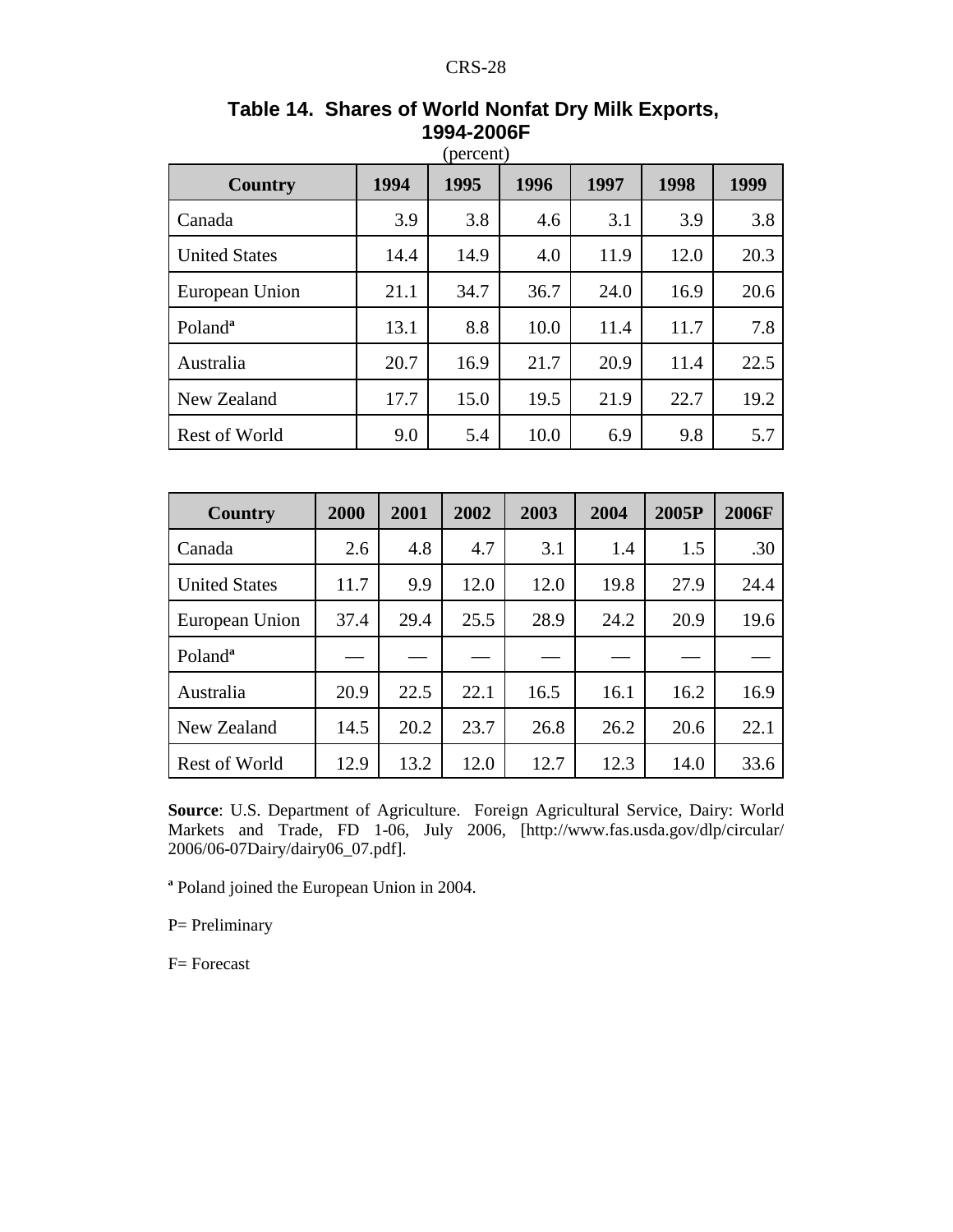| <b>Country</b>       | 1994 | 1995 | 1996 | 1997 | 1998 | 1999 |
|----------------------|------|------|------|------|------|------|
| Canada               | 3.9  | 3.8  | 4.6  | 3.1  | 3.9  | 3.8  |
| <b>United States</b> | 14.4 | 14.9 | 4.0  | 11.9 | 12.0 | 20.3 |
| European Union       | 21.1 | 34.7 | 36.7 | 24.0 | 16.9 | 20.6 |
| Poland <sup>a</sup>  | 13.1 | 8.8  | 10.0 | 11.4 | 11.7 | 7.8  |
| Australia            | 20.7 | 16.9 | 21.7 | 20.9 | 11.4 | 22.5 |
| New Zealand          | 17.7 | 15.0 | 19.5 | 21.9 | 22.7 | 19.2 |
| Rest of World        | 9.0  | 5.4  | 10.0 | 6.9  | 9.8  | 5.7  |

**Table 14. Shares of World Nonfat Dry Milk Exports, 1994-2006F**

| <b>Country</b>       | 2000 | 2001 | 2002 | 2003 | 2004 | 2005P | <b>2006F</b> |
|----------------------|------|------|------|------|------|-------|--------------|
| Canada               | 2.6  | 4.8  | 4.7  | 3.1  | 1.4  | 1.5   | .30          |
| <b>United States</b> | 11.7 | 9.9  | 12.0 | 12.0 | 19.8 | 27.9  | 24.4         |
| European Union       | 37.4 | 29.4 | 25.5 | 28.9 | 24.2 | 20.9  | 19.6         |
| Poland <sup>a</sup>  |      |      |      |      |      |       |              |
| Australia            | 20.9 | 22.5 | 22.1 | 16.5 | 16.1 | 16.2  | 16.9         |
| New Zealand          | 14.5 | 20.2 | 23.7 | 26.8 | 26.2 | 20.6  | 22.1         |
| <b>Rest of World</b> | 12.9 | 13.2 | 12.0 | 12.7 | 12.3 | 14.0  | 33.6         |

**Source**: U.S. Department of Agriculture. Foreign Agricultural Service, Dairy: World Markets and Trade, FD 1-06, July 2006, [http://www.fas.usda.gov/dlp/circular/ 2006/06-07Dairy/dairy06\_07.pdf].

**a** Poland joined the European Union in 2004.

P= Preliminary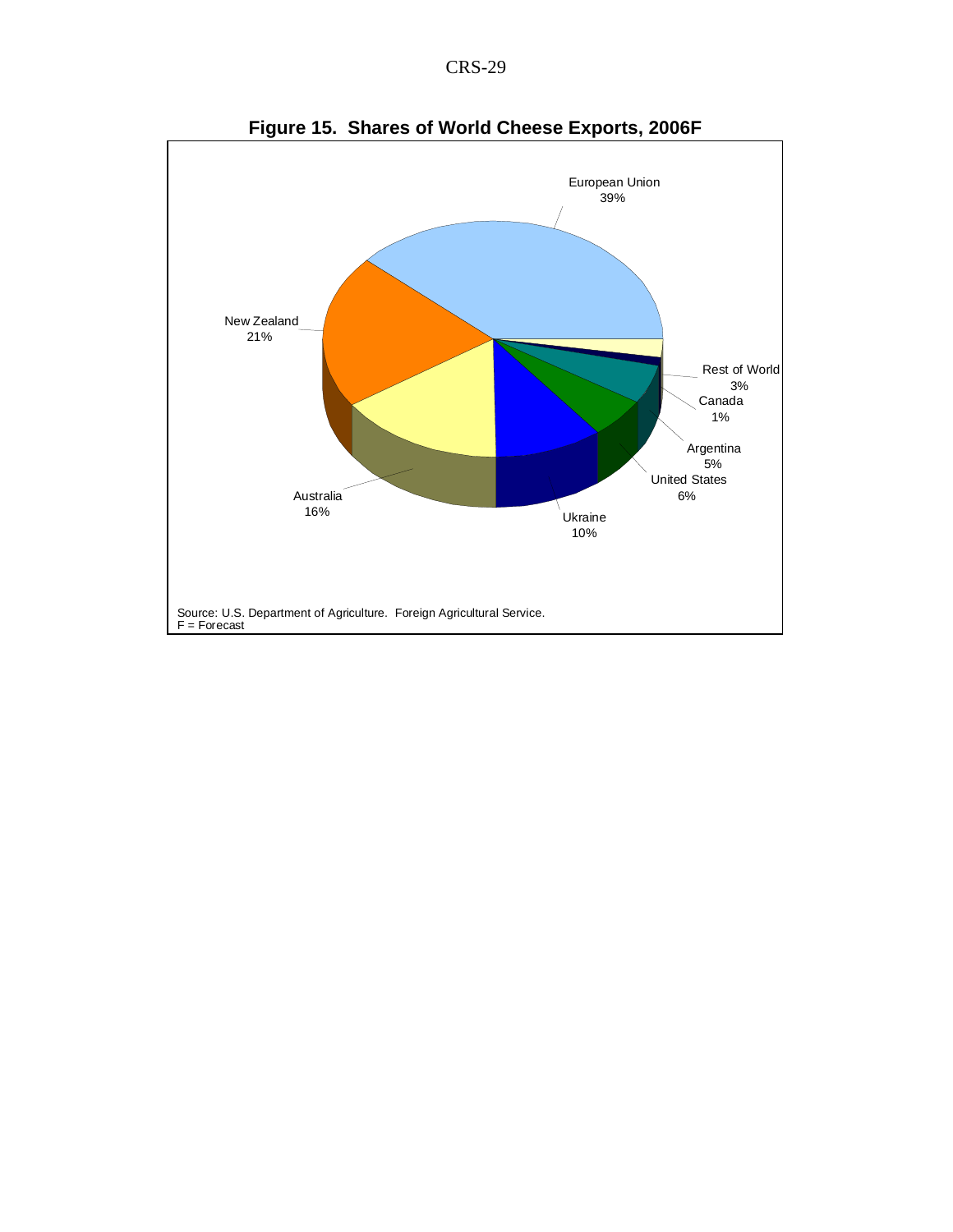

**Figure 15. Shares of World Cheese Exports, 2006F**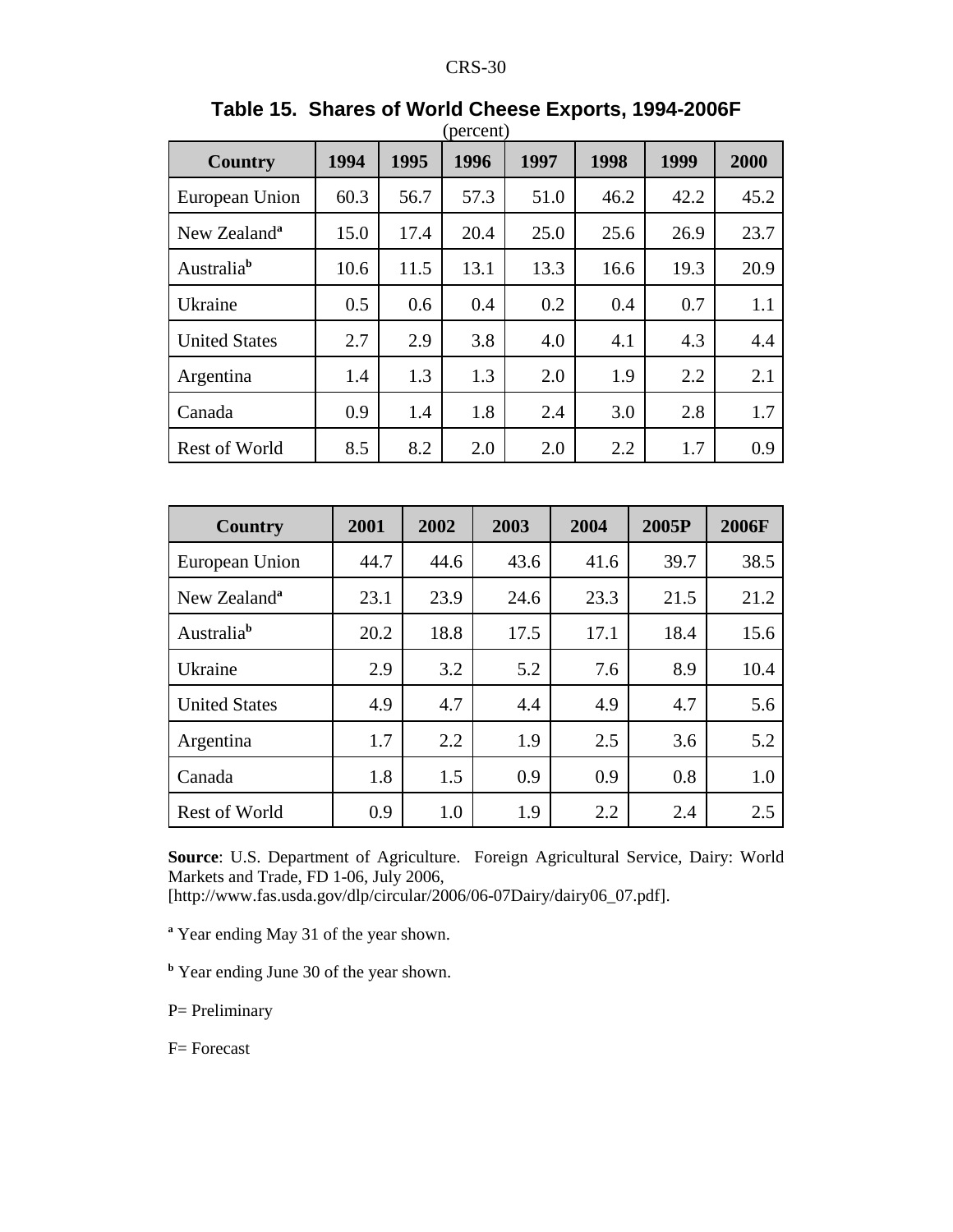| Country                  | 1994 | 1995 | 1996 | 1997 | 1998 | 1999 | 2000 |
|--------------------------|------|------|------|------|------|------|------|
| European Union           | 60.3 | 56.7 | 57.3 | 51.0 | 46.2 | 42.2 | 45.2 |
| New Zealand <sup>a</sup> | 15.0 | 17.4 | 20.4 | 25.0 | 25.6 | 26.9 | 23.7 |
| Australia <sup>b</sup>   | 10.6 | 11.5 | 13.1 | 13.3 | 16.6 | 19.3 | 20.9 |
| Ukraine                  | 0.5  | 0.6  | 0.4  | 0.2  | 0.4  | 0.7  | 1.1  |
| <b>United States</b>     | 2.7  | 2.9  | 3.8  | 4.0  | 4.1  | 4.3  | 4.4  |
| Argentina                | 1.4  | 1.3  | 1.3  | 2.0  | 1.9  | 2.2  | 2.1  |
| Canada                   | 0.9  | 1.4  | 1.8  | 2.4  | 3.0  | 2.8  | 1.7  |
| <b>Rest of World</b>     | 8.5  | 8.2  | 2.0  | 2.0  | 2.2  | 1.7  | 0.9  |

#### **Table 15. Shares of World Cheese Exports, 1994-2006F**  $(narcant)$

| <b>Country</b>           | 2001 | 2002 | 2003 | 2004 | 2005P | <b>2006F</b> |
|--------------------------|------|------|------|------|-------|--------------|
| European Union           | 44.7 | 44.6 | 43.6 | 41.6 | 39.7  | 38.5         |
| New Zealand <sup>a</sup> | 23.1 | 23.9 | 24.6 | 23.3 | 21.5  | 21.2         |
| Australia <sup>b</sup>   | 20.2 | 18.8 | 17.5 | 17.1 | 18.4  | 15.6         |
| Ukraine                  | 2.9  | 3.2  | 5.2  | 7.6  | 8.9   | 10.4         |
| <b>United States</b>     | 4.9  | 4.7  | 4.4  | 4.9  | 4.7   | 5.6          |
| Argentina                | 1.7  | 2.2  | 1.9  | 2.5  | 3.6   | 5.2          |
| Canada                   | 1.8  | 1.5  | 0.9  | 0.9  | 0.8   | 1.0          |
| <b>Rest of World</b>     | 0.9  | 1.0  | 1.9  | 2.2  | 2.4   | 2.5          |

**Source**: U.S. Department of Agriculture. Foreign Agricultural Service, Dairy: World Markets and Trade, FD 1-06, July 2006,

[http://www.fas.usda.gov/dlp/circular/2006/06-07Dairy/dairy06\_07.pdf].

<sup>a</sup> Year ending May 31 of the year shown.

<sup>b</sup> Year ending June 30 of the year shown.

P= Preliminary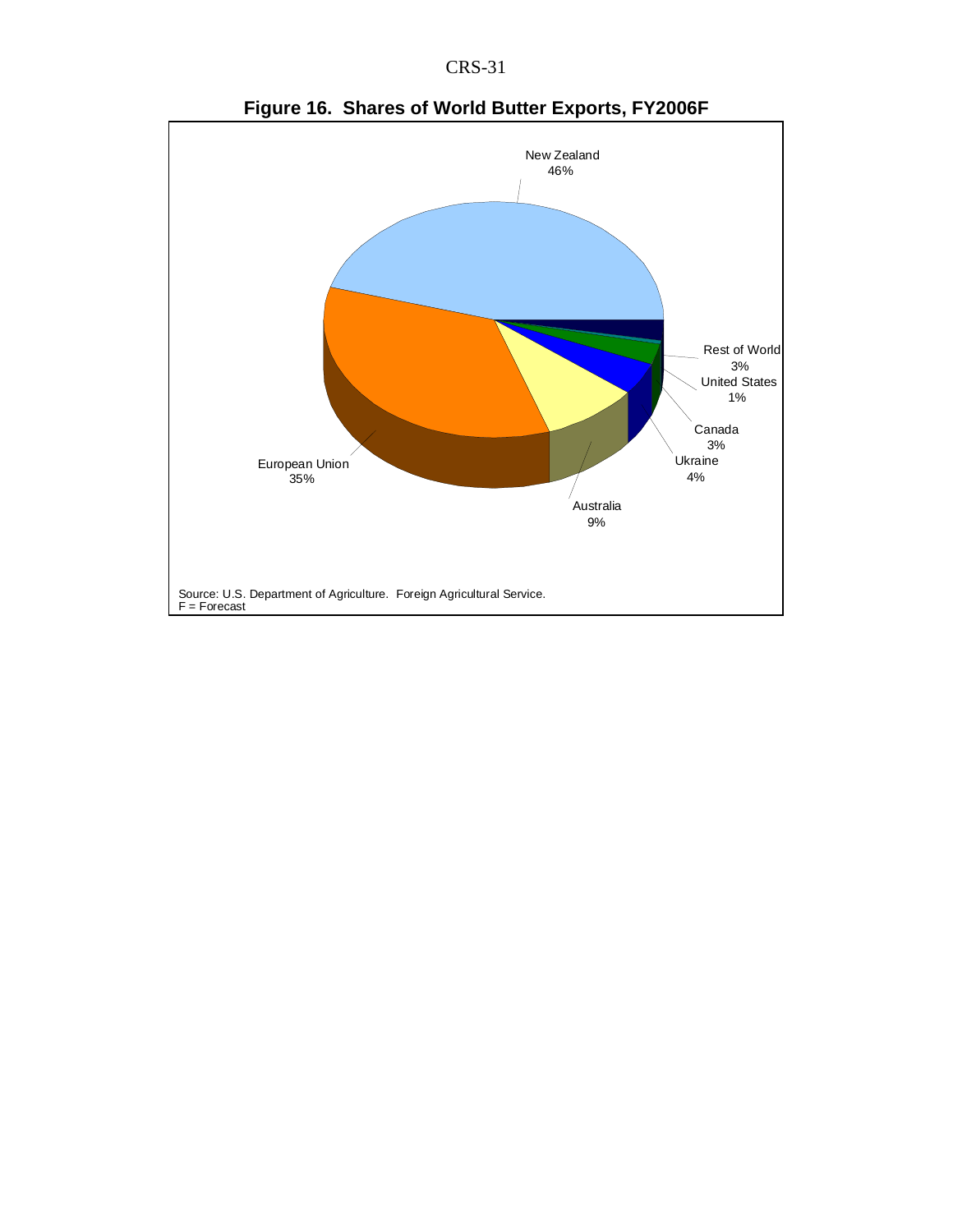



**Figure 16. Shares of World Butter Exports, FY2006F**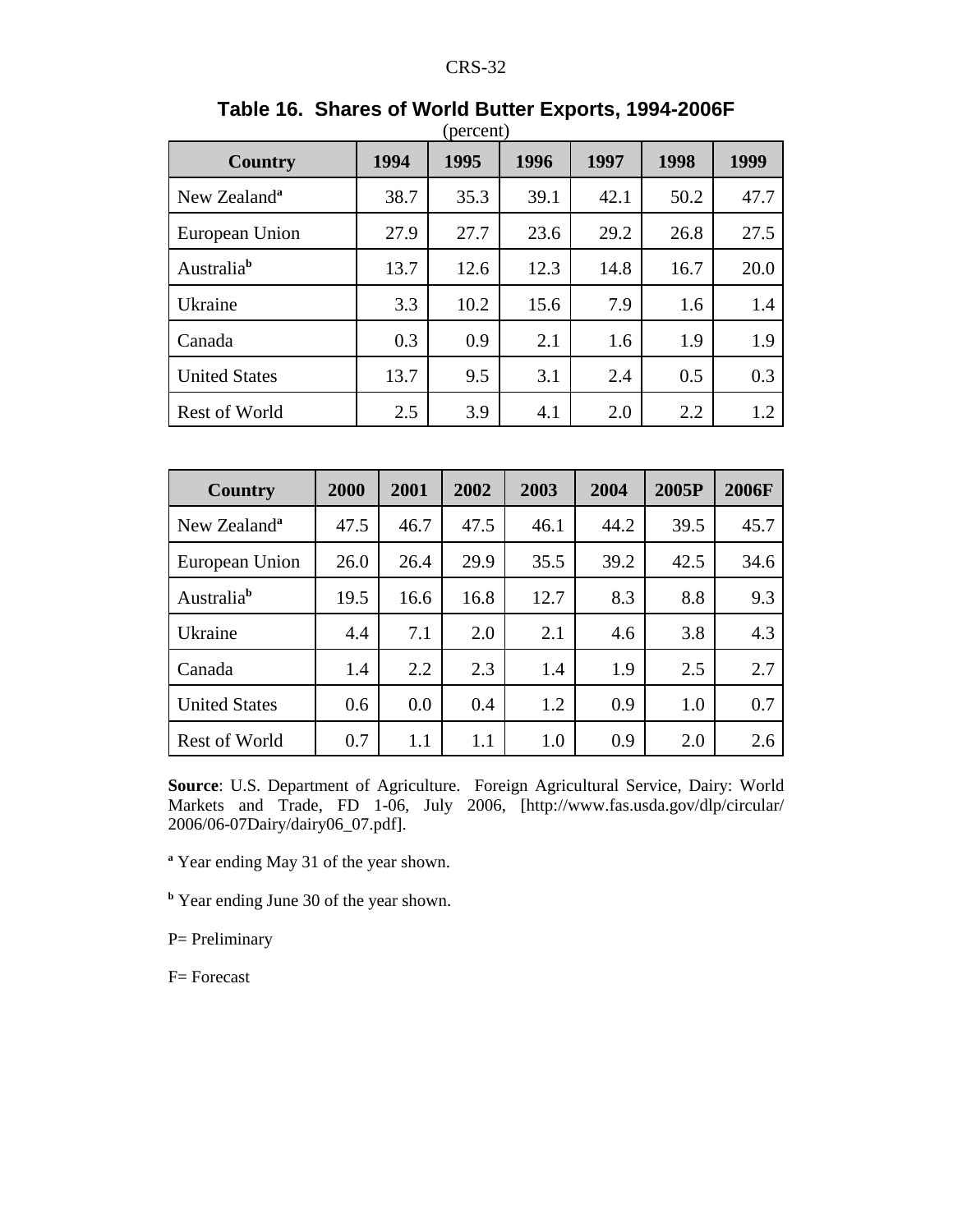| <b>Country</b>           | 1994 | 1995 | 1996 | 1997 | 1998 | 1999 |
|--------------------------|------|------|------|------|------|------|
| New Zealand <sup>a</sup> | 38.7 | 35.3 | 39.1 | 42.1 | 50.2 | 47.7 |
| European Union           | 27.9 | 27.7 | 23.6 | 29.2 | 26.8 | 27.5 |
| Australia <sup>b</sup>   | 13.7 | 12.6 | 12.3 | 14.8 | 16.7 | 20.0 |
| Ukraine                  | 3.3  | 10.2 | 15.6 | 7.9  | 1.6  | 1.4  |
| Canada                   | 0.3  | 0.9  | 2.1  | 1.6  | 1.9  | 1.9  |
| <b>United States</b>     | 13.7 | 9.5  | 3.1  | 2.4  | 0.5  | 0.3  |
| <b>Rest of World</b>     | 2.5  | 3.9  | 4.1  | 2.0  | 2.2  | 1.2  |

#### **Table 16. Shares of World Butter Exports, 1994-2006F** (percent)

| Country                  | 2000 | 2001 | 2002 | 2003 | 2004 | 2005P | 2006F |
|--------------------------|------|------|------|------|------|-------|-------|
| New Zealand <sup>a</sup> | 47.5 | 46.7 | 47.5 | 46.1 | 44.2 | 39.5  | 45.7  |
| European Union           | 26.0 | 26.4 | 29.9 | 35.5 | 39.2 | 42.5  | 34.6  |
| Australia <sup>b</sup>   | 19.5 | 16.6 | 16.8 | 12.7 | 8.3  | 8.8   | 9.3   |
| Ukraine                  | 4.4  | 7.1  | 2.0  | 2.1  | 4.6  | 3.8   | 4.3   |
| Canada                   | 1.4  | 2.2  | 2.3  | 1.4  | 1.9  | 2.5   | 2.7   |
| <b>United States</b>     | 0.6  | 0.0  | 0.4  | 1.2  | 0.9  | 1.0   | 0.7   |
| <b>Rest of World</b>     | 0.7  | 1.1  | 1.1  | 1.0  | 0.9  | 2.0   | 2.6   |

**Source**: U.S. Department of Agriculture. Foreign Agricultural Service, Dairy: World Markets and Trade, FD 1-06, July 2006, [http://www.fas.usda.gov/dlp/circular/ 2006/06-07Dairy/dairy06\_07.pdf].

<sup>a</sup> Year ending May 31 of the year shown.

<sup>b</sup> Year ending June 30 of the year shown.

P= Preliminary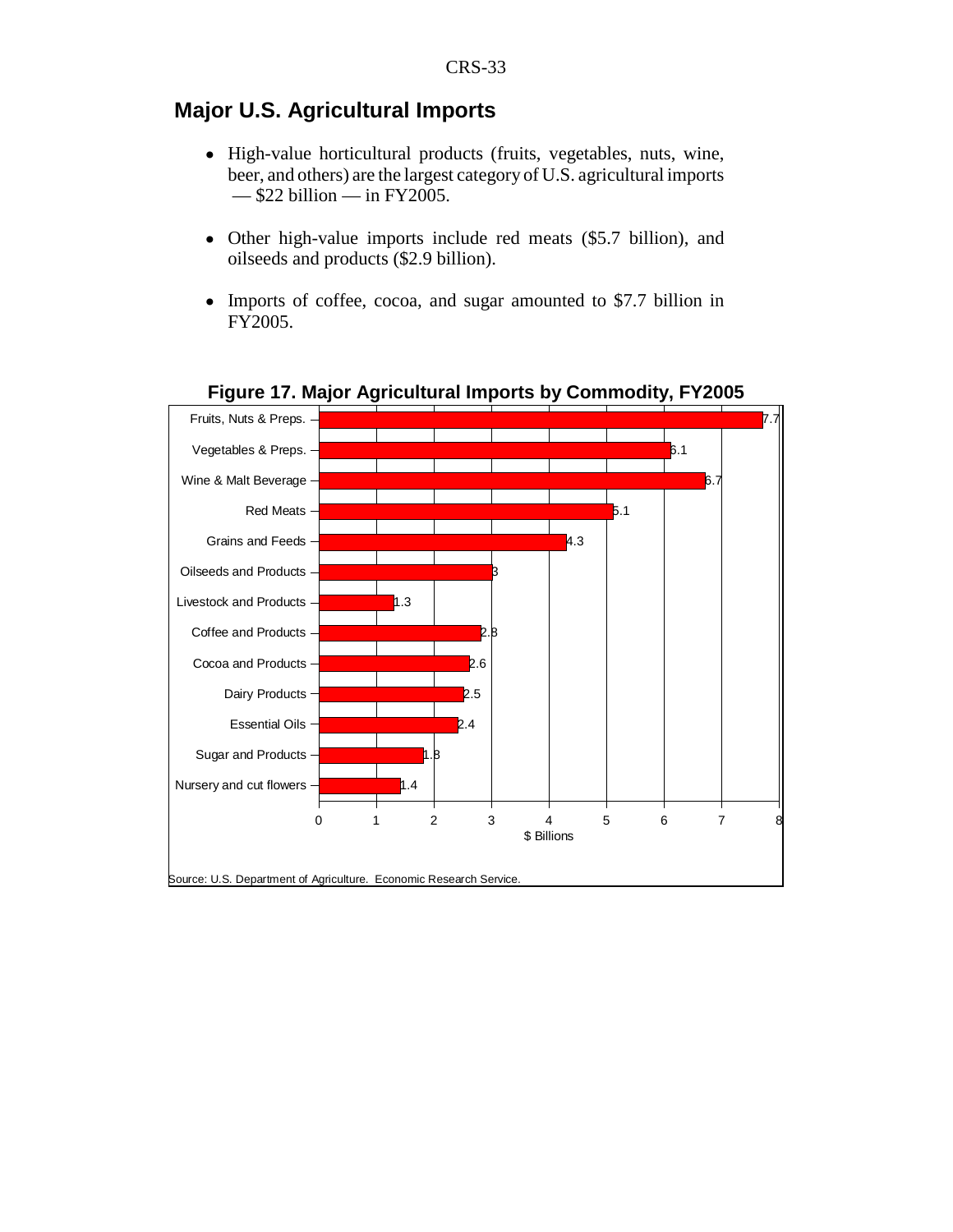# **Major U.S. Agricultural Imports**

- ! High-value horticultural products (fruits, vegetables, nuts, wine, beer, and others) are the largest category of U.S. agricultural imports  $-$ \$22 billion  $-$  in FY2005.
- ! Other high-value imports include red meats (\$5.7 billion), and oilseeds and products (\$2.9 billion).
- ! Imports of coffee, cocoa, and sugar amounted to \$7.7 billion in FY2005.



**Figure 17. Major Agricultural Imports by Commodity, FY2005**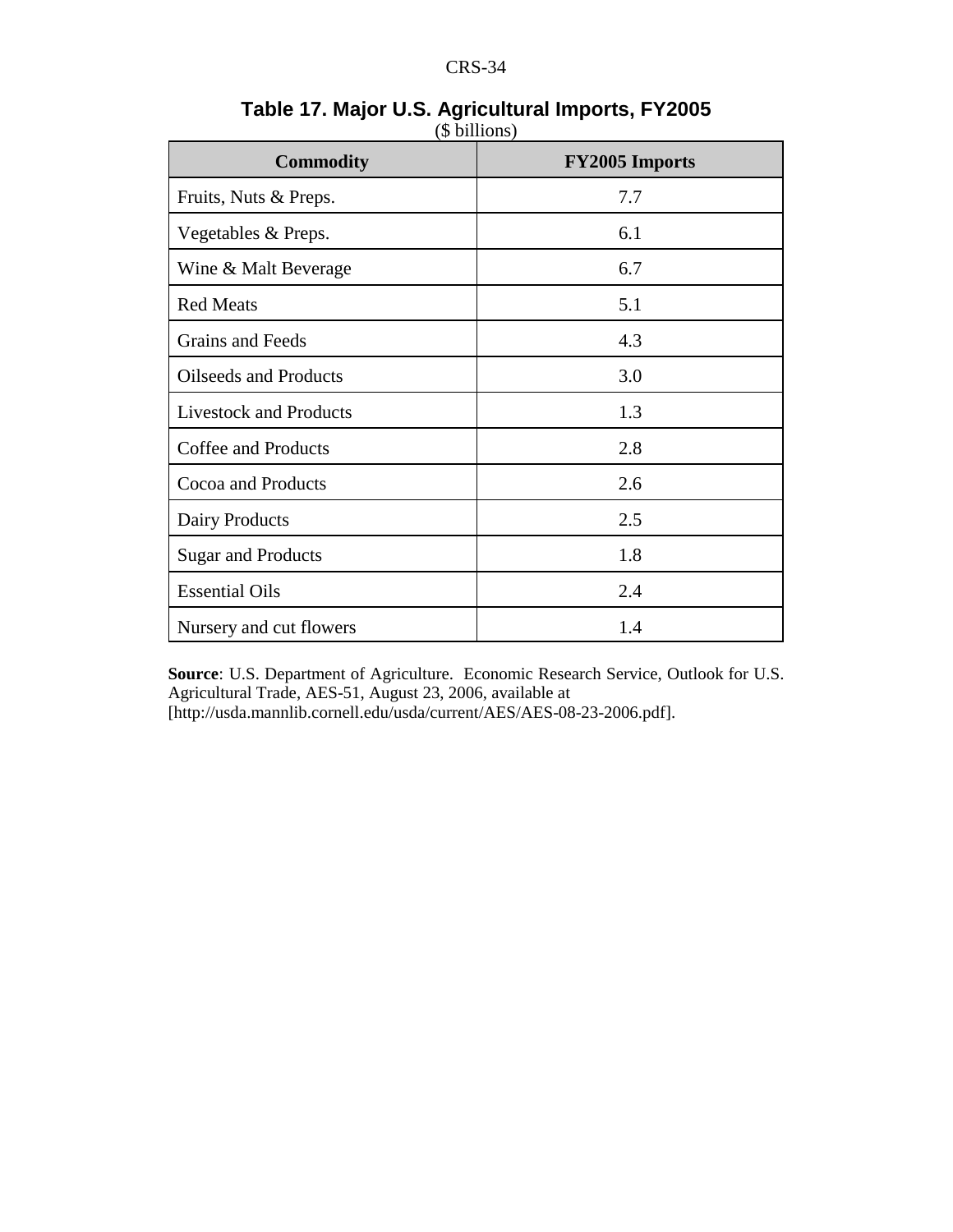| <b>Commodity</b>              | <b>FY2005 Imports</b> |
|-------------------------------|-----------------------|
| Fruits, Nuts & Preps.         | 7.7                   |
| Vegetables & Preps.           | 6.1                   |
| Wine & Malt Beverage          | 6.7                   |
| <b>Red Meats</b>              | 5.1                   |
| Grains and Feeds              | 4.3                   |
| <b>Oilseeds and Products</b>  | 3.0                   |
| <b>Livestock and Products</b> | 1.3                   |
| <b>Coffee and Products</b>    | 2.8                   |
| Cocoa and Products            | 2.6                   |
| Dairy Products                | 2.5                   |
| <b>Sugar and Products</b>     | 1.8                   |
| <b>Essential Oils</b>         | 2.4                   |
| Nursery and cut flowers       | 1.4                   |

## **Table 17. Major U.S. Agricultural Imports, FY2005** (\$ billions)

**Source**: U.S. Department of Agriculture. Economic Research Service, Outlook for U.S. Agricultural Trade, AES-51, August 23, 2006, available at [http://usda.mannlib.cornell.edu/usda/current/AES/AES-08-23-2006.pdf].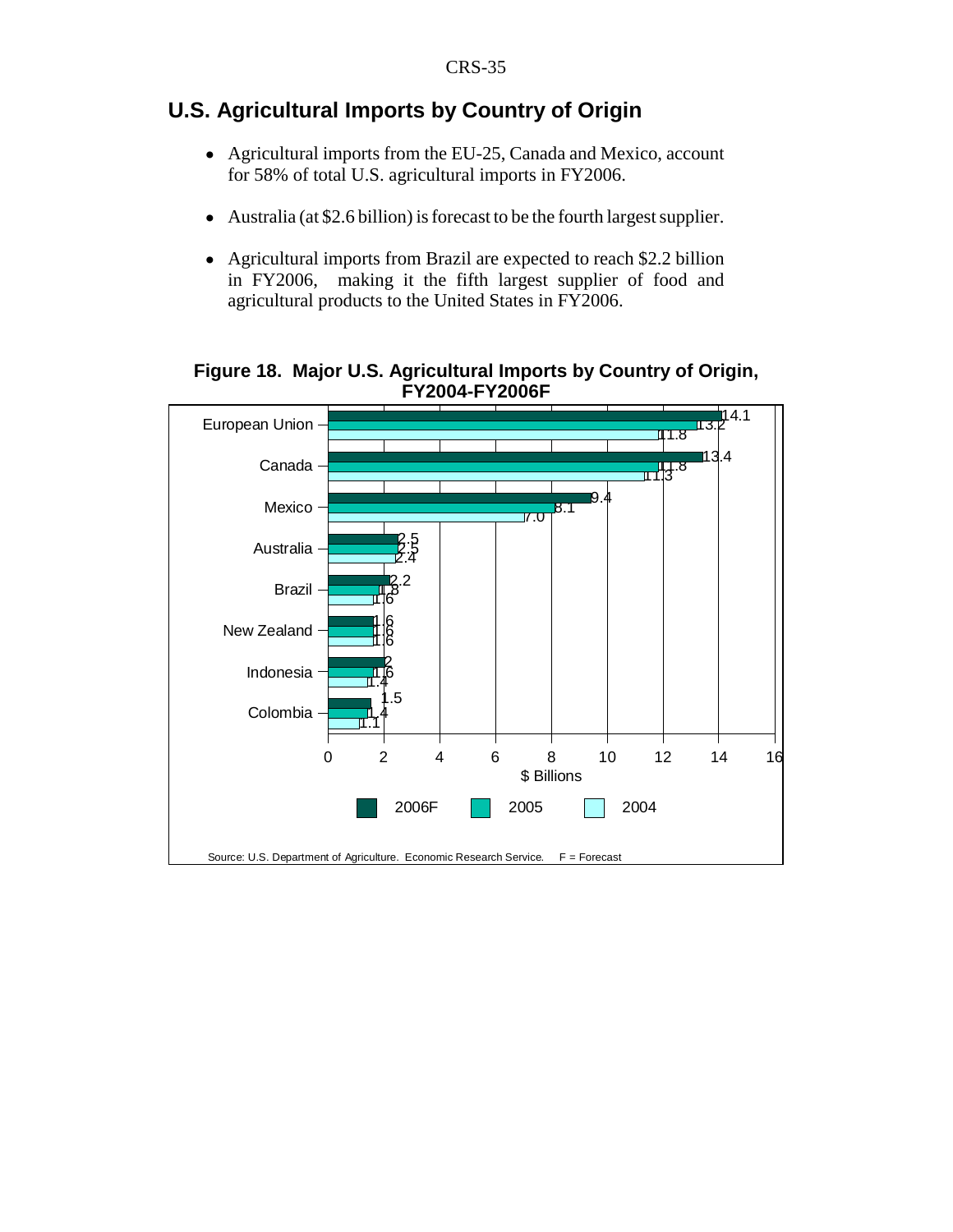# **U.S. Agricultural Imports by Country of Origin**

- Agricultural imports from the EU-25, Canada and Mexico, account for 58% of total U.S. agricultural imports in FY2006.
- ! Australia (at \$2.6 billion) is forecast to be the fourth largest supplier.
- Agricultural imports from Brazil are expected to reach \$2.2 billion in FY2006, making it the fifth largest supplier of food and agricultural products to the United States in FY2006.

**Figure 18. Major U.S. Agricultural Imports by Country of Origin, FY2004-FY2006F**

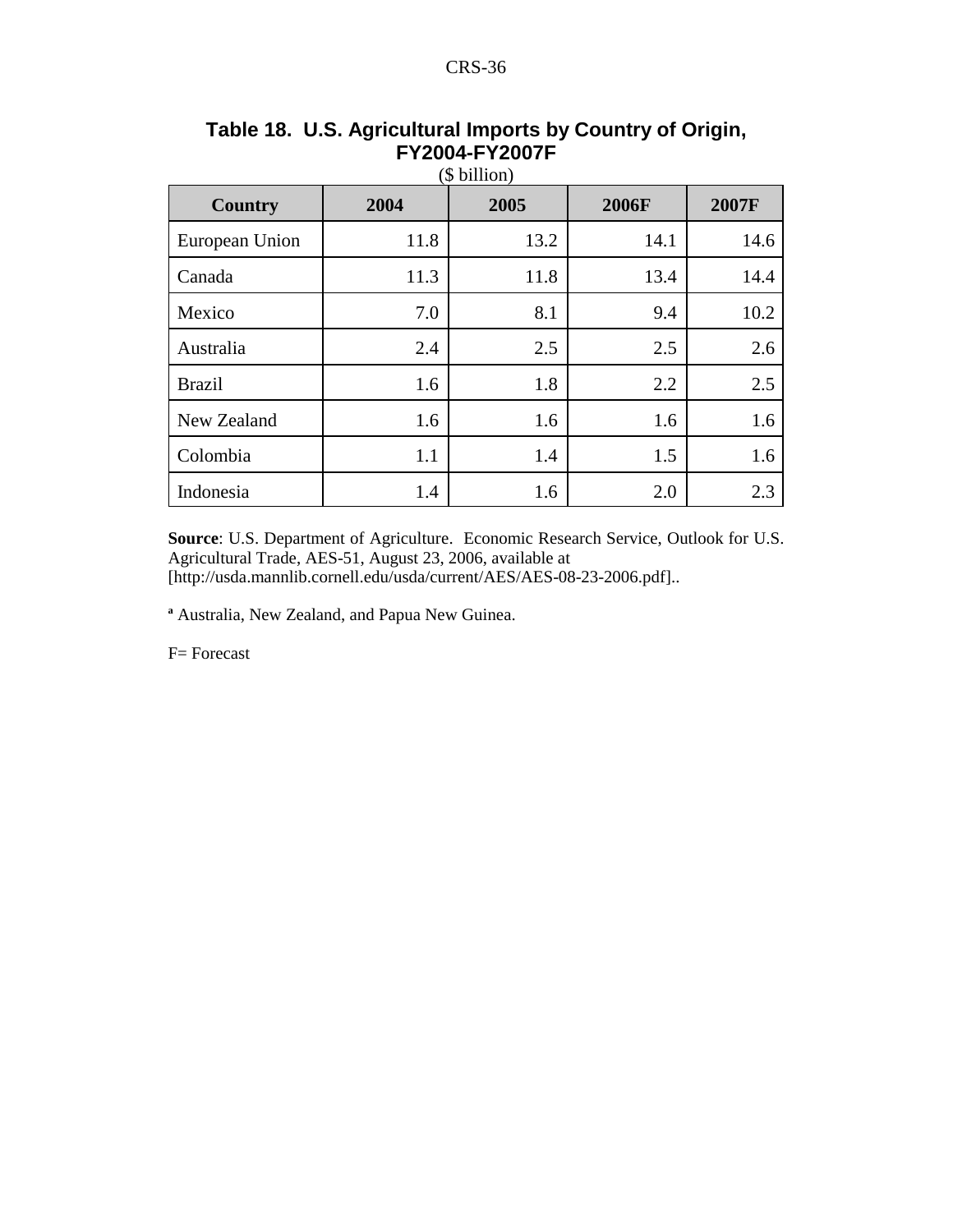| Country        | 2004 | 2005 | <b>2006F</b> | 2007F |
|----------------|------|------|--------------|-------|
| European Union | 11.8 | 13.2 | 14.1         | 14.6  |
| Canada         | 11.3 | 11.8 | 13.4         | 14.4  |
| Mexico         | 7.0  | 8.1  | 9.4          | 10.2  |
| Australia      | 2.4  | 2.5  | 2.5          | 2.6   |
| <b>Brazil</b>  | 1.6  | 1.8  | 2.2          | 2.5   |
| New Zealand    | 1.6  | 1.6  | 1.6          | 1.6   |
| Colombia       | 1.1  | 1.4  | 1.5          | 1.6   |
| Indonesia      | 1.4  | 1.6  | 2.0          | 2.3   |

#### **Table 18. U.S. Agricultural Imports by Country of Origin, FY2004-FY2007F**  $\phi$  billion)

**Source**: U.S. Department of Agriculture. Economic Research Service, Outlook for U.S. Agricultural Trade, AES-51, August 23, 2006, available at [http://usda.mannlib.cornell.edu/usda/current/AES/AES-08-23-2006.pdf]..

**a** Australia, New Zealand, and Papua New Guinea.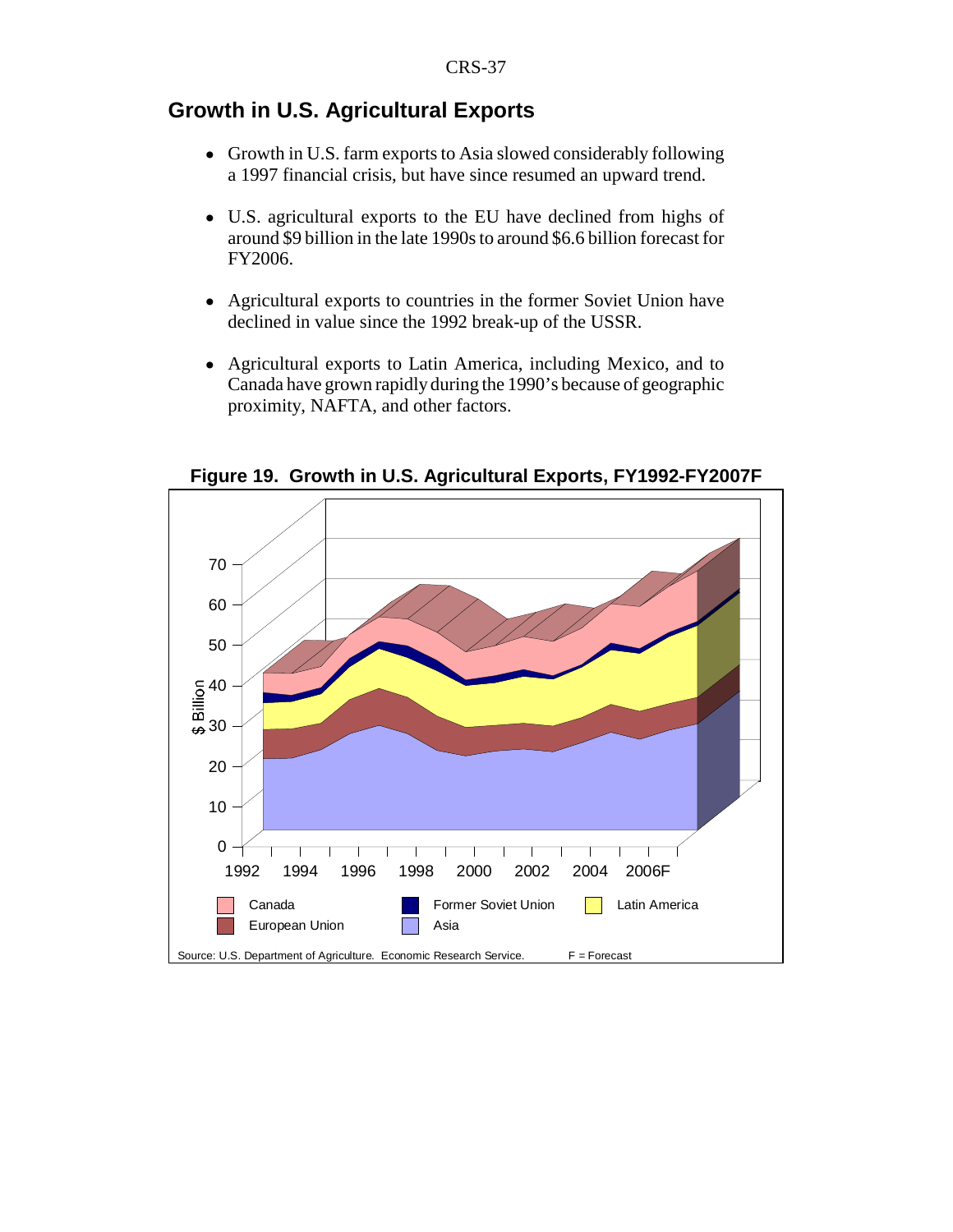# **Growth in U.S. Agricultural Exports**

- ! Growth in U.S. farm exports to Asia slowed considerably following a 1997 financial crisis, but have since resumed an upward trend.
- ! U.S. agricultural exports to the EU have declined from highs of around \$9 billion in the late 1990s to around \$6.6 billion forecast for FY2006.
- ! Agricultural exports to countries in the former Soviet Union have declined in value since the 1992 break-up of the USSR.
- ! Agricultural exports to Latin America, including Mexico, and to Canada have grown rapidly during the 1990's because of geographic proximity, NAFTA, and other factors.



**Figure 19. Growth in U.S. Agricultural Exports, FY1992-FY2007F**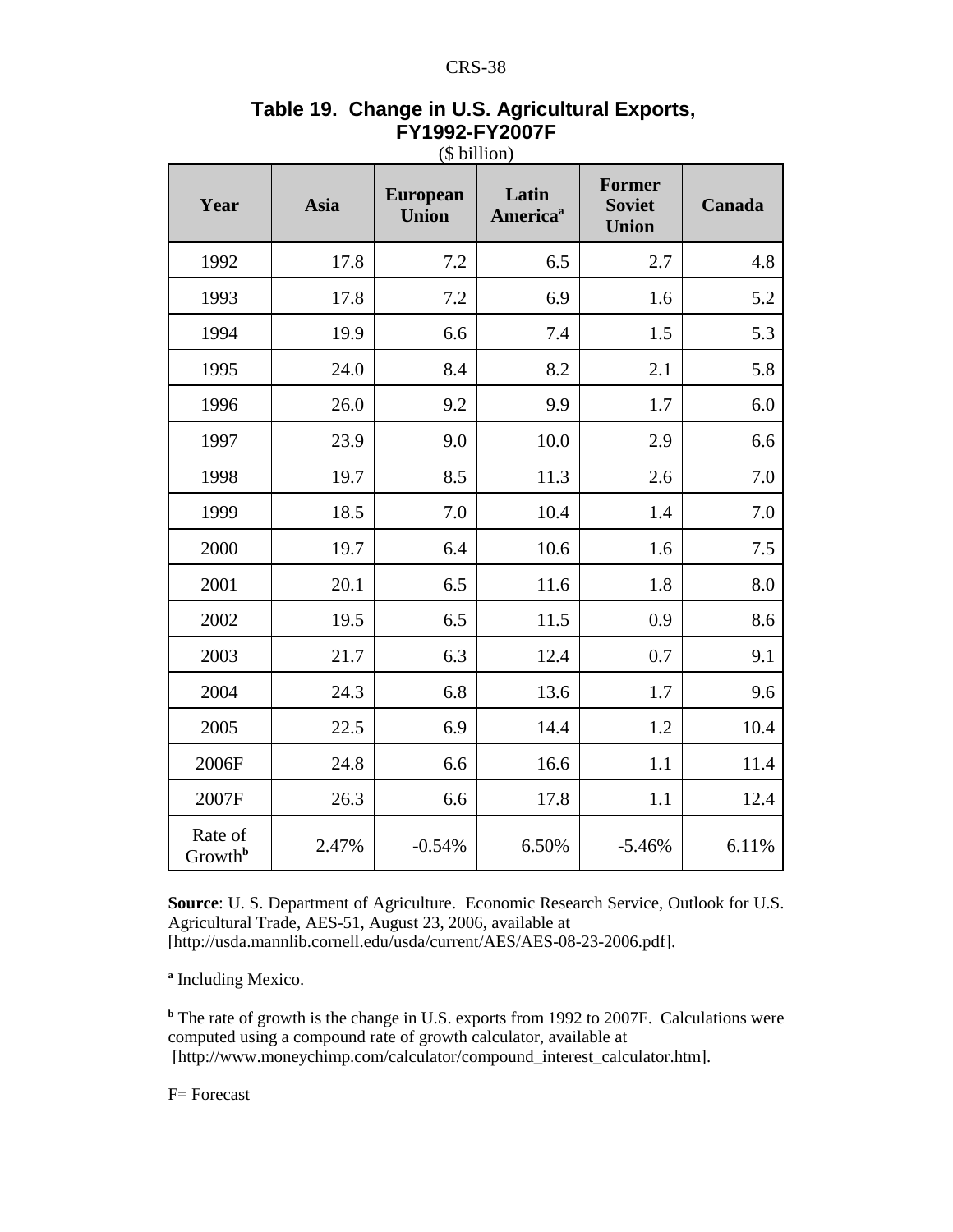| Year                           | <b>Asia</b> | <b>European</b><br><b>Union</b> | Latin<br>America <sup>a</sup> | <b>Former</b><br><b>Soviet</b><br><b>Union</b> | Canada |
|--------------------------------|-------------|---------------------------------|-------------------------------|------------------------------------------------|--------|
| 1992                           | 17.8        | 7.2                             | 6.5                           | 2.7                                            | 4.8    |
| 1993                           | 17.8        | 7.2                             | 6.9                           | 1.6                                            | 5.2    |
| 1994                           | 19.9        | 6.6                             | 7.4                           | 1.5                                            | 5.3    |
| 1995                           | 24.0        | 8.4                             | 8.2                           | 2.1                                            | 5.8    |
| 1996                           | 26.0        | 9.2                             | 9.9                           | 1.7                                            | 6.0    |
| 1997                           | 23.9        | 9.0                             | 10.0                          | 2.9                                            | 6.6    |
| 1998                           | 19.7        | 8.5                             | 11.3                          | 2.6                                            | 7.0    |
| 1999                           | 18.5        | 7.0                             | 10.4                          | 1.4                                            | 7.0    |
| 2000                           | 19.7        | 6.4                             | 10.6                          | 1.6                                            | 7.5    |
| 2001                           | 20.1        | 6.5                             | 11.6                          | 1.8                                            | 8.0    |
| 2002                           | 19.5        | 6.5                             | 11.5                          | 0.9                                            | 8.6    |
| 2003                           | 21.7        | 6.3                             | 12.4                          | 0.7                                            | 9.1    |
| 2004                           | 24.3        | 6.8                             | 13.6                          | 1.7                                            | 9.6    |
| 2005                           | 22.5        | 6.9                             | 14.4                          | 1.2                                            | 10.4   |
| 2006F                          | 24.8        | 6.6                             | 16.6                          | 1.1                                            | 11.4   |
| 2007F                          | 26.3        | 6.6                             | 17.8                          | 1.1                                            | 12.4   |
| Rate of<br>Growth <sup>b</sup> | 2.47%       | $-0.54%$                        | 6.50%                         | $-5.46%$                                       | 6.11%  |

## **Table 19. Change in U.S. Agricultural Exports, FY1992-FY2007F** (\$ billion)

**Source**: U. S. Department of Agriculture. Economic Research Service, Outlook for U.S. Agricultural Trade, AES-51, August 23, 2006, available at [http://usda.mannlib.cornell.edu/usda/current/AES/AES-08-23-2006.pdf].

**a** Including Mexico.

<sup>b</sup> The rate of growth is the change in U.S. exports from 1992 to 2007F. Calculations were computed using a compound rate of growth calculator, available at [http://www.moneychimp.com/calculator/compound\_interest\_calculator.htm].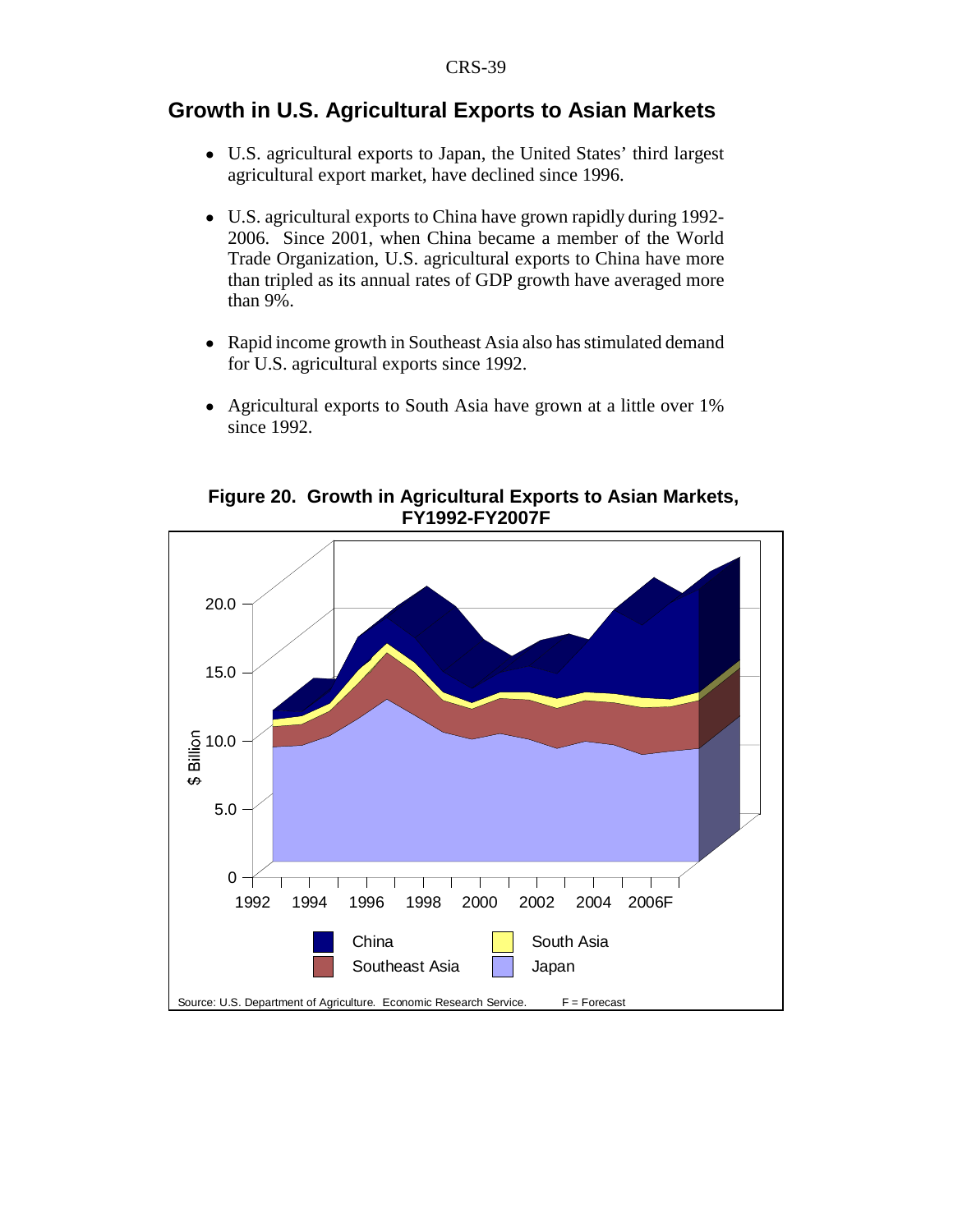## **Growth in U.S. Agricultural Exports to Asian Markets**

- ! U.S. agricultural exports to Japan, the United States' third largest agricultural export market, have declined since 1996.
- ! U.S. agricultural exports to China have grown rapidly during 1992- 2006. Since 2001, when China became a member of the World Trade Organization, U.S. agricultural exports to China have more than tripled as its annual rates of GDP growth have averaged more than 9%.
- Rapid income growth in Southeast Asia also has stimulated demand for U.S. agricultural exports since 1992.
- Agricultural exports to South Asia have grown at a little over 1% since 1992.

**Figure 20. Growth in Agricultural Exports to Asian Markets, FY1992-FY2007F**

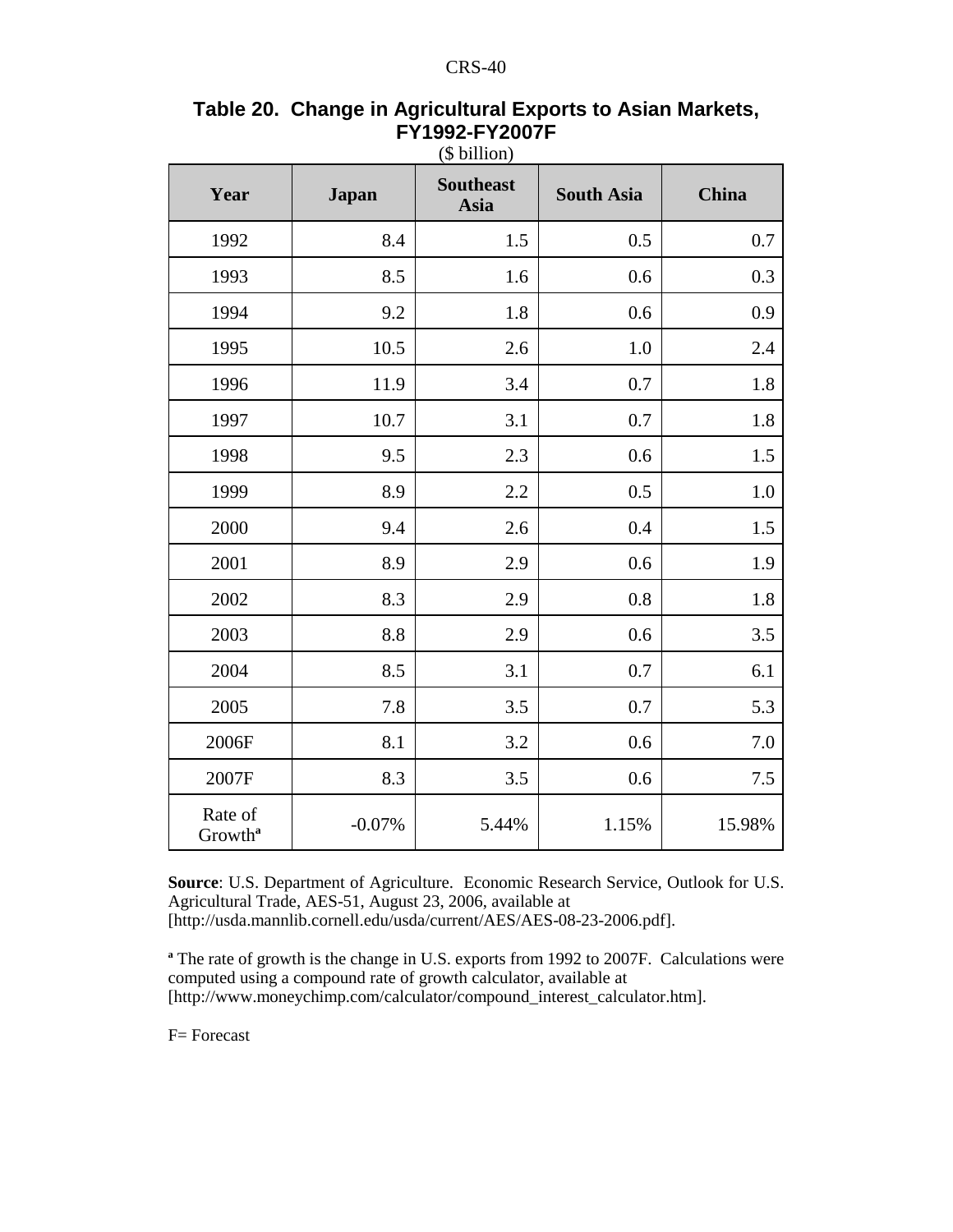|                                |              | $(\psi$ onnon)           |                   |         |
|--------------------------------|--------------|--------------------------|-------------------|---------|
| Year                           | <b>Japan</b> | <b>Southeast</b><br>Asia | <b>South Asia</b> | China   |
| 1992                           | 8.4          | 1.5                      | 0.5               | 0.7     |
| 1993                           | 8.5          | 1.6                      | 0.6               | 0.3     |
| 1994                           | 9.2          | 1.8                      | 0.6               | 0.9     |
| 1995                           | 10.5         | 2.6                      | 1.0               | $2.4\,$ |
| 1996                           | 11.9         | 3.4                      | 0.7               | 1.8     |
| 1997                           | 10.7         | 3.1                      | 0.7               | 1.8     |
| 1998                           | 9.5          | 2.3                      | 0.6               | 1.5     |
| 1999                           | 8.9          | 2.2                      | 0.5               | 1.0     |
| 2000                           | 9.4          | 2.6                      | 0.4               | 1.5     |
| 2001                           | 8.9          | 2.9                      | 0.6               | 1.9     |
| 2002                           | 8.3          | 2.9                      | 0.8               | 1.8     |
| 2003                           | 8.8          | 2.9                      | 0.6               | 3.5     |
| 2004                           | 8.5          | 3.1                      | $0.7\,$           | 6.1     |
| 2005                           | 7.8          | 3.5                      | 0.7               | 5.3     |
| 2006F                          | 8.1          | 3.2                      | 0.6               | $7.0\,$ |
| 2007F                          | 8.3          | 3.5                      | 0.6               | 7.5     |
| Rate of<br>Growth <sup>a</sup> | $-0.07%$     | 5.44%                    | 1.15%             | 15.98%  |

### **Table 20. Change in Agricultural Exports to Asian Markets, FY1992-FY2007F** (\$ billion)

**Source**: U.S. Department of Agriculture. Economic Research Service, Outlook for U.S. Agricultural Trade, AES-51, August 23, 2006, available at [http://usda.mannlib.cornell.edu/usda/current/AES/AES-08-23-2006.pdf].

<sup>a</sup> The rate of growth is the change in U.S. exports from 1992 to 2007F. Calculations were computed using a compound rate of growth calculator, available at [http://www.moneychimp.com/calculator/compound\_interest\_calculator.htm].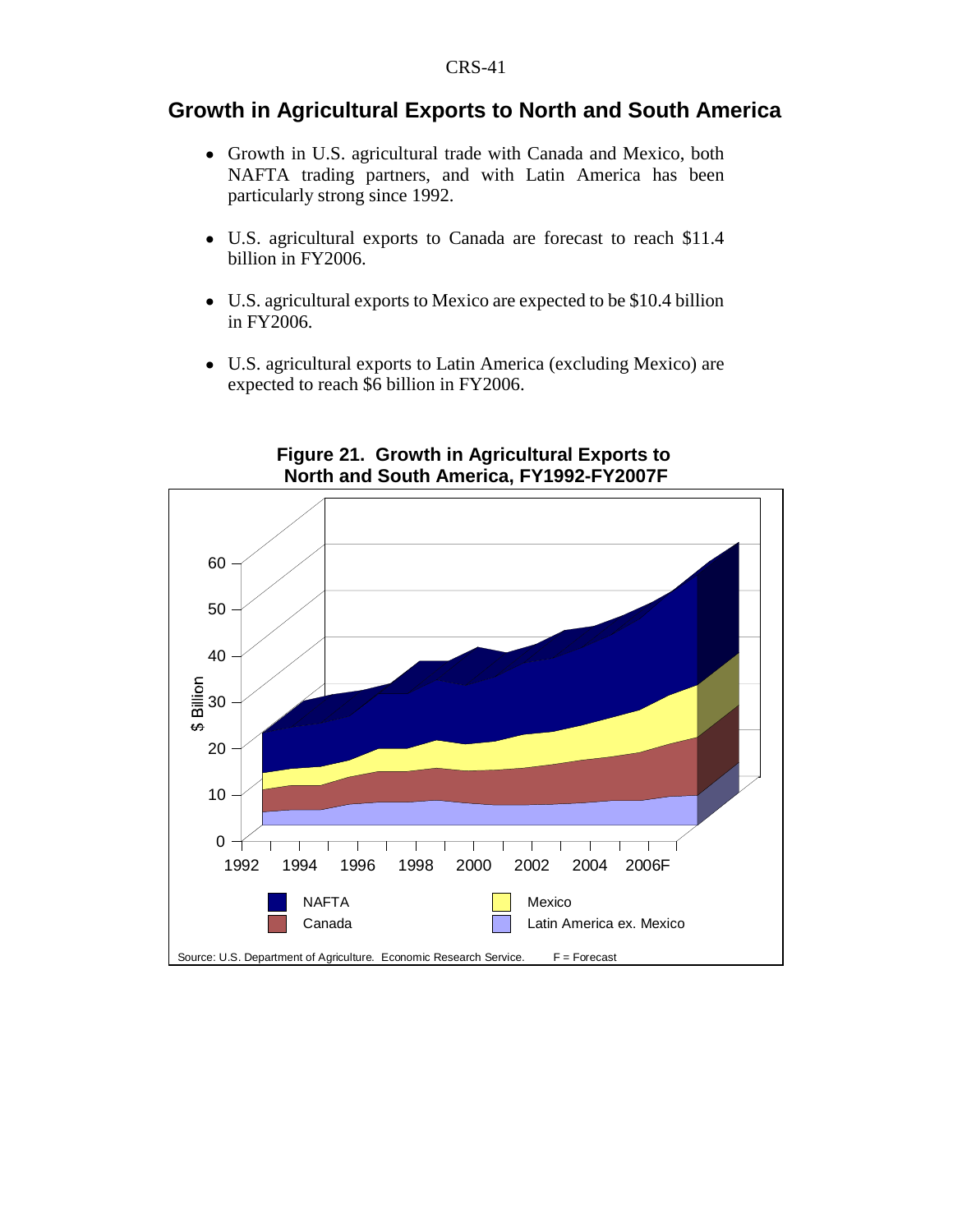# **Growth in Agricultural Exports to North and South America**

- ! Growth in U.S. agricultural trade with Canada and Mexico, both NAFTA trading partners, and with Latin America has been particularly strong since 1992.
- ! U.S. agricultural exports to Canada are forecast to reach \$11.4 billion in FY2006.
- U.S. agricultural exports to Mexico are expected to be \$10.4 billion in FY2006.
- ! U.S. agricultural exports to Latin America (excluding Mexico) are expected to reach \$6 billion in FY2006.



## **Figure 21. Growth in Agricultural Exports to North and South America, FY1992-FY2007F**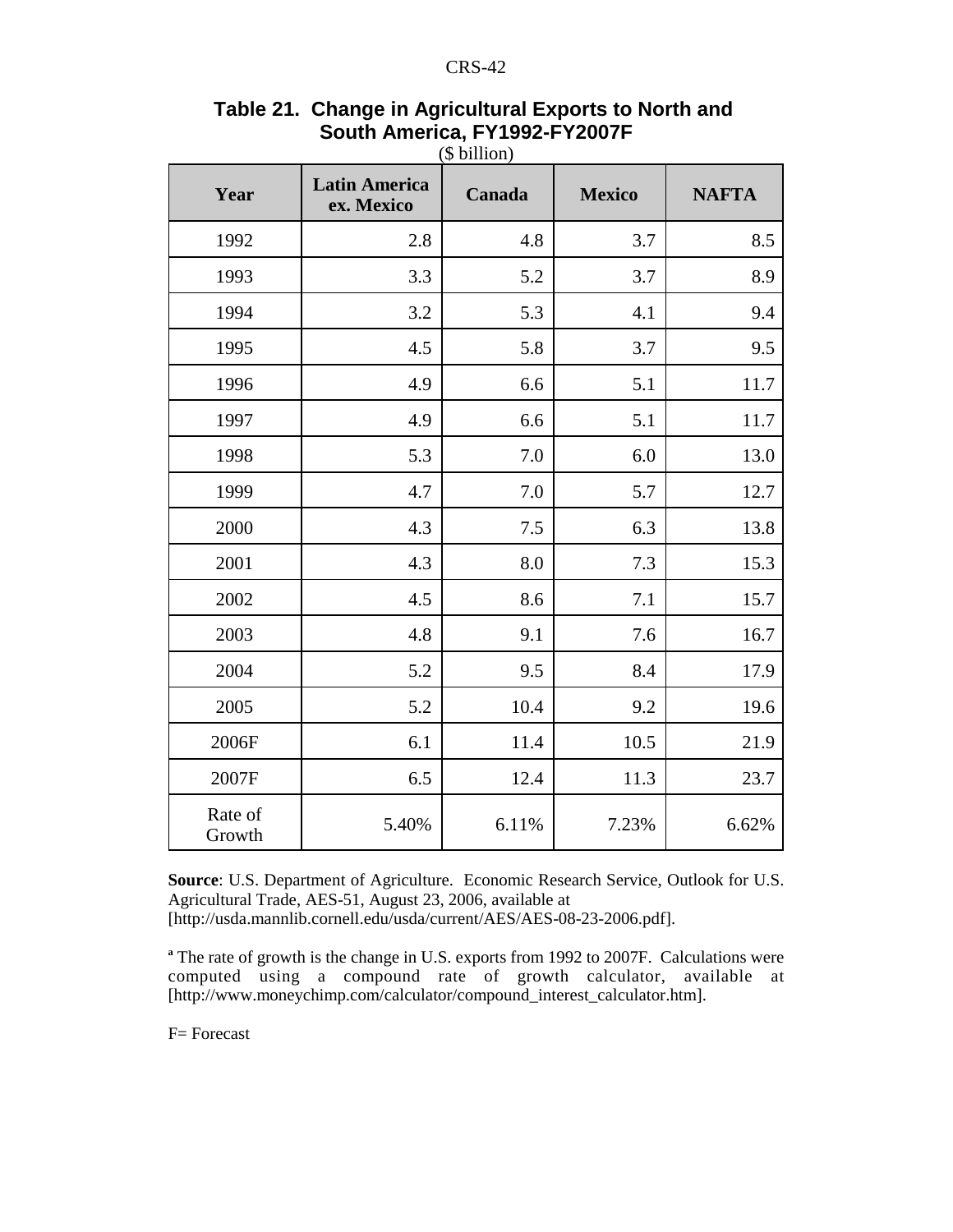| Year              | <b>Latin America</b><br>ex. Mexico | Canada | <b>Mexico</b> | <b>NAFTA</b> |
|-------------------|------------------------------------|--------|---------------|--------------|
| 1992              | 2.8                                | 4.8    | 3.7           | 8.5          |
| 1993              | 3.3                                | 5.2    | 3.7           | 8.9          |
| 1994              | 3.2                                | 5.3    | 4.1           | 9.4          |
| 1995              | 4.5                                | 5.8    | 3.7           | 9.5          |
| 1996              | 4.9                                | 6.6    | 5.1           | 11.7         |
| 1997              | 4.9                                | 6.6    | 5.1           | 11.7         |
| 1998              | 5.3                                | 7.0    | 6.0           | 13.0         |
| 1999              | 4.7                                | 7.0    | 5.7           | 12.7         |
| 2000              | 4.3                                | 7.5    | 6.3           | 13.8         |
| 2001              | 4.3                                | 8.0    | 7.3           | 15.3         |
| 2002              | 4.5                                | 8.6    | 7.1           | 15.7         |
| 2003              | 4.8                                | 9.1    | 7.6           | 16.7         |
| 2004              | 5.2                                | 9.5    | 8.4           | 17.9         |
| 2005              | 5.2                                | 10.4   | 9.2           | 19.6         |
| 2006F             | 6.1                                | 11.4   | 10.5          | 21.9         |
| 2007F             | 6.5                                | 12.4   | 11.3          | 23.7         |
| Rate of<br>Growth | 5.40%                              | 6.11%  | 7.23%         | 6.62%        |

## **Table 21. Change in Agricultural Exports to North and South America, FY1992-FY2007F** (\$ billion)

**Source**: U.S. Department of Agriculture. Economic Research Service, Outlook for U.S. Agricultural Trade, AES-51, August 23, 2006, available at [http://usda.mannlib.cornell.edu/usda/current/AES/AES-08-23-2006.pdf].

<sup>a</sup> The rate of growth is the change in U.S. exports from 1992 to 2007F. Calculations were computed using a compound rate of growth calculator, available at [http://www.moneychimp.com/calculator/compound\_interest\_calculator.htm].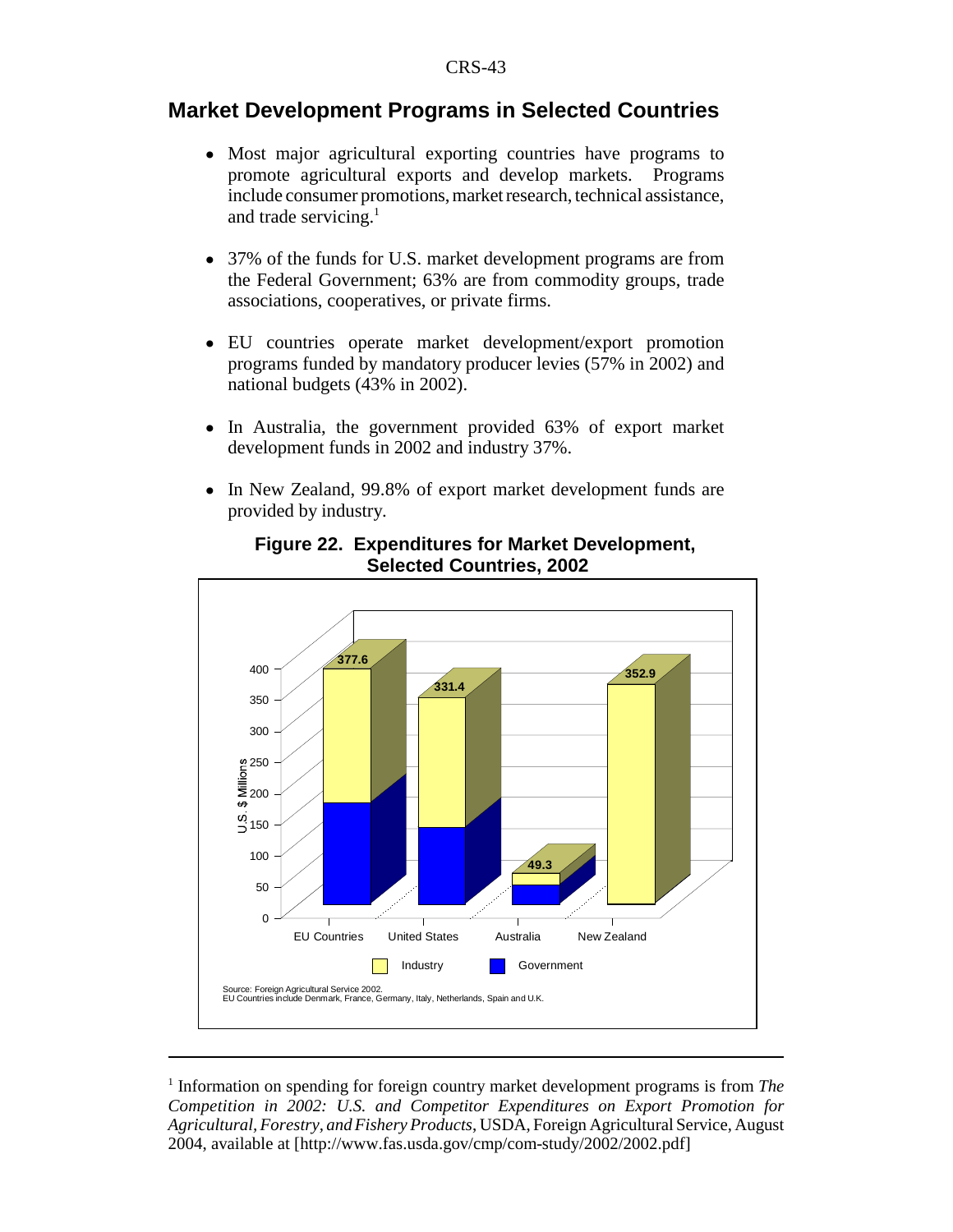## **Market Development Programs in Selected Countries**

- ! Most major agricultural exporting countries have programs to promote agricultural exports and develop markets. Programs include consumer promotions, market research, technical assistance, and trade servicing. $<sup>1</sup>$ </sup>
- ! 37% of the funds for U.S. market development programs are from the Federal Government; 63% are from commodity groups, trade associations, cooperatives, or private firms.
- ! EU countries operate market development/export promotion programs funded by mandatory producer levies (57% in 2002) and national budgets (43% in 2002).
- In Australia, the government provided 63% of export market development funds in 2002 and industry 37%.
- In New Zealand, 99.8% of export market development funds are provided by industry.



## **Figure 22. Expenditures for Market Development, Selected Countries, 2002**

<sup>&</sup>lt;sup>1</sup> Information on spending for foreign country market development programs is from *The Competition in 2002: U.S. and Competitor Expenditures on Export Promotion for Agricultural, Forestry, and Fishery Products*, USDA, Foreign Agricultural Service, August 2004, available at [http://www.fas.usda.gov/cmp/com-study/2002/2002.pdf]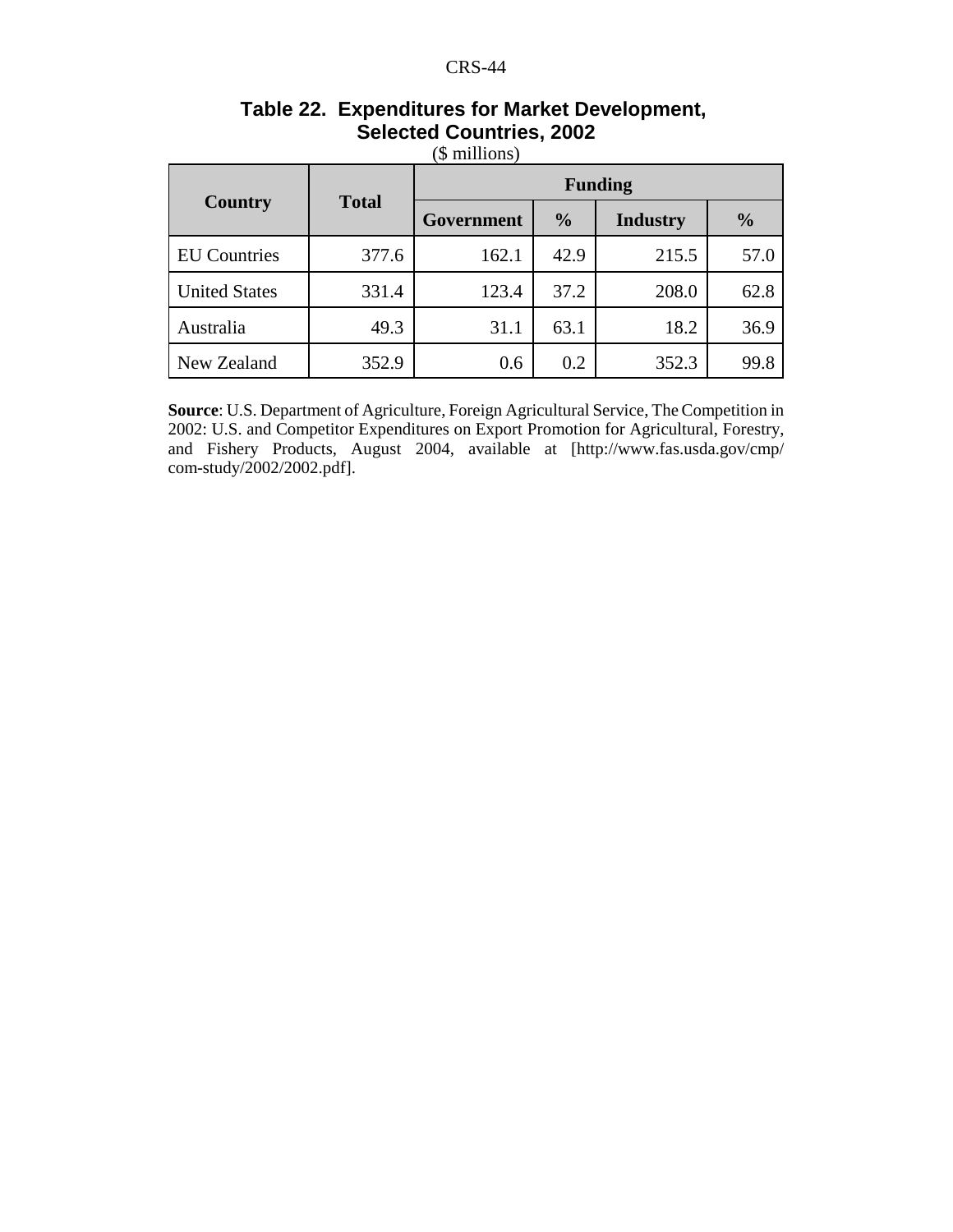| Country              | <b>Total</b> | Government | $\frac{0}{0}$ | <b>Industry</b> | $\frac{0}{0}$ |
|----------------------|--------------|------------|---------------|-----------------|---------------|
| <b>EU</b> Countries  | 377.6        | 162.1      | 42.9          | 215.5           | 57.0          |
| <b>United States</b> | 331.4        | 123.4      | 37.2          | 208.0           | 62.8          |
| Australia            | 49.3         | 31.1       | 63.1          | 18.2            | 36.9          |
| New Zealand          | 352.9        | 0.6        | 0.2           | 352.3           | 99.8          |

## **Table 22. Expenditures for Market Development, Selected Countries, 2002** (\$ millions)

**Source**: U.S. Department of Agriculture, Foreign Agricultural Service, The Competition in 2002: U.S. and Competitor Expenditures on Export Promotion for Agricultural, Forestry, and Fishery Products, August 2004, available at [http://www.fas.usda.gov/cmp/ com-study/2002/2002.pdf].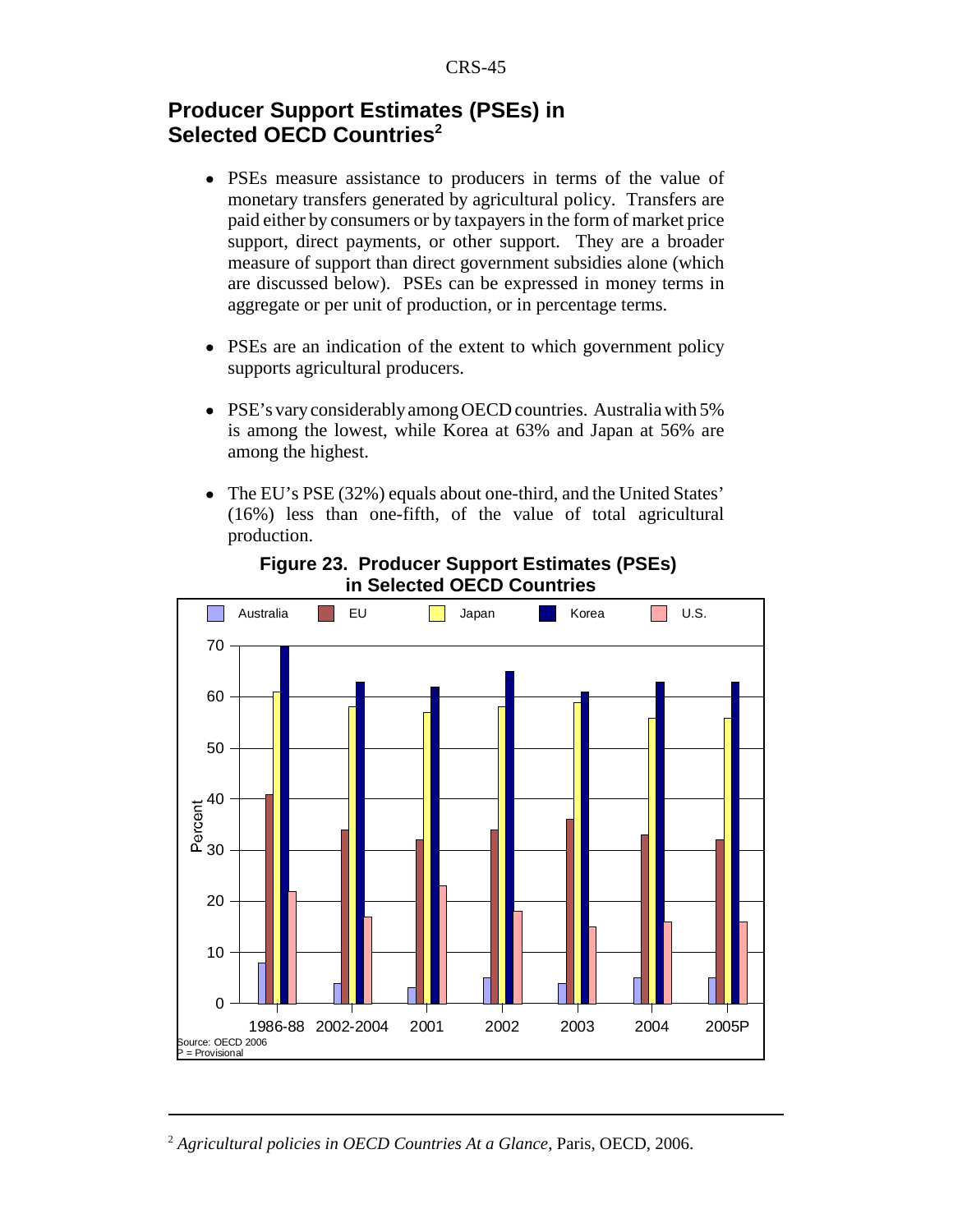# **Producer Support Estimates (PSEs) in Selected OECD Countries<sup>2</sup>**

- ! PSEs measure assistance to producers in terms of the value of monetary transfers generated by agricultural policy. Transfers are paid either by consumers or by taxpayers in the form of market price support, direct payments, or other support. They are a broader measure of support than direct government subsidies alone (which are discussed below). PSEs can be expressed in money terms in aggregate or per unit of production, or in percentage terms.
- PSEs are an indication of the extent to which government policy supports agricultural producers.
- ! PSE's vary considerably among OECD countries. Australia with 5% is among the lowest, while Korea at 63% and Japan at 56% are among the highest.
- ! The EU's PSE (32%) equals about one-third, and the United States' (16%) less than one-fifth, of the value of total agricultural production.



**Figure 23. Producer Support Estimates (PSEs) in Selected OECD Countries**

<sup>2</sup> *Agricultural policies in OECD Countries At a Glance*, Paris, OECD, 2006.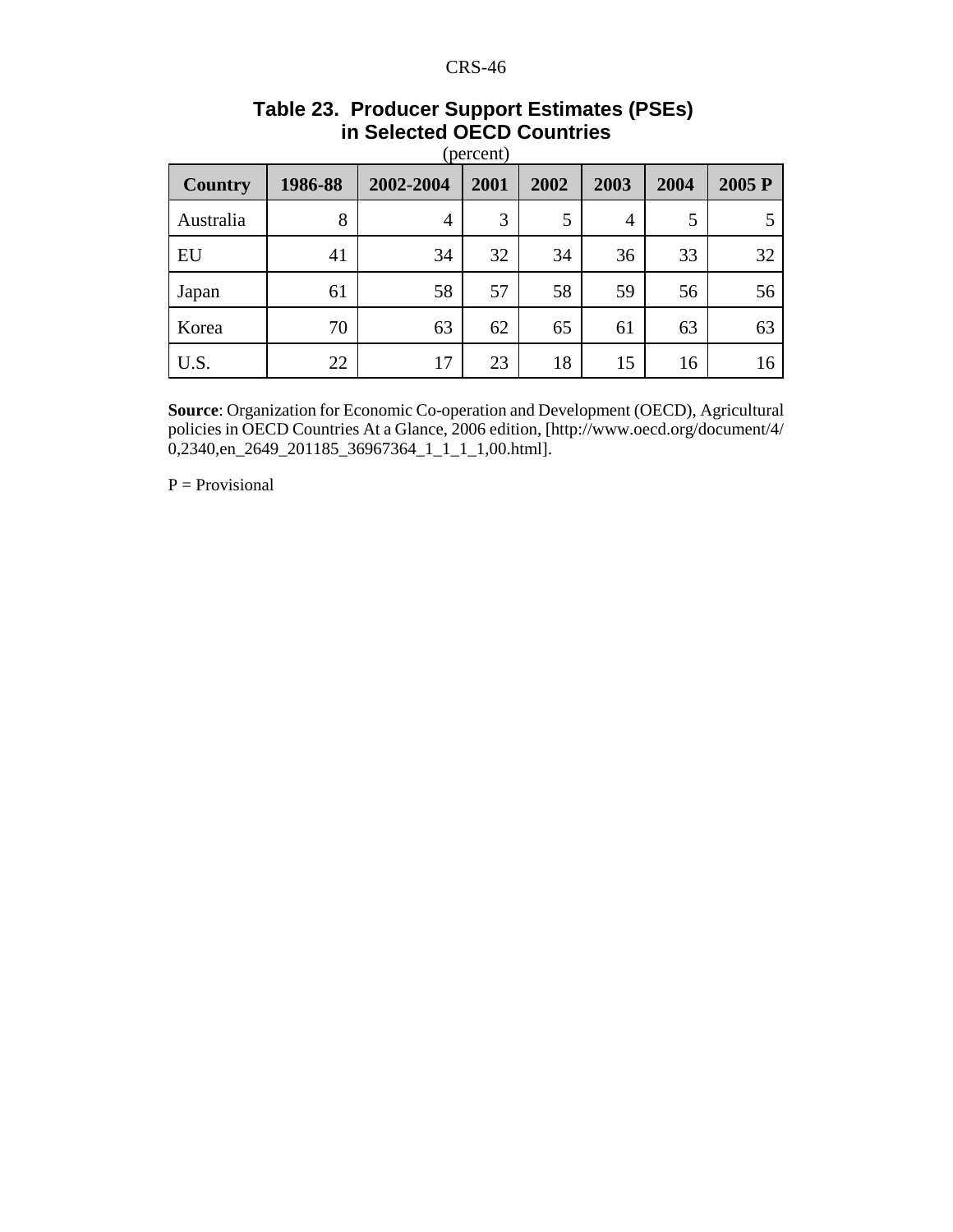| <b>Country</b> | 1986-88 | 2002-2004 | 2001 | 2002 | 2003 | 2004 | 2005 P |
|----------------|---------|-----------|------|------|------|------|--------|
| Australia      | 8       | 4         | 3    | 5    | 4    | 5    |        |
| EU             | 41      | 34        | 32   | 34   | 36   | 33   | 32     |
| Japan          | 61      | 58        | 57   | 58   | 59   | 56   | 56     |
| Korea          | 70      | 63        | 62   | 65   | 61   | 63   | 63     |
| U.S.           | 22      | 17        | 23   | 18   | 15   | 16   | 16     |

#### **Table 23. Producer Support Estimates (PSEs) in Selected OECD Countries**  $(nq)$

**Source**: Organization for Economic Co-operation and Development (OECD), Agricultural policies in OECD Countries At a Glance, 2006 edition, [http://www.oecd.org/document/4/  $0,2340,$ en\_2649\_201185\_36967364\_1\_1\_1\_1,00.html].

 $P = Provisional$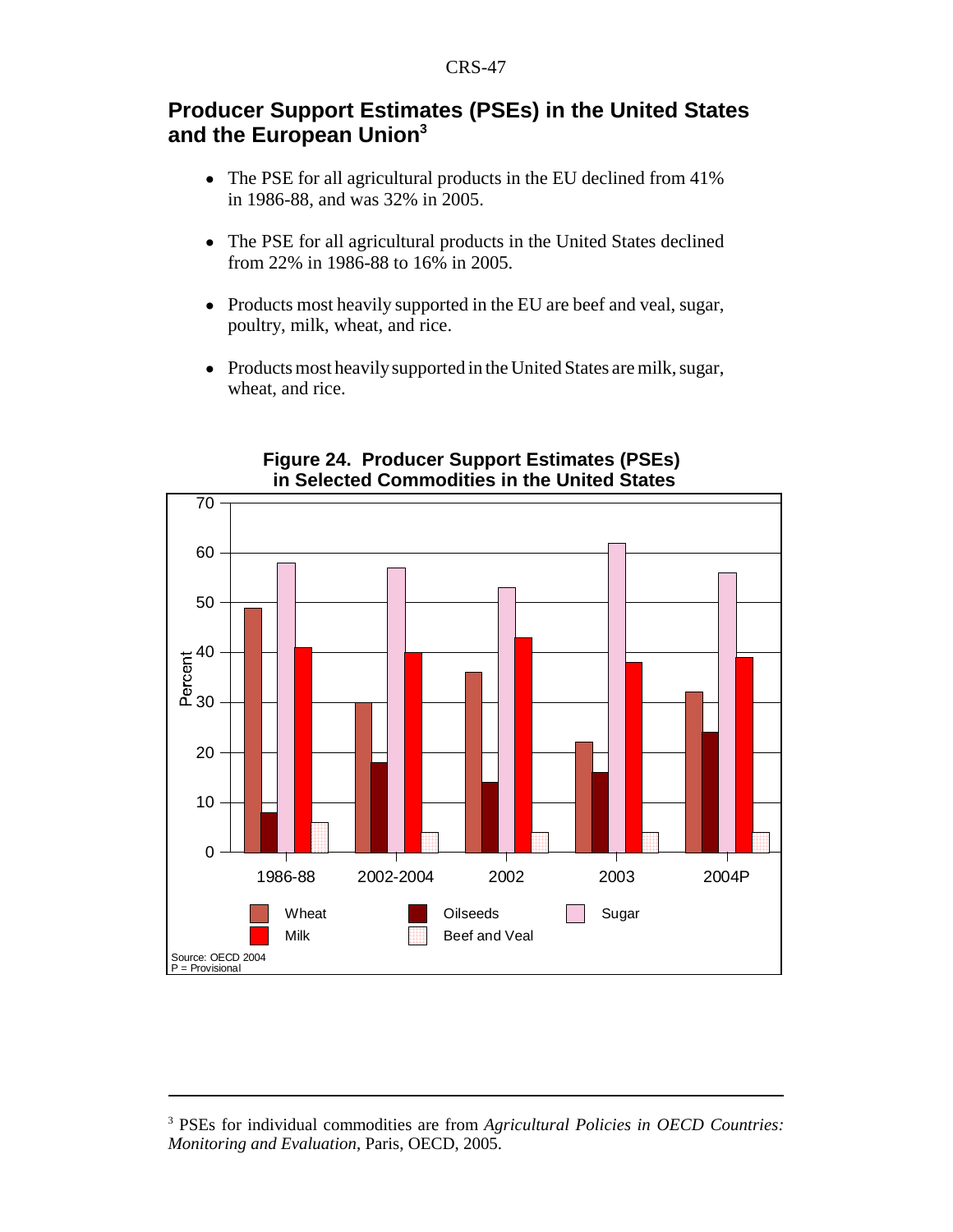# **Producer Support Estimates (PSEs) in the United States and the European Union3**

- The PSE for all agricultural products in the EU declined from 41% in 1986-88, and was 32% in 2005.
- The PSE for all agricultural products in the United States declined from 22% in 1986-88 to 16% in 2005.
- Products most heavily supported in the EU are beef and veal, sugar, poultry, milk, wheat, and rice.
- Products most heavily supported in the United States are milk, sugar, wheat, and rice.



## **Figure 24. Producer Support Estimates (PSEs) in Selected Commodities in the United States**

<sup>3</sup> PSEs for individual commodities are from *Agricultural Policies in OECD Countries: Monitoring and Evaluation*, Paris, OECD, 2005.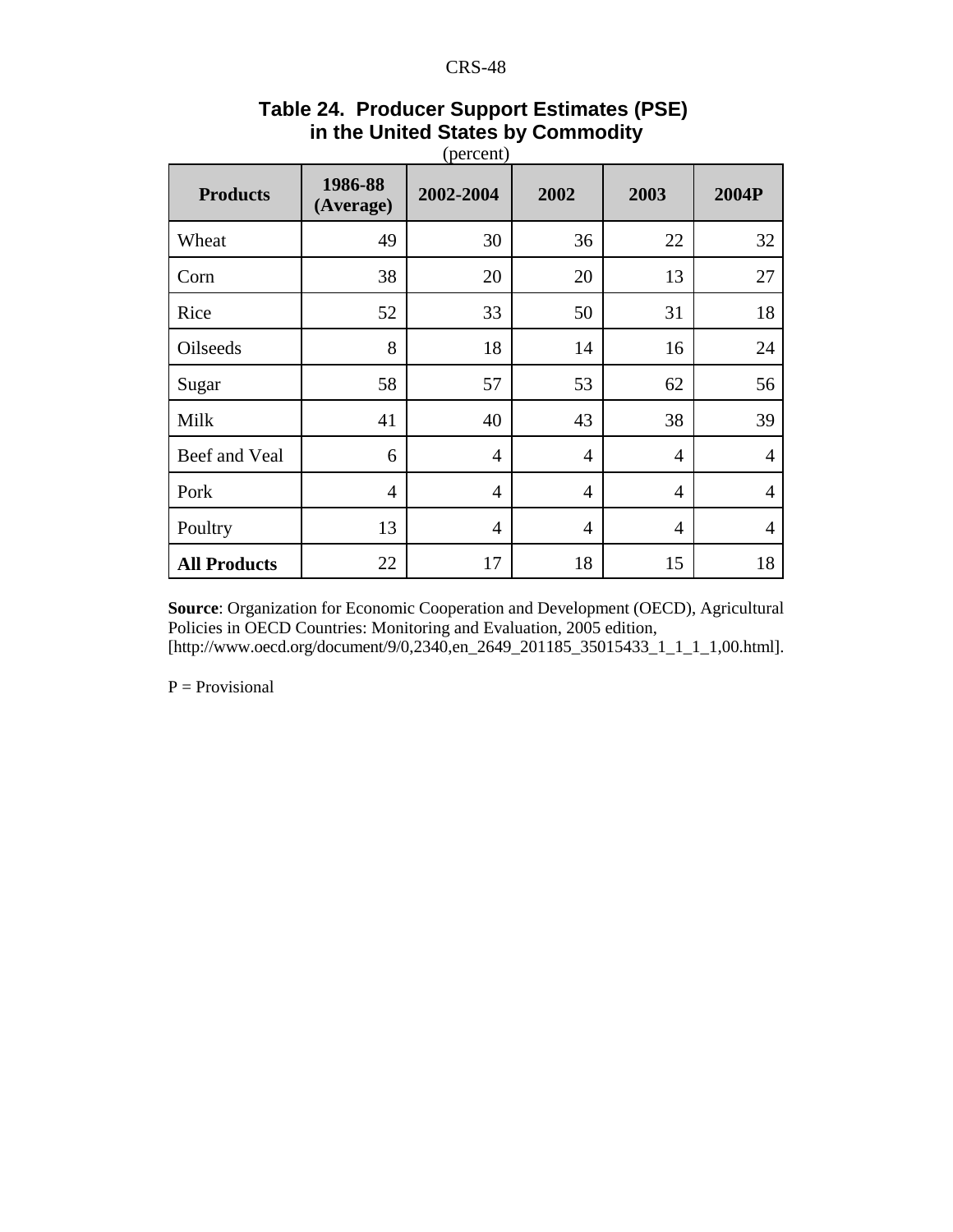| <b>Products</b>     | 1986-88<br>(Average) | 2002-2004      | 2002           | 2003           | 2004P          |
|---------------------|----------------------|----------------|----------------|----------------|----------------|
| Wheat               | 49                   | 30             | 36             | 22             | 32             |
| Corn                | 38                   | 20             | 20             | 13             | 27             |
| Rice                | 52                   | 33             | 50             | 31             | 18             |
| Oilseeds            | 8                    | 18             | 14             | 16             | 24             |
| Sugar               | 58                   | 57             | 53             | 62             | 56             |
| Milk                | 41                   | 40             | 43             | 38             | 39             |
| Beef and Veal       | 6                    | $\overline{4}$ | $\overline{4}$ | $\overline{4}$ | $\overline{4}$ |
| Pork                | $\overline{4}$       | 4              | $\overline{A}$ | 4              | $\overline{A}$ |
| Poultry             | 13                   | $\overline{4}$ | $\overline{4}$ | 4              | $\overline{4}$ |
| <b>All Products</b> | 22                   | 17             | 18             | 15             | 18             |

#### **Table 24. Producer Support Estimates (PSE) in the United States by Commodity**  $(norcont)$

**Source**: Organization for Economic Cooperation and Development (OECD), Agricultural Policies in OECD Countries: Monitoring and Evaluation, 2005 edition, [http://www.oecd.org/document/9/0,2340,en\_2649\_201185\_35015433\_1\_1\_1\_1,00.html].

 $P = Provisional$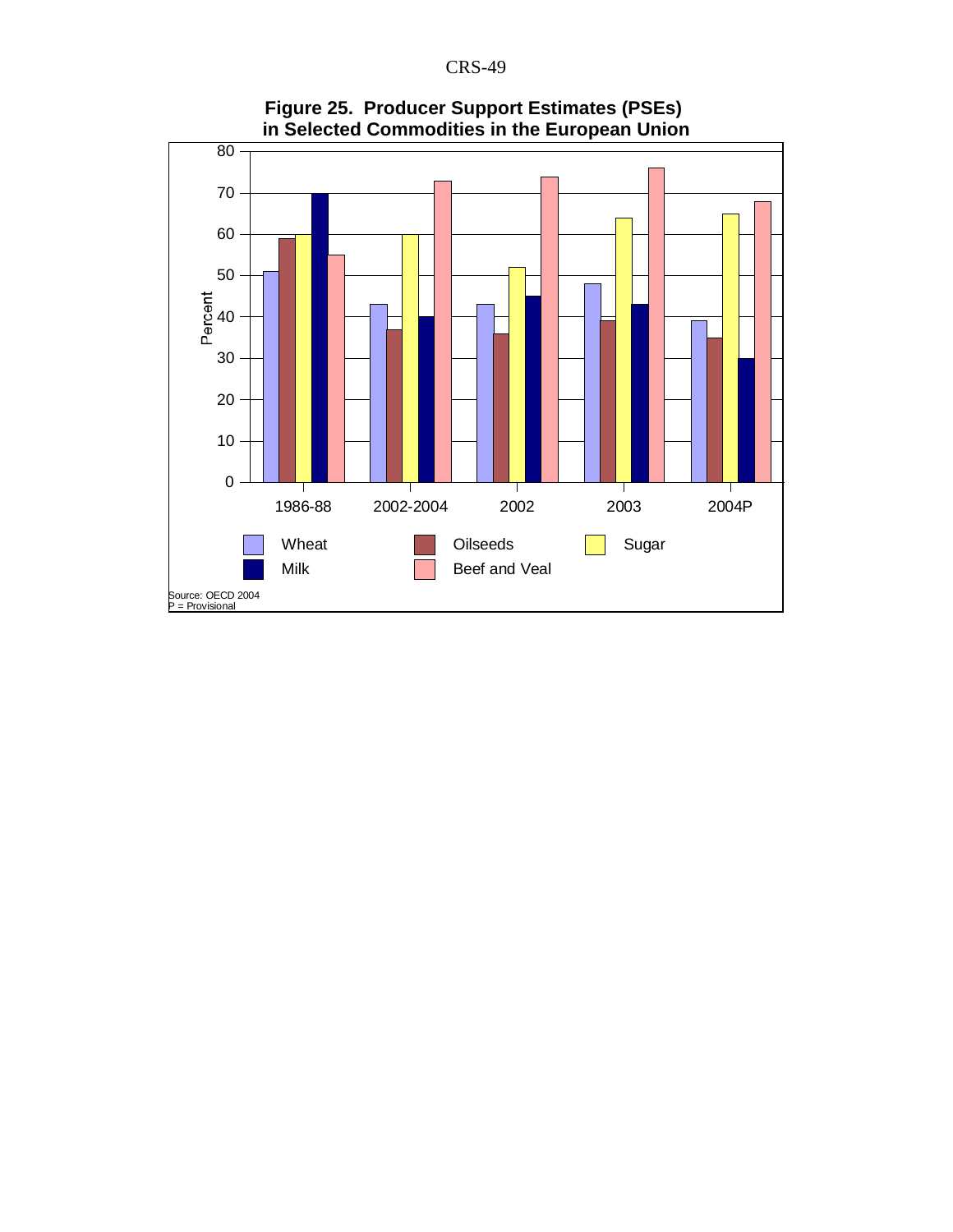

**Figure 25. Producer Support Estimates (PSEs) in Selected Commodities in the European Union**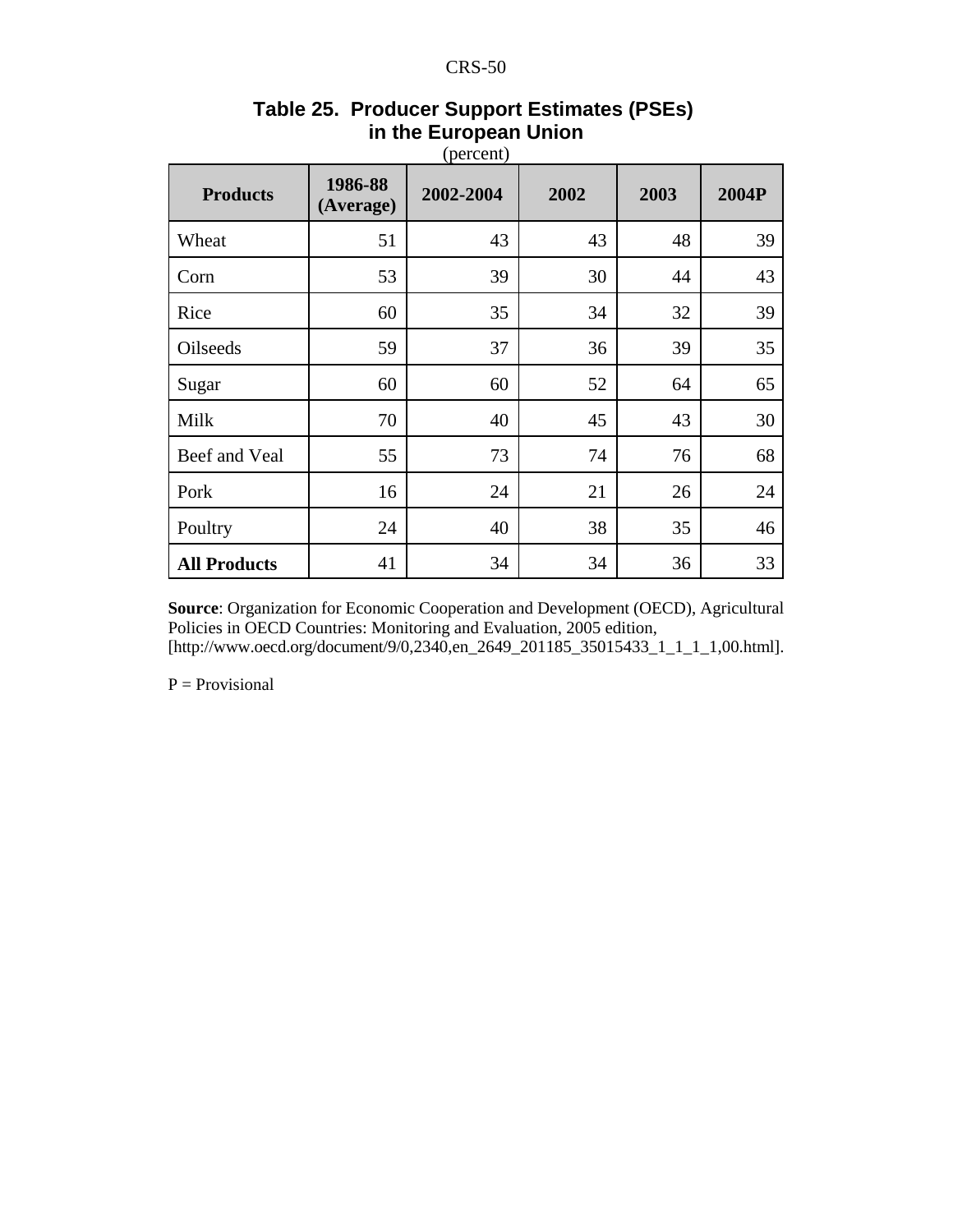| <b>Products</b>     | 1986-88<br>(Average) | 2002-2004 | 2002 | 2003 | 2004P |
|---------------------|----------------------|-----------|------|------|-------|
| Wheat               | 51                   | 43        | 43   | 48   | 39    |
| Corn                | 53                   | 39        | 30   | 44   | 43    |
| Rice                | 60                   | 35        | 34   | 32   | 39    |
| Oilseeds            | 59                   | 37        | 36   | 39   | 35    |
| Sugar               | 60                   | 60        | 52   | 64   | 65    |
| Milk                | 70                   | 40        | 45   | 43   | 30    |
| Beef and Veal       | 55                   | 73        | 74   | 76   | 68    |
| Pork                | 16                   | 24        | 21   | 26   | 24    |
| Poultry             | 24                   | 40        | 38   | 35   | 46    |
| <b>All Products</b> | 41                   | 34        | 34   | 36   | 33    |

# **Table 25. Producer Support Estimates (PSEs) in the European Union**

**Source**: Organization for Economic Cooperation and Development (OECD), Agricultural Policies in OECD Countries: Monitoring and Evaluation, 2005 edition, [http://www.oecd.org/document/9/0,2340,en\_2649\_201185\_35015433\_1\_1\_1\_1,00.html].

 $P = Provisional$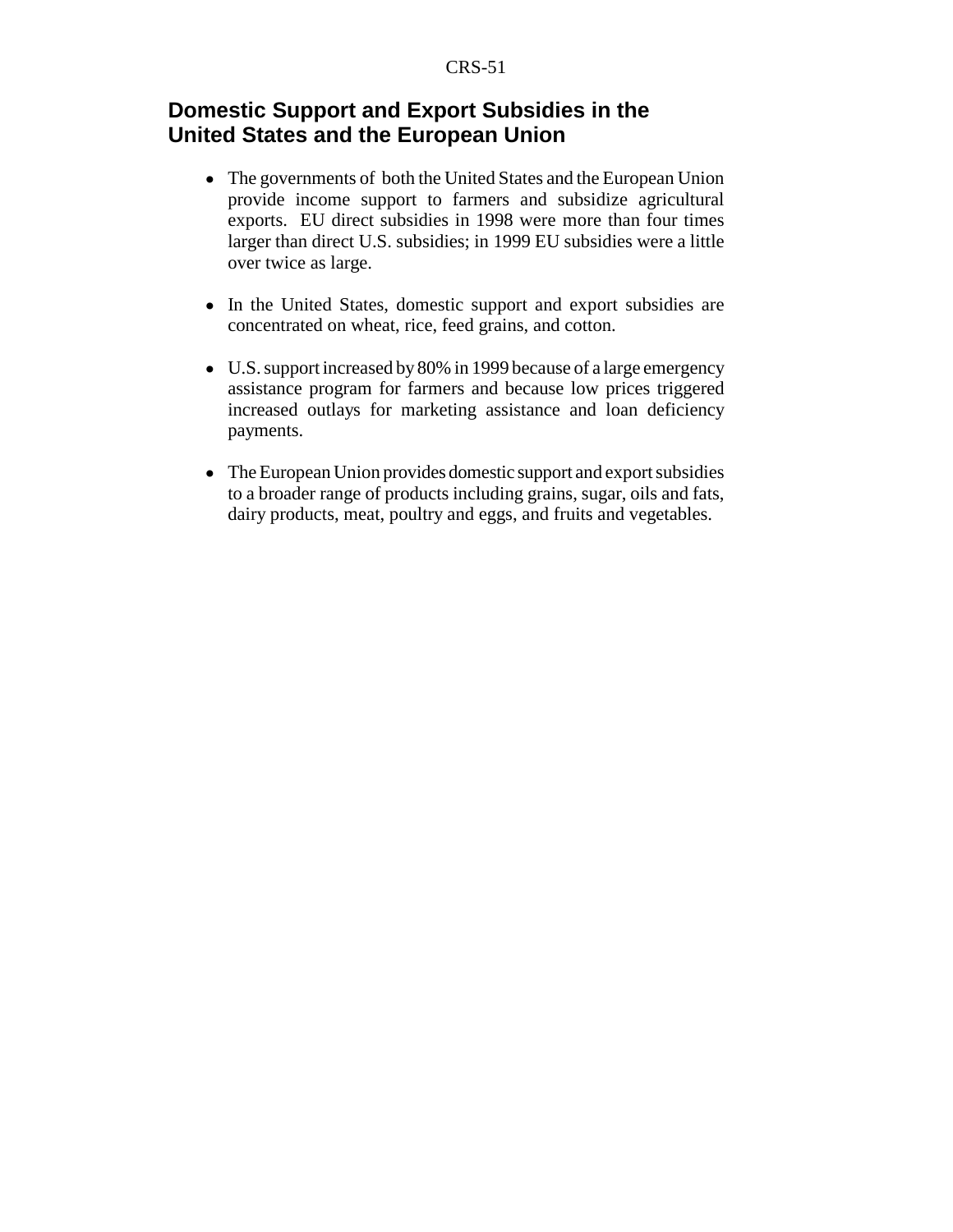## **Domestic Support and Export Subsidies in the United States and the European Union**

- The governments of both the United States and the European Union provide income support to farmers and subsidize agricultural exports. EU direct subsidies in 1998 were more than four times larger than direct U.S. subsidies; in 1999 EU subsidies were a little over twice as large.
- ! In the United States, domestic support and export subsidies are concentrated on wheat, rice, feed grains, and cotton.
- U.S. support increased by 80% in 1999 because of a large emergency assistance program for farmers and because low prices triggered increased outlays for marketing assistance and loan deficiency payments.
- The European Union provides domestic support and export subsidies to a broader range of products including grains, sugar, oils and fats, dairy products, meat, poultry and eggs, and fruits and vegetables.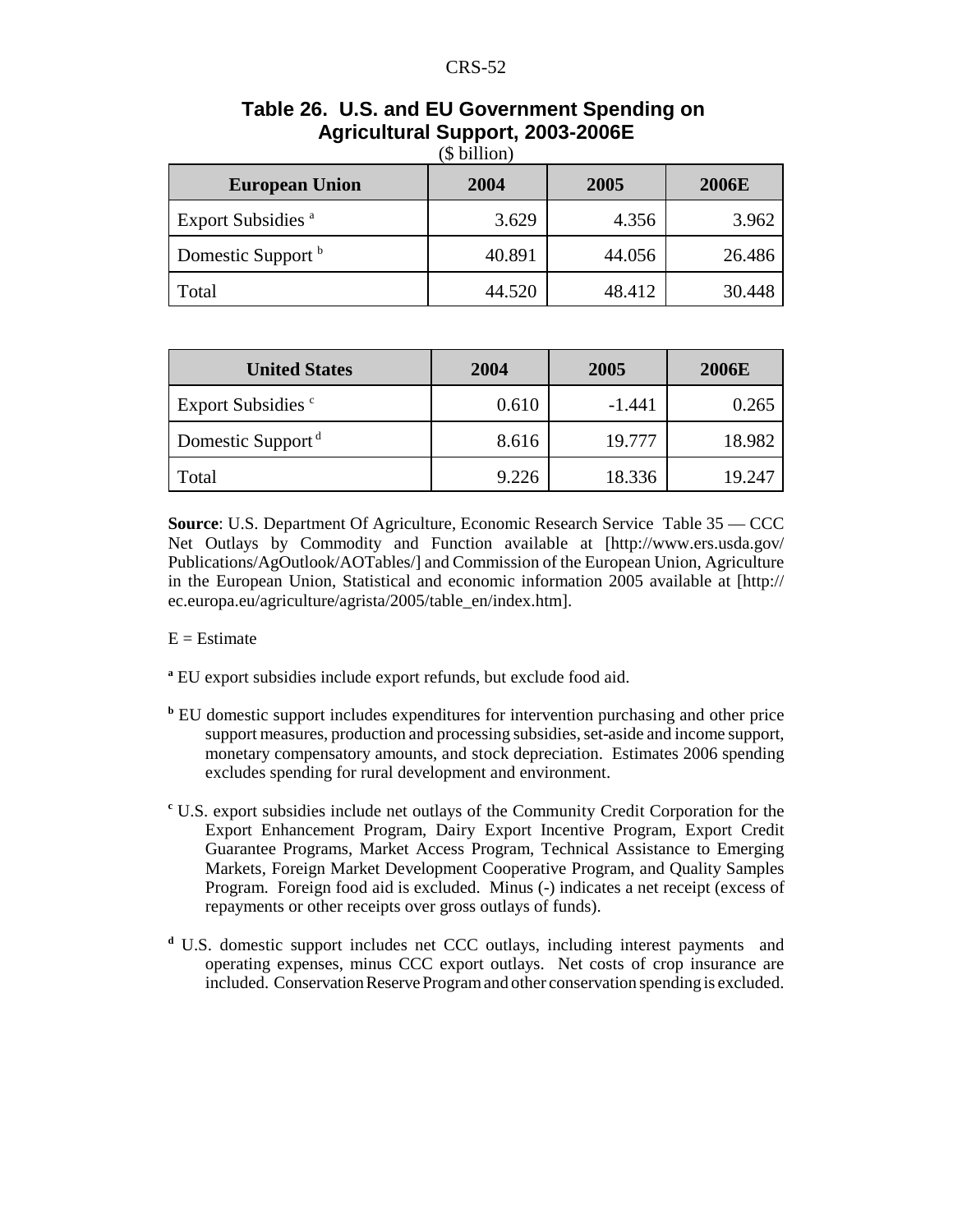| <b>European Union</b>                | 2004   | 2005   | <b>2006E</b> |
|--------------------------------------|--------|--------|--------------|
| <b>Export Subsidies</b> <sup>a</sup> | 3.629  | 4.356  | 3.962        |
| Domestic Support <sup>b</sup>        | 40.891 | 44.056 | 26.486       |
| Total                                | 44.520 | 48.412 | 30.448       |

#### **Table 26. U.S. and EU Government Spending on Agricultural Support, 2003-2006E**  $(6 \text{ billion})$

| <b>United States</b>          | 2004  | 2005     | <b>2006E</b> |
|-------------------------------|-------|----------|--------------|
| Export Subsidies <sup>c</sup> | 0.610 | $-1.441$ | 0.265        |
| Domestic Support <sup>d</sup> | 8.616 | 19.777   | 18.982       |
| Total                         | 9.226 | 18.336   | 19.247       |

**Source**: U.S. Department Of Agriculture, Economic Research Service Table 35 — CCC Net Outlays by Commodity and Function available at [http://www.ers.usda.gov/ Publications/AgOutlook/AOTables/] and Commission of the European Union, Agriculture in the European Union, Statistical and economic information 2005 available at [http:// ec.europa.eu/agriculture/agrista/2005/table\_en/index.htm].

#### $E =$  Estimate

- **a** EU export subsidies include export refunds, but exclude food aid.
- **b** EU domestic support includes expenditures for intervention purchasing and other price support measures, production and processing subsidies, set-aside and income support, monetary compensatory amounts, and stock depreciation. Estimates 2006 spending excludes spending for rural development and environment.
- **c** U.S. export subsidies include net outlays of the Community Credit Corporation for the Export Enhancement Program, Dairy Export Incentive Program, Export Credit Guarantee Programs, Market Access Program, Technical Assistance to Emerging Markets, Foreign Market Development Cooperative Program, and Quality Samples Program. Foreign food aid is excluded. Minus (-) indicates a net receipt (excess of repayments or other receipts over gross outlays of funds).
- **d** U.S. domestic support includes net CCC outlays, including interest payments and operating expenses, minus CCC export outlays. Net costs of crop insurance are included. Conservation Reserve Program and other conservation spending is excluded.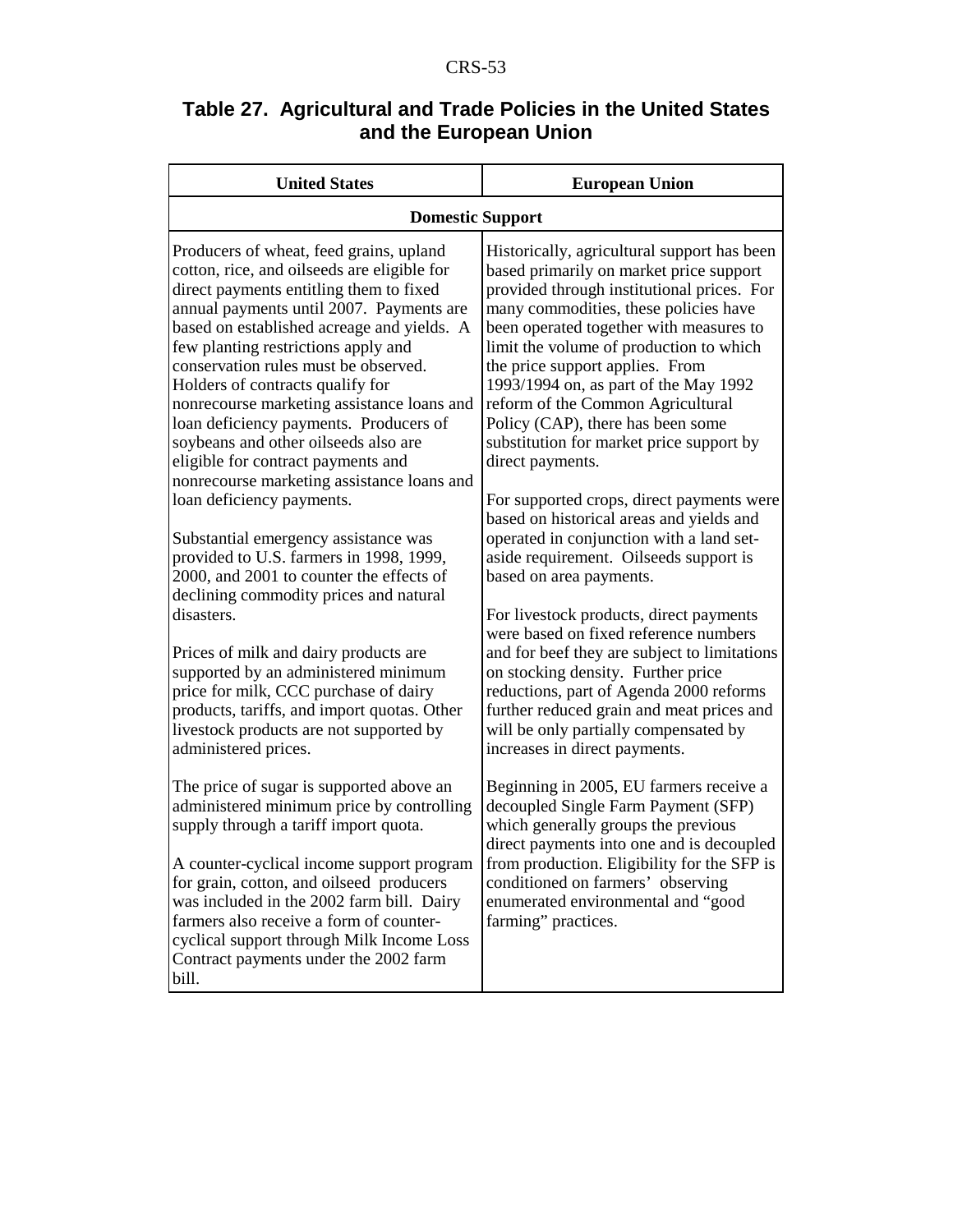| Table 27. Agricultural and Trade Policies in the United States |  |
|----------------------------------------------------------------|--|
| and the European Union                                         |  |

| <b>United States</b>                                                                                                                                                                                                                                                                                                                                                                                                                                                                                                                                                                                                                                                                                                                                                                                                                                                                                                                                                                                       | <b>European Union</b>                                                                                                                                                                                                                                                                                                                                                                                                                                                                                                                                                                                                                                                                                                                                                                                                                                                                                                                                                                                          |
|------------------------------------------------------------------------------------------------------------------------------------------------------------------------------------------------------------------------------------------------------------------------------------------------------------------------------------------------------------------------------------------------------------------------------------------------------------------------------------------------------------------------------------------------------------------------------------------------------------------------------------------------------------------------------------------------------------------------------------------------------------------------------------------------------------------------------------------------------------------------------------------------------------------------------------------------------------------------------------------------------------|----------------------------------------------------------------------------------------------------------------------------------------------------------------------------------------------------------------------------------------------------------------------------------------------------------------------------------------------------------------------------------------------------------------------------------------------------------------------------------------------------------------------------------------------------------------------------------------------------------------------------------------------------------------------------------------------------------------------------------------------------------------------------------------------------------------------------------------------------------------------------------------------------------------------------------------------------------------------------------------------------------------|
| <b>Domestic Support</b>                                                                                                                                                                                                                                                                                                                                                                                                                                                                                                                                                                                                                                                                                                                                                                                                                                                                                                                                                                                    |                                                                                                                                                                                                                                                                                                                                                                                                                                                                                                                                                                                                                                                                                                                                                                                                                                                                                                                                                                                                                |
| Producers of wheat, feed grains, upland<br>cotton, rice, and oilseeds are eligible for<br>direct payments entitling them to fixed<br>annual payments until 2007. Payments are<br>based on established acreage and yields. A<br>few planting restrictions apply and<br>conservation rules must be observed.<br>Holders of contracts qualify for<br>nonrecourse marketing assistance loans and<br>loan deficiency payments. Producers of<br>soybeans and other oilseeds also are<br>eligible for contract payments and<br>nonrecourse marketing assistance loans and<br>loan deficiency payments.<br>Substantial emergency assistance was<br>provided to U.S. farmers in 1998, 1999,<br>2000, and 2001 to counter the effects of<br>declining commodity prices and natural<br>disasters.<br>Prices of milk and dairy products are<br>supported by an administered minimum<br>price for milk, CCC purchase of dairy<br>products, tariffs, and import quotas. Other<br>livestock products are not supported by | Historically, agricultural support has been<br>based primarily on market price support<br>provided through institutional prices. For<br>many commodities, these policies have<br>been operated together with measures to<br>limit the volume of production to which<br>the price support applies. From<br>1993/1994 on, as part of the May 1992<br>reform of the Common Agricultural<br>Policy (CAP), there has been some<br>substitution for market price support by<br>direct payments.<br>For supported crops, direct payments were<br>based on historical areas and yields and<br>operated in conjunction with a land set-<br>aside requirement. Oilseeds support is<br>based on area payments.<br>For livestock products, direct payments<br>were based on fixed reference numbers<br>and for beef they are subject to limitations<br>on stocking density. Further price<br>reductions, part of Agenda 2000 reforms<br>further reduced grain and meat prices and<br>will be only partially compensated by |
| administered prices.                                                                                                                                                                                                                                                                                                                                                                                                                                                                                                                                                                                                                                                                                                                                                                                                                                                                                                                                                                                       | increases in direct payments.                                                                                                                                                                                                                                                                                                                                                                                                                                                                                                                                                                                                                                                                                                                                                                                                                                                                                                                                                                                  |
| The price of sugar is supported above an<br>administered minimum price by controlling<br>supply through a tariff import quota.                                                                                                                                                                                                                                                                                                                                                                                                                                                                                                                                                                                                                                                                                                                                                                                                                                                                             | Beginning in 2005, EU farmers receive a<br>decoupled Single Farm Payment (SFP)<br>which generally groups the previous<br>direct payments into one and is decoupled                                                                                                                                                                                                                                                                                                                                                                                                                                                                                                                                                                                                                                                                                                                                                                                                                                             |
| A counter-cyclical income support program<br>for grain, cotton, and oilseed producers<br>was included in the 2002 farm bill. Dairy<br>farmers also receive a form of counter-<br>cyclical support through Milk Income Loss<br>Contract payments under the 2002 farm<br>bill.                                                                                                                                                                                                                                                                                                                                                                                                                                                                                                                                                                                                                                                                                                                               | from production. Eligibility for the SFP is<br>conditioned on farmers' observing<br>enumerated environmental and "good<br>farming" practices.                                                                                                                                                                                                                                                                                                                                                                                                                                                                                                                                                                                                                                                                                                                                                                                                                                                                  |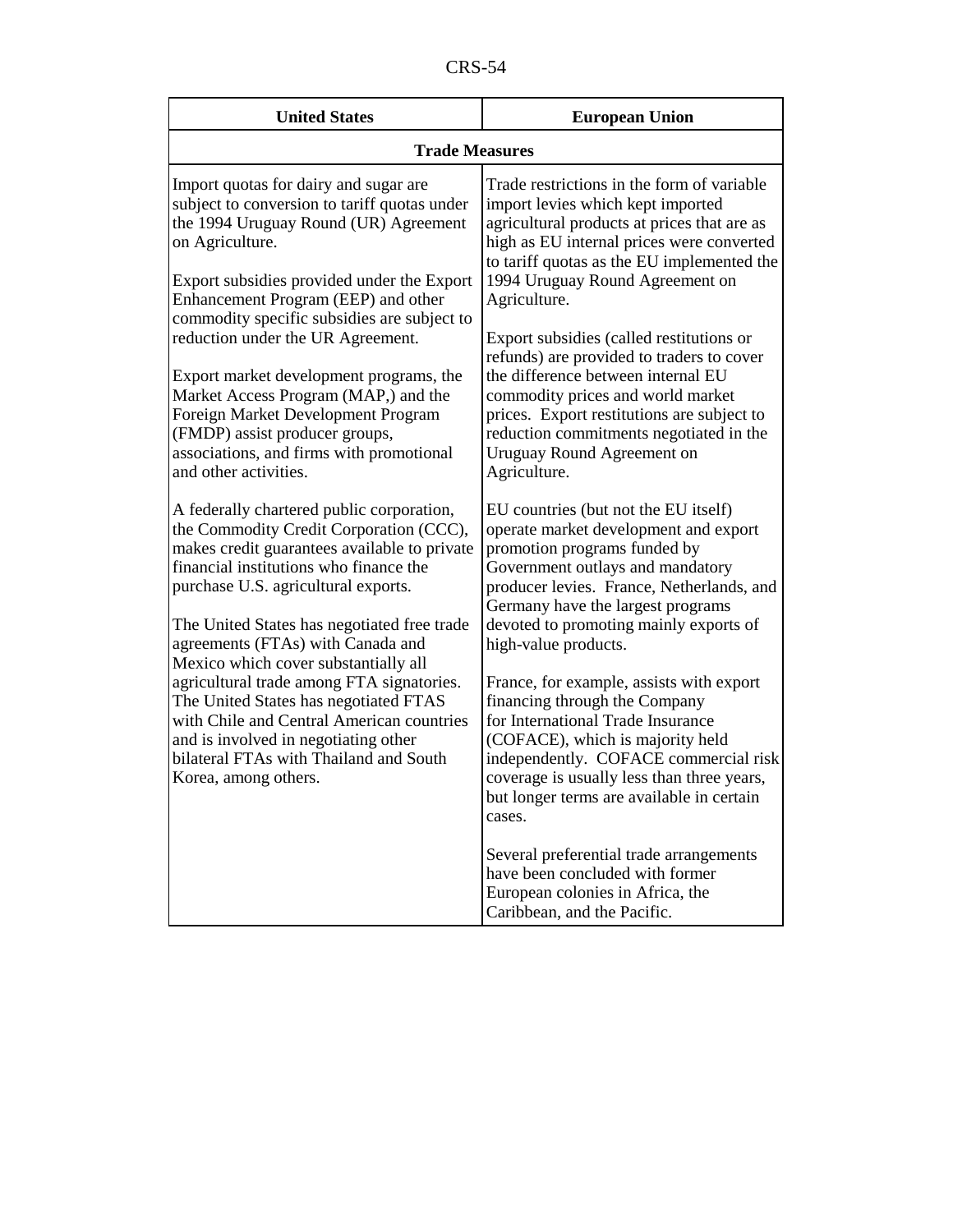| n.<br>יי<br>`. . |
|------------------|
|------------------|

| <b>United States</b>                                                                                                                                                                                                                                                                                                                                                                                                                                                                                                                                                                           | <b>European Union</b>                                                                                                                                                                                                                                                                                                                                                                                                                                                                                                                                                                                     |  |
|------------------------------------------------------------------------------------------------------------------------------------------------------------------------------------------------------------------------------------------------------------------------------------------------------------------------------------------------------------------------------------------------------------------------------------------------------------------------------------------------------------------------------------------------------------------------------------------------|-----------------------------------------------------------------------------------------------------------------------------------------------------------------------------------------------------------------------------------------------------------------------------------------------------------------------------------------------------------------------------------------------------------------------------------------------------------------------------------------------------------------------------------------------------------------------------------------------------------|--|
| <b>Trade Measures</b>                                                                                                                                                                                                                                                                                                                                                                                                                                                                                                                                                                          |                                                                                                                                                                                                                                                                                                                                                                                                                                                                                                                                                                                                           |  |
| Import quotas for dairy and sugar are<br>subject to conversion to tariff quotas under<br>the 1994 Uruguay Round (UR) Agreement<br>on Agriculture.<br>Export subsidies provided under the Export<br>Enhancement Program (EEP) and other<br>commodity specific subsidies are subject to<br>reduction under the UR Agreement.<br>Export market development programs, the<br>Market Access Program (MAP,) and the<br>Foreign Market Development Program<br>(FMDP) assist producer groups,<br>associations, and firms with promotional<br>and other activities.                                     | Trade restrictions in the form of variable<br>import levies which kept imported<br>agricultural products at prices that are as<br>high as EU internal prices were converted<br>to tariff quotas as the EU implemented the<br>1994 Uruguay Round Agreement on<br>Agriculture.<br>Export subsidies (called restitutions or<br>refunds) are provided to traders to cover<br>the difference between internal EU<br>commodity prices and world market<br>prices. Export restitutions are subject to<br>reduction commitments negotiated in the<br>Uruguay Round Agreement on<br>Agriculture.                   |  |
| A federally chartered public corporation,<br>the Commodity Credit Corporation (CCC),<br>makes credit guarantees available to private<br>financial institutions who finance the<br>purchase U.S. agricultural exports.<br>The United States has negotiated free trade<br>agreements (FTAs) with Canada and<br>Mexico which cover substantially all<br>agricultural trade among FTA signatories.<br>The United States has negotiated FTAS<br>with Chile and Central American countries<br>and is involved in negotiating other<br>bilateral FTAs with Thailand and South<br>Korea, among others. | EU countries (but not the EU itself)<br>operate market development and export<br>promotion programs funded by<br>Government outlays and mandatory<br>producer levies. France, Netherlands, and<br>Germany have the largest programs<br>devoted to promoting mainly exports of<br>high-value products.<br>France, for example, assists with export<br>financing through the Company<br>for International Trade Insurance<br>(COFACE), which is majority held<br>independently. COFACE commercial risk<br>coverage is usually less than three years,<br>but longer terms are available in certain<br>cases. |  |
|                                                                                                                                                                                                                                                                                                                                                                                                                                                                                                                                                                                                | Several preferential trade arrangements<br>have been concluded with former<br>European colonies in Africa, the<br>Caribbean, and the Pacific.                                                                                                                                                                                                                                                                                                                                                                                                                                                             |  |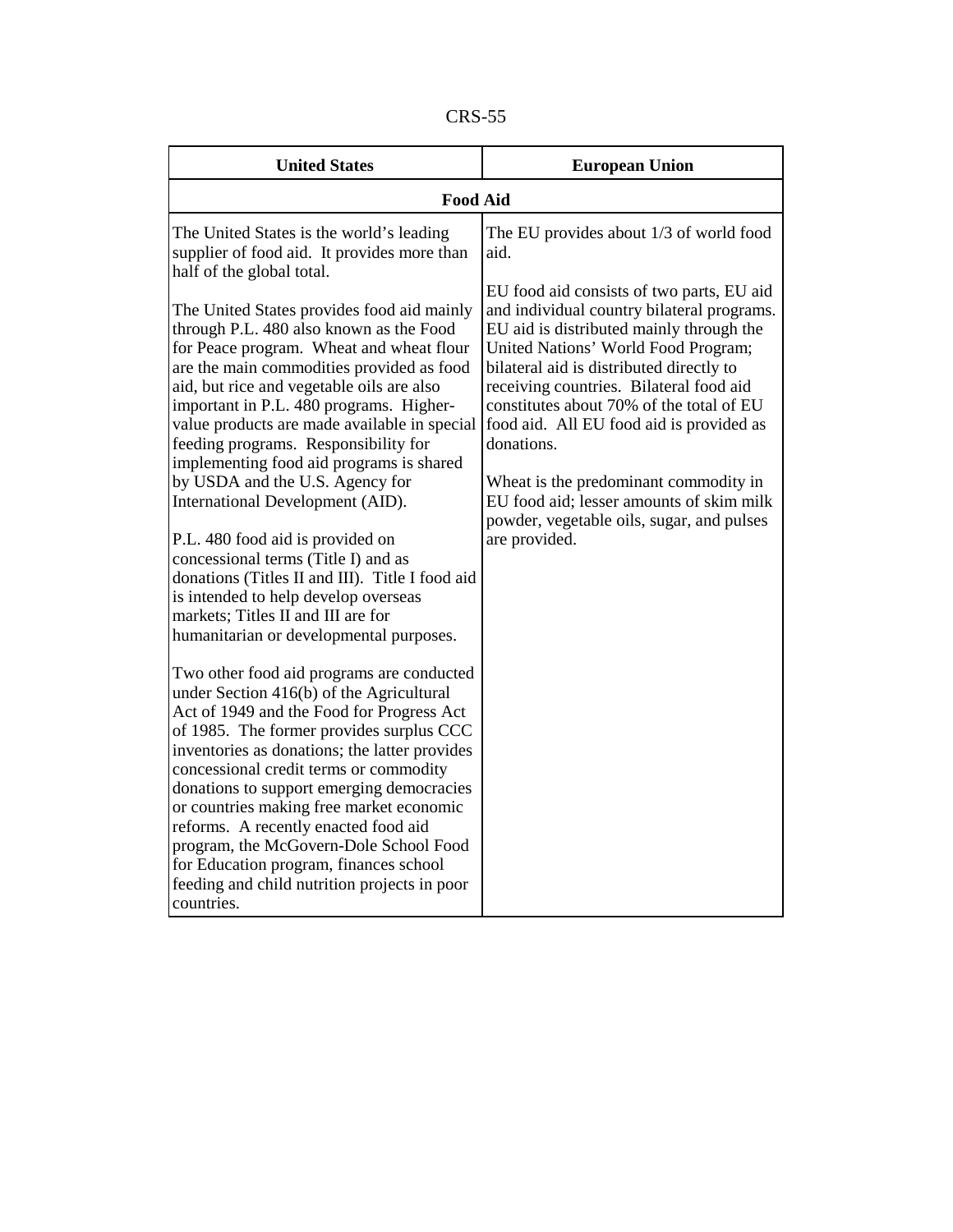| פr v<br>CK |  |
|------------|--|
|------------|--|

| <b>United States</b>                                                                                                                                                                                                                                                                                                                                                                                                                                                                                                                                                                                                                                                                                                                                                                                                                                                                                                                                                                                                                                                                                                                                                                                                                                                                                                                                                                                                             | <b>European Union</b>                                                                                                                                                                                                                                                                                                                                                                                                                                                                                                                                                         |  |
|----------------------------------------------------------------------------------------------------------------------------------------------------------------------------------------------------------------------------------------------------------------------------------------------------------------------------------------------------------------------------------------------------------------------------------------------------------------------------------------------------------------------------------------------------------------------------------------------------------------------------------------------------------------------------------------------------------------------------------------------------------------------------------------------------------------------------------------------------------------------------------------------------------------------------------------------------------------------------------------------------------------------------------------------------------------------------------------------------------------------------------------------------------------------------------------------------------------------------------------------------------------------------------------------------------------------------------------------------------------------------------------------------------------------------------|-------------------------------------------------------------------------------------------------------------------------------------------------------------------------------------------------------------------------------------------------------------------------------------------------------------------------------------------------------------------------------------------------------------------------------------------------------------------------------------------------------------------------------------------------------------------------------|--|
| <b>Food Aid</b>                                                                                                                                                                                                                                                                                                                                                                                                                                                                                                                                                                                                                                                                                                                                                                                                                                                                                                                                                                                                                                                                                                                                                                                                                                                                                                                                                                                                                  |                                                                                                                                                                                                                                                                                                                                                                                                                                                                                                                                                                               |  |
| The United States is the world's leading<br>supplier of food aid. It provides more than<br>half of the global total.<br>The United States provides food aid mainly<br>through P.L. 480 also known as the Food<br>for Peace program. Wheat and wheat flour<br>are the main commodities provided as food<br>aid, but rice and vegetable oils are also<br>important in P.L. 480 programs. Higher-<br>value products are made available in special<br>feeding programs. Responsibility for<br>implementing food aid programs is shared<br>by USDA and the U.S. Agency for<br>International Development (AID).<br>P.L. 480 food aid is provided on<br>concessional terms (Title I) and as<br>donations (Titles II and III). Title I food aid<br>is intended to help develop overseas<br>markets; Titles II and III are for<br>humanitarian or developmental purposes.<br>Two other food aid programs are conducted<br>under Section 416(b) of the Agricultural<br>Act of 1949 and the Food for Progress Act<br>of 1985. The former provides surplus CCC<br>inventories as donations; the latter provides<br>concessional credit terms or commodity<br>donations to support emerging democracies<br>or countries making free market economic<br>reforms. A recently enacted food aid<br>program, the McGovern-Dole School Food<br>for Education program, finances school<br>feeding and child nutrition projects in poor<br>countries. | The EU provides about 1/3 of world food<br>aid.<br>EU food aid consists of two parts, EU aid<br>and individual country bilateral programs.<br>EU aid is distributed mainly through the<br>United Nations' World Food Program;<br>bilateral aid is distributed directly to<br>receiving countries. Bilateral food aid<br>constitutes about 70% of the total of EU<br>food aid. All EU food aid is provided as<br>donations.<br>Wheat is the predominant commodity in<br>EU food aid; lesser amounts of skim milk<br>powder, vegetable oils, sugar, and pulses<br>are provided. |  |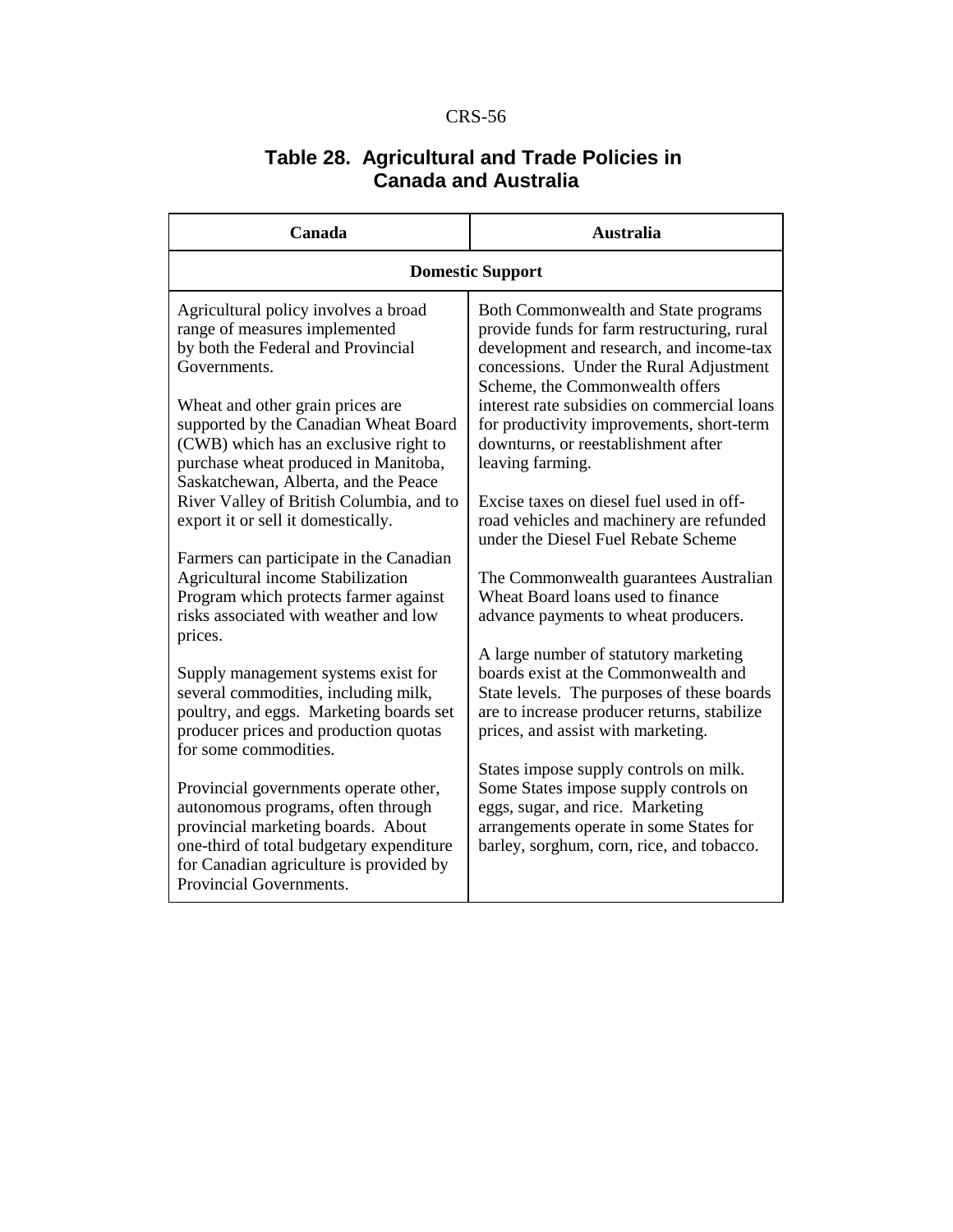## **Table 28. Agricultural and Trade Policies in Canada and Australia**

| Canada                                                                                                                                                                                                                                                                                    | <b>Australia</b>                                                                                                                                                                                                                                                                                                                                                     |  |
|-------------------------------------------------------------------------------------------------------------------------------------------------------------------------------------------------------------------------------------------------------------------------------------------|----------------------------------------------------------------------------------------------------------------------------------------------------------------------------------------------------------------------------------------------------------------------------------------------------------------------------------------------------------------------|--|
| <b>Domestic Support</b>                                                                                                                                                                                                                                                                   |                                                                                                                                                                                                                                                                                                                                                                      |  |
| Agricultural policy involves a broad<br>range of measures implemented<br>by both the Federal and Provincial<br>Governments.<br>Wheat and other grain prices are<br>supported by the Canadian Wheat Board<br>(CWB) which has an exclusive right to<br>purchase wheat produced in Manitoba, | Both Commonwealth and State programs<br>provide funds for farm restructuring, rural<br>development and research, and income-tax<br>concessions. Under the Rural Adjustment<br>Scheme, the Commonwealth offers<br>interest rate subsidies on commercial loans<br>for productivity improvements, short-term<br>downturns, or reestablishment after<br>leaving farming. |  |
| Saskatchewan, Alberta, and the Peace<br>River Valley of British Columbia, and to<br>export it or sell it domestically.                                                                                                                                                                    | Excise taxes on diesel fuel used in off-<br>road vehicles and machinery are refunded<br>under the Diesel Fuel Rebate Scheme                                                                                                                                                                                                                                          |  |
| Farmers can participate in the Canadian<br>Agricultural income Stabilization<br>Program which protects farmer against<br>risks associated with weather and low<br>prices.                                                                                                                 | The Commonwealth guarantees Australian<br>Wheat Board loans used to finance<br>advance payments to wheat producers.                                                                                                                                                                                                                                                  |  |
| Supply management systems exist for<br>several commodities, including milk,<br>poultry, and eggs. Marketing boards set<br>producer prices and production quotas<br>for some commodities.                                                                                                  | A large number of statutory marketing<br>boards exist at the Commonwealth and<br>State levels. The purposes of these boards<br>are to increase producer returns, stabilize<br>prices, and assist with marketing.                                                                                                                                                     |  |
| Provincial governments operate other,<br>autonomous programs, often through<br>provincial marketing boards. About<br>one-third of total budgetary expenditure<br>for Canadian agriculture is provided by<br>Provincial Governments.                                                       | States impose supply controls on milk.<br>Some States impose supply controls on<br>eggs, sugar, and rice. Marketing<br>arrangements operate in some States for<br>barley, sorghum, corn, rice, and tobacco.                                                                                                                                                          |  |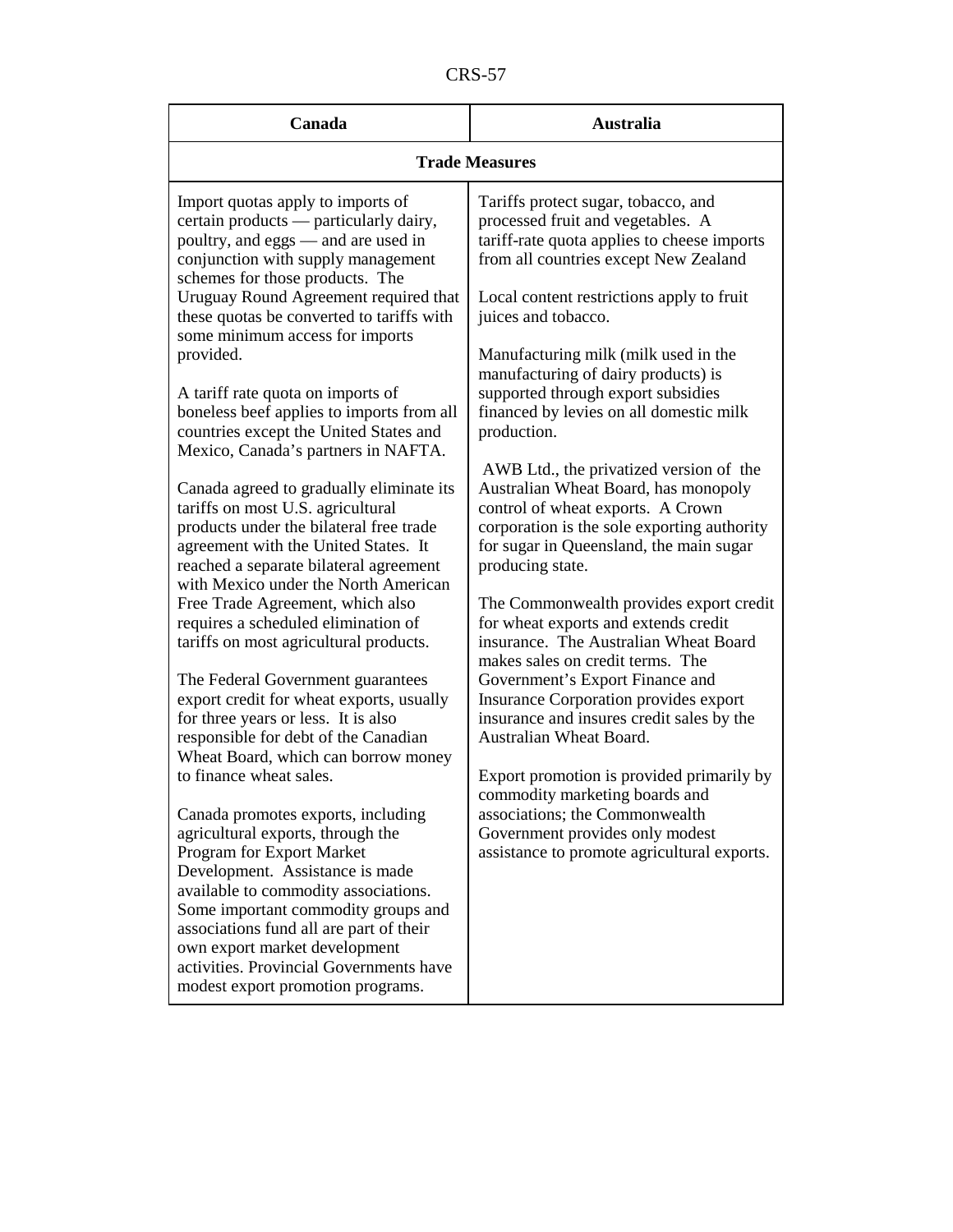CRS-57

| Canada                                                                                                                                                                                                                                                                                    | <b>Australia</b>                                                                                                                                                                                                                   |  |
|-------------------------------------------------------------------------------------------------------------------------------------------------------------------------------------------------------------------------------------------------------------------------------------------|------------------------------------------------------------------------------------------------------------------------------------------------------------------------------------------------------------------------------------|--|
| <b>Trade Measures</b>                                                                                                                                                                                                                                                                     |                                                                                                                                                                                                                                    |  |
| Import quotas apply to imports of<br>certain products - particularly dairy,<br>poultry, and eggs — and are used in<br>conjunction with supply management<br>schemes for those products. The                                                                                               | Tariffs protect sugar, tobacco, and<br>processed fruit and vegetables. A<br>tariff-rate quota applies to cheese imports<br>from all countries except New Zealand                                                                   |  |
| Uruguay Round Agreement required that<br>these quotas be converted to tariffs with<br>some minimum access for imports                                                                                                                                                                     | Local content restrictions apply to fruit<br>juices and tobacco.                                                                                                                                                                   |  |
| provided.<br>A tariff rate quota on imports of<br>boneless beef applies to imports from all<br>countries except the United States and                                                                                                                                                     | Manufacturing milk (milk used in the<br>manufacturing of dairy products) is<br>supported through export subsidies<br>financed by levies on all domestic milk<br>production.                                                        |  |
| Mexico, Canada's partners in NAFTA.<br>Canada agreed to gradually eliminate its<br>tariffs on most U.S. agricultural<br>products under the bilateral free trade<br>agreement with the United States. It<br>reached a separate bilateral agreement<br>with Mexico under the North American | AWB Ltd., the privatized version of the<br>Australian Wheat Board, has monopoly<br>control of wheat exports. A Crown<br>corporation is the sole exporting authority<br>for sugar in Queensland, the main sugar<br>producing state. |  |
| Free Trade Agreement, which also<br>requires a scheduled elimination of<br>tariffs on most agricultural products.                                                                                                                                                                         | The Commonwealth provides export credit<br>for wheat exports and extends credit<br>insurance. The Australian Wheat Board<br>makes sales on credit terms. The                                                                       |  |
| The Federal Government guarantees<br>export credit for wheat exports, usually<br>for three years or less. It is also<br>responsible for debt of the Canadian<br>Wheat Board, which can borrow money                                                                                       | Government's Export Finance and<br>Insurance Corporation provides export<br>insurance and insures credit sales by the<br>Australian Wheat Board.                                                                                   |  |
| to finance wheat sales.<br>Canada promotes exports, including                                                                                                                                                                                                                             | Export promotion is provided primarily by<br>commodity marketing boards and<br>associations; the Commonwealth                                                                                                                      |  |
| agricultural exports, through the<br>Program for Export Market<br>Development. Assistance is made<br>available to commodity associations.<br>Some important commodity groups and<br>associations fund all are part of their<br>own export market development                              | Government provides only modest<br>assistance to promote agricultural exports.                                                                                                                                                     |  |
| activities. Provincial Governments have<br>modest export promotion programs.                                                                                                                                                                                                              |                                                                                                                                                                                                                                    |  |